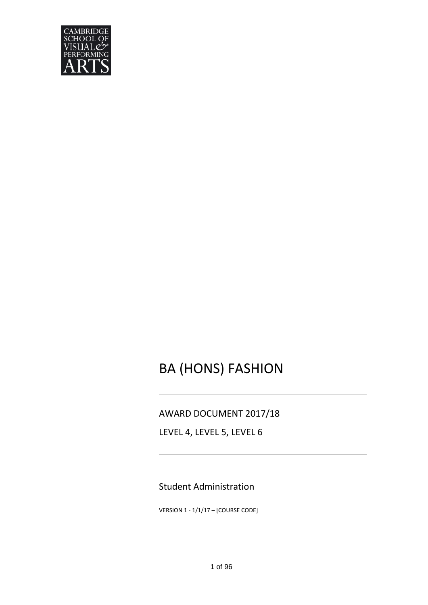

# BA (HONS) FASHION

## AWARD DOCUMENT 2017/18

LEVEL 4, LEVEL 5, LEVEL 6

# Student Administration

VERSION 1 - 1/1/17 – [COURSE CODE]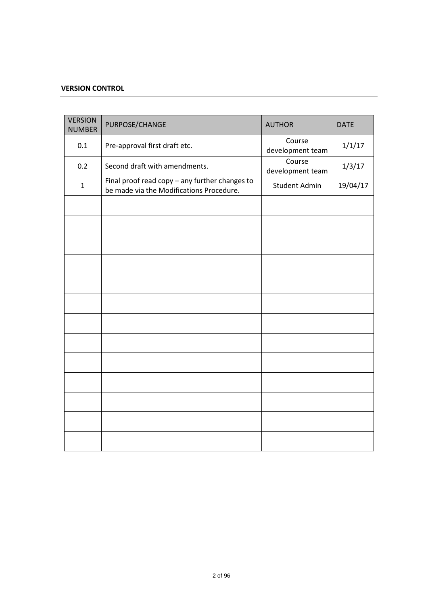## **VERSION CONTROL**

| <b>VERSION</b><br><b>NUMBER</b> | PURPOSE/CHANGE                                                                             | <b>AUTHOR</b>              | <b>DATE</b> |
|---------------------------------|--------------------------------------------------------------------------------------------|----------------------------|-------------|
| 0.1                             | Pre-approval first draft etc.                                                              | Course<br>development team | 1/1/17      |
| 0.2                             | Second draft with amendments.                                                              | Course<br>development team | 1/3/17      |
| $\mathbf{1}$                    | Final proof read copy - any further changes to<br>be made via the Modifications Procedure. | <b>Student Admin</b>       | 19/04/17    |
|                                 |                                                                                            |                            |             |
|                                 |                                                                                            |                            |             |
|                                 |                                                                                            |                            |             |
|                                 |                                                                                            |                            |             |
|                                 |                                                                                            |                            |             |
|                                 |                                                                                            |                            |             |
|                                 |                                                                                            |                            |             |
|                                 |                                                                                            |                            |             |
|                                 |                                                                                            |                            |             |
|                                 |                                                                                            |                            |             |
|                                 |                                                                                            |                            |             |
|                                 |                                                                                            |                            |             |
|                                 |                                                                                            |                            |             |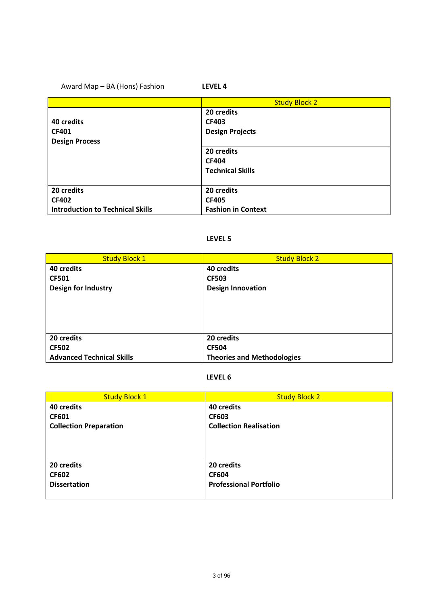## Award Map – BA (Hons) Fashion **LEVEL 4**

|                                         | <b>Study Block 2</b>      |
|-----------------------------------------|---------------------------|
|                                         | 20 credits                |
| 40 credits                              | <b>CF403</b>              |
| <b>CF401</b>                            | <b>Design Projects</b>    |
| <b>Design Process</b>                   |                           |
|                                         | 20 credits                |
|                                         | <b>CF404</b>              |
|                                         | <b>Technical Skills</b>   |
|                                         |                           |
| 20 credits                              | 20 credits                |
| <b>CF402</b>                            | <b>CF405</b>              |
| <b>Introduction to Technical Skills</b> | <b>Fashion in Context</b> |

#### **LEVEL 5**

| <b>Study Block 1</b>             | <b>Study Block 2</b>              |
|----------------------------------|-----------------------------------|
| 40 credits                       | 40 credits                        |
| <b>CF501</b>                     | <b>CF503</b>                      |
| <b>Design for Industry</b>       | <b>Design Innovation</b>          |
|                                  |                                   |
|                                  |                                   |
|                                  |                                   |
|                                  |                                   |
| 20 credits                       | 20 credits                        |
| <b>CF502</b>                     | <b>CF504</b>                      |
| <b>Advanced Technical Skills</b> | <b>Theories and Methodologies</b> |

#### **LEVEL 6**

| <b>Study Block 1</b>          | <b>Study Block 2</b>          |
|-------------------------------|-------------------------------|
| 40 credits                    | 40 credits                    |
| <b>CF601</b>                  | <b>CF603</b>                  |
| <b>Collection Preparation</b> | <b>Collection Realisation</b> |
|                               |                               |
|                               |                               |
|                               |                               |
| 20 credits                    | 20 credits                    |
| <b>CF602</b>                  | <b>CF604</b>                  |
| <b>Dissertation</b>           | <b>Professional Portfolio</b> |
|                               |                               |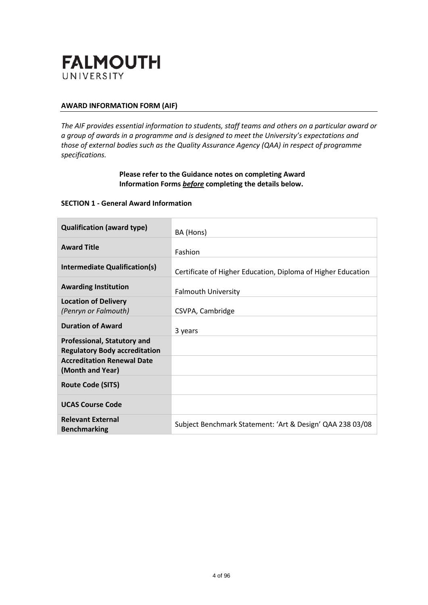

## **AWARD INFORMATION FORM (AIF)**

*The AIF provides essential information to students, staff teams and others on a particular award or a group of awards in a programme and is designed to meet the University's expectations and those of external bodies such as the Quality Assurance Agency (QAA) in respect of programme specifications.*

## **Please refer to the Guidance notes on completing Award Information Forms** *before* **completing the details below.**

#### **SECTION 1 - General Award Information**

| <b>Qualification (award type)</b>                                          | BA (Hons)                                                    |
|----------------------------------------------------------------------------|--------------------------------------------------------------|
| <b>Award Title</b>                                                         | Fashion                                                      |
| Intermediate Qualification(s)                                              | Certificate of Higher Education, Diploma of Higher Education |
| <b>Awarding Institution</b>                                                | <b>Falmouth University</b>                                   |
| <b>Location of Delivery</b><br>(Penryn or Falmouth)                        | CSVPA, Cambridge                                             |
| <b>Duration of Award</b>                                                   | 3 years                                                      |
| <b>Professional, Statutory and</b><br><b>Regulatory Body accreditation</b> |                                                              |
| <b>Accreditation Renewal Date</b><br>(Month and Year)                      |                                                              |
| <b>Route Code (SITS)</b>                                                   |                                                              |
| <b>UCAS Course Code</b>                                                    |                                                              |
| <b>Relevant External</b><br><b>Benchmarking</b>                            | Subject Benchmark Statement: 'Art & Design' QAA 238 03/08    |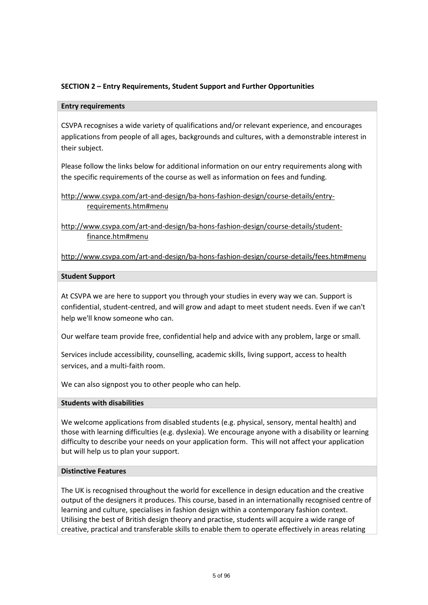## **SECTION 2 – Entry Requirements, Student Support and Further Opportunities**

#### **Entry requirements**

CSVPA recognises a wide variety of qualifications and/or relevant experience, and encourages applications from people of all ages, backgrounds and cultures, with a demonstrable interest in their subject.

Please follow the links below for additional information on our entry requirements along with the specific requirements of the course as well as information on fees and funding.

## [http://www.csvpa.com/art-and-design/ba-hons-fashion-design/course-details/entry](http://www.csvpa.com/art-and-design/ba-hons-fashion-design/course-details/entry-requirements.htm#menu)[requirements.htm#menu](http://www.csvpa.com/art-and-design/ba-hons-fashion-design/course-details/entry-requirements.htm#menu)

[http://www.csvpa.com/art-and-design/ba-hons-fashion-design/course-details/student](http://www.csvpa.com/art-and-design/ba-hons-fashion-design/course-details/student-finance.htm#menu)[finance.htm#menu](http://www.csvpa.com/art-and-design/ba-hons-fashion-design/course-details/student-finance.htm#menu)

<http://www.csvpa.com/art-and-design/ba-hons-fashion-design/course-details/fees.htm#menu>

#### **Student Support**

At CSVPA we are here to support you through your studies in every way we can. Support is confidential, student-centred, and will grow and adapt to meet student needs. Even if we can't help we'll know someone who can.

Our welfare team provide free, confidential help and advice with any problem, large or small.

Services include accessibility, counselling, academic skills, living support, access to health services, and a multi-faith room.

We can also signpost you to other people who can help.

#### **Students with disabilities**

We welcome applications from disabled students (e.g. physical, sensory, mental health) and those with learning difficulties (e.g. dyslexia). We encourage anyone with a disability or learning difficulty to describe your needs on your application form. This will not affect your application but will help us to plan your support.

#### **Distinctive Features**

The UK is recognised throughout the world for excellence in design education and the creative output of the designers it produces. This course, based in an internationally recognised centre of learning and culture, specialises in fashion design within a contemporary fashion context. Utilising the best of British design theory and practise, students will acquire a wide range of creative, practical and transferable skills to enable them to operate effectively in areas relating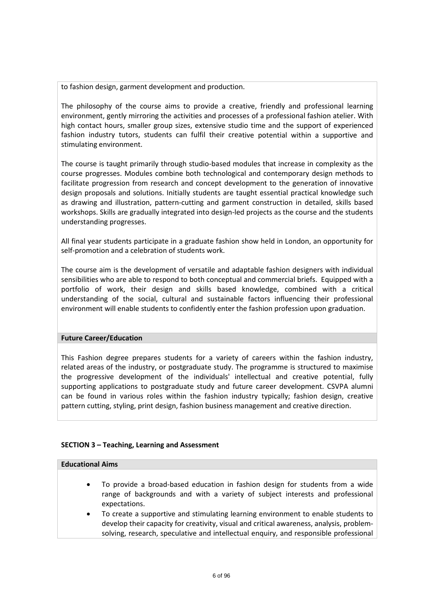to fashion design, garment development and production.

The philosophy of the course aims to provide a creative, friendly and professional learning environment, gently mirroring the activities and processes of a professional fashion atelier. With high contact hours, smaller group sizes, extensive studio time and the support of experienced fashion industry tutors, students can fulfil their creative potential within a supportive and stimulating environment.

The course is taught primarily through studio-based modules that increase in complexity as the course progresses. Modules combine both technological and contemporary design methods to facilitate progression from research and concept development to the generation of innovative design proposals and solutions. Initially students are taught essential practical knowledge such as drawing and illustration, pattern-cutting and garment construction in detailed, skills based workshops. Skills are gradually integrated into design-led projects as the course and the students understanding progresses.

All final year students participate in a graduate fashion show held in London, an opportunity for self-promotion and a celebration of students work.

The course aim is the development of versatile and adaptable fashion designers with individual sensibilities who are able to respond to both conceptual and commercial briefs. Equipped with a portfolio of work, their design and skills based knowledge, combined with a critical understanding of the social, cultural and sustainable factors influencing their professional environment will enable students to confidently enter the fashion profession upon graduation.

#### **Future Career/Education**

This Fashion degree prepares students for a variety of careers within the fashion industry, related areas of the industry, or postgraduate study. The programme is structured to maximise the progressive development of the individuals' intellectual and creative potential, fully supporting applications to postgraduate study and future career development. CSVPA alumni can be found in various roles within the fashion industry typically; fashion design, creative pattern cutting, styling, print design, fashion business management and creative direction.

## **SECTION 3 – Teaching, Learning and Assessment**

#### **Educational Aims**

- To provide a broad-based education in fashion design for students from a wide range of backgrounds and with a variety of subject interests and professional expectations.
- To create a supportive and stimulating learning environment to enable students to develop their capacity for creativity, visual and critical awareness, analysis, problemsolving, research, speculative and intellectual enquiry, and responsible professional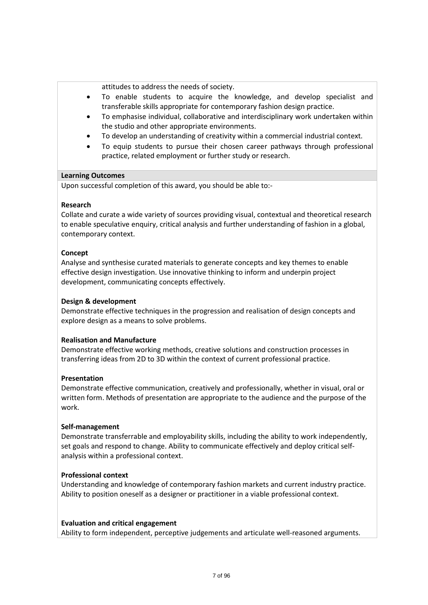attitudes to address the needs of society.

- To enable students to acquire the knowledge, and develop specialist and transferable skills appropriate for contemporary fashion design practice.
- To emphasise individual, collaborative and interdisciplinary work undertaken within the studio and other appropriate environments.
- To develop an understanding of creativity within a commercial industrial context.
- To equip students to pursue their chosen career pathways through professional practice, related employment or further study or research.

#### **Learning Outcomes**

Upon successful completion of this award, you should be able to:-

#### **Research**

Collate and curate a wide variety of sources providing visual, contextual and theoretical research to enable speculative enquiry, critical analysis and further understanding of fashion in a global, contemporary context.

#### **Concept**

Analyse and synthesise curated materials to generate concepts and key themes to enable effective design investigation. Use innovative thinking to inform and underpin project development, communicating concepts effectively.

#### **Design & development**

Demonstrate effective techniques in the progression and realisation of design concepts and explore design as a means to solve problems.

#### **Realisation and Manufacture**

Demonstrate effective working methods, creative solutions and construction processes in transferring ideas from 2D to 3D within the context of current professional practice.

#### **Presentation**

Demonstrate effective communication, creatively and professionally, whether in visual, oral or written form. Methods of presentation are appropriate to the audience and the purpose of the work.

#### **Self-management**

Demonstrate transferrable and employability skills, including the ability to work independently, set goals and respond to change. Ability to communicate effectively and deploy critical selfanalysis within a professional context.

#### **Professional context**

Understanding and knowledge of contemporary fashion markets and current industry practice. Ability to position oneself as a designer or practitioner in a viable professional context.

#### **Evaluation and critical engagement**

Ability to form independent, perceptive judgements and articulate well-reasoned arguments.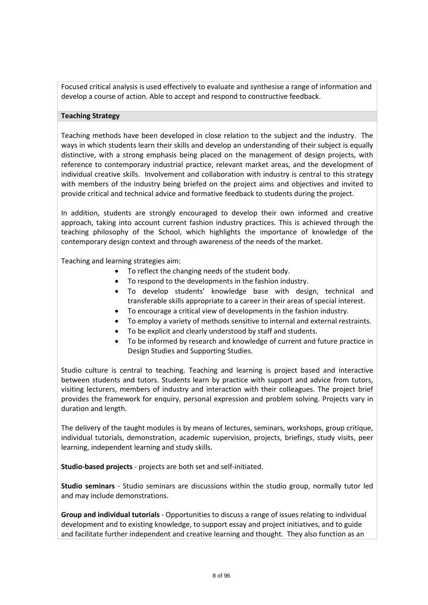Focused critical analysis is used effectively to evaluate and synthesise a range of information and develop a course of action. Able to accept and respond to constructive feedback.

#### **Teaching Strategy**

Teaching methods have been developed in close relation to the subject and the industry. The ways in which students learn their skills and develop an understanding of their subject is equally distinctive, with a strong emphasis being placed on the management of design projects, with reference to contemporary industrial practice, relevant market areas, and the development of individual creative skills. Involvement and collaboration with industry is central to this strategy with members of the industry being briefed on the project aims and objectives and invited to provide critical and technical advice and formative feedback to students during the project.

In addition, students are strongly encouraged to develop their own informed and creative approach, taking into account current fashion industry practices. This is achieved through the teaching philosophy of the School, which highlights the importance of knowledge of the contemporary design context and through awareness of the needs of the market.

Teaching and learning strategies aim:

- To reflect the changing needs of the student body.
- To respond to the developments in the fashion industry.
- To develop students' knowledge base with design, technical and transferable skills appropriate to a career in their areas of special interest.
- To encourage a critical view of developments in the fashion industry.
- To employ a variety of methods sensitive to internal and external restraints.
- To be explicit and clearly understood by staff and students.
- To be informed by research and knowledge of current and future practice in Design Studies and Supporting Studies.

Studio culture is central to teaching. Teaching and learning is project based and interactive between students and tutors. Students learn by practice with support and advice from tutors, visiting lecturers, members of industry and interaction with their colleagues. The project brief provides the framework for enquiry, personal expression and problem solving. Projects vary in duration and length.

The delivery of the taught modules is by means of lectures, seminars, workshops, group critique, individual tutorials, demonstration, academic supervision, projects, briefings, study visits, peer learning, independent learning and study skills.

**Studio-based projects** - projects are both set and self-initiated.

**Studio seminars** - Studio seminars are discussions within the studio group, normally tutor led and may include demonstrations.

**Group and individual tutorials** - Opportunities to discuss a range of issues relating to individual development and to existing knowledge, to support essay and project initiatives, and to guide and facilitate further independent and creative learning and thought. They also function as an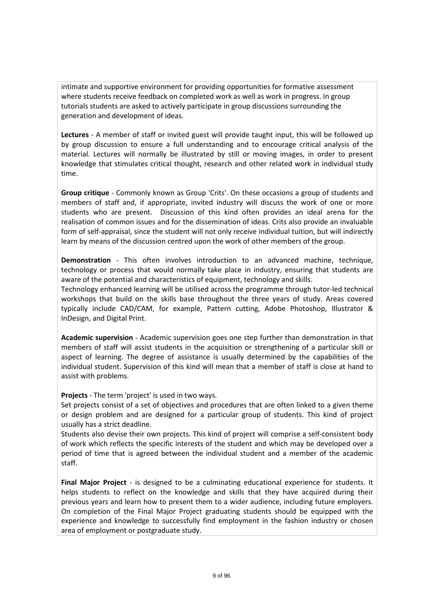intimate and supportive environment for providing opportunities for formative assessment where students receive feedback on completed work as well as work in progress. In group tutorials students are asked to actively participate in group discussions surrounding the generation and development of ideas.

**Lectures** - A member of staff or invited guest will provide taught input, this will be followed up by group discussion to ensure a full understanding and to encourage critical analysis of the material. Lectures will normally be illustrated by still or moving images, in order to present knowledge that stimulates critical thought, research and other related work in individual study time.

**Group critique** - Commonly known as Group 'Crits'. On these occasions a group of students and members of staff and, if appropriate, invited industry will discuss the work of one or more students who are present. Discussion of this kind often provides an ideal arena for the realisation of common issues and for the dissemination of ideas. Crits also provide an invaluable form of self-appraisal, since the student will not only receive individual tuition, but will indirectly learn by means of the discussion centred upon the work of other members of the group.

**Demonstration** - This often involves introduction to an advanced machine, technique, technology or process that would normally take place in industry, ensuring that students are aware of the potential and characteristics of equipment, technology and skills.

Technology enhanced learning will be utilised across the programme through tutor-led technical workshops that build on the skills base throughout the three years of study. Areas covered typically include CAD/CAM, for example, Pattern cutting, Adobe Photoshop, Illustrator & InDesign, and Digital Print.

**Academic supervision** - Academic supervision goes one step further than demonstration in that members of staff will assist students in the acquisition or strengthening of a particular skill or aspect of learning. The degree of assistance is usually determined by the capabilities of the individual student. Supervision of this kind will mean that a member of staff is close at hand to assist with problems.

**Projects** - The term 'project' is used in two ways.

Set projects consist of a set of objectives and procedures that are often linked to a given theme or design problem and are designed for a particular group of students. This kind of project usually has a strict deadline.

Students also devise their own projects. This kind of project will comprise a self-consistent body of work which reflects the specific interests of the student and which may be developed over a period of time that is agreed between the individual student and a member of the academic staff.

**Final Major Project** - is designed to be a culminating educational experience for students. It helps students to reflect on the knowledge and skills that they have acquired during their previous years and learn how to present them to a wider audience, including future employers. On completion of the Final Major Project graduating students should be equipped with the experience and knowledge to successfully find employment in the fashion industry or chosen area of employment or postgraduate study.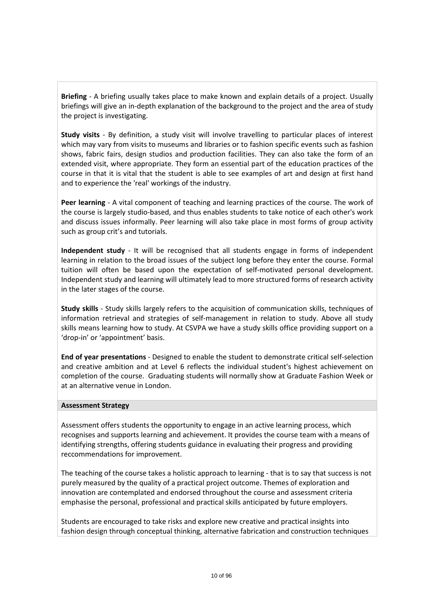**Briefing** - A briefing usually takes place to make known and explain details of a project. Usually briefings will give an in-depth explanation of the background to the project and the area of study the project is investigating.

**Study visits** - By definition, a study visit will involve travelling to particular places of interest which may vary from visits to museums and libraries or to fashion specific events such as fashion shows, fabric fairs, design studios and production facilities. They can also take the form of an extended visit, where appropriate. They form an essential part of the education practices of the course in that it is vital that the student is able to see examples of art and design at first hand and to experience the 'real' workings of the industry.

**Peer learning** - A vital component of teaching and learning practices of the course. The work of the course is largely studio-based, and thus enables students to take notice of each other's work and discuss issues informally. Peer learning will also take place in most forms of group activity such as group crit's and tutorials.

**Independent study** - It will be recognised that all students engage in forms of independent learning in relation to the broad issues of the subject long before they enter the course. Formal tuition will often be based upon the expectation of self-motivated personal development. Independent study and learning will ultimately lead to more structured forms of research activity in the later stages of the course.

**Study skills** - Study skills largely refers to the acquisition of communication skills, techniques of information retrieval and strategies of self-management in relation to study. Above all study skills means learning how to study. At CSVPA we have a study skills office providing support on a 'drop-in' or 'appointment' basis.

**End of year presentations** - Designed to enable the student to demonstrate critical self-selection and creative ambition and at Level 6 reflects the individual student's highest achievement on completion of the course. Graduating students will normally show at Graduate Fashion Week or at an alternative venue in London.

#### **Assessment Strategy**

Assessment offers students the opportunity to engage in an active learning process, which recognises and supports learning and achievement. It provides the course team with a means of identifying strengths, offering students guidance in evaluating their progress and providing reccommendations for improvement.

The teaching of the course takes a holistic approach to learning - that is to say that success is not purely measured by the quality of a practical project outcome. Themes of exploration and innovation are contemplated and endorsed throughout the course and assessment criteria emphasise the personal, professional and practical skills anticipated by future employers.

Students are encouraged to take risks and explore new creative and practical insights into fashion design through conceptual thinking, alternative fabrication and construction techniques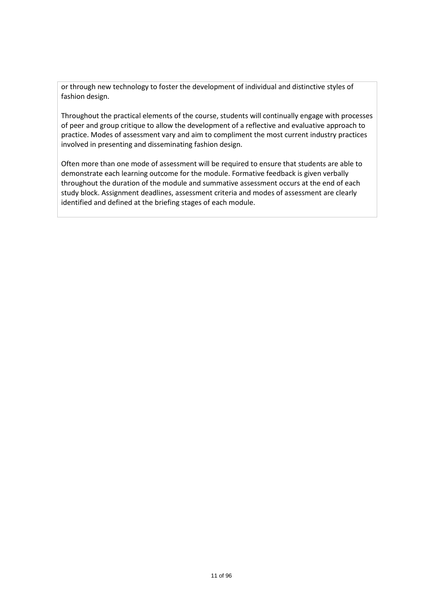or through new technology to foster the development of individual and distinctive styles of fashion design.

Throughout the practical elements of the course, students will continually engage with processes of peer and group critique to allow the development of a reflective and evaluative approach to practice. Modes of assessment vary and aim to compliment the most current industry practices involved in presenting and disseminating fashion design.

Often more than one mode of assessment will be required to ensure that students are able to demonstrate each learning outcome for the module. Formative feedback is given verbally throughout the duration of the module and summative assessment occurs at the end of each study block. Assignment deadlines, assessment criteria and modes of assessment are clearly identified and defined at the briefing stages of each module.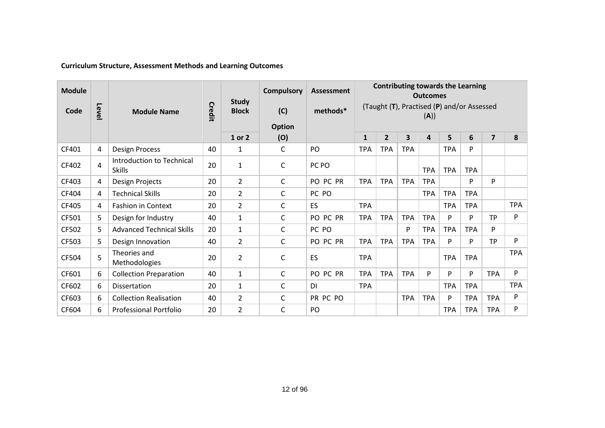| <b>Module</b> |      |                                            |        |                              | <b>Compulsory</b>    | <b>Assessment</b> | <b>Contributing towards the Learning</b><br><b>Outcomes</b> |              |              |            |            |            |                |            |
|---------------|------|--------------------------------------------|--------|------------------------------|----------------------|-------------------|-------------------------------------------------------------|--------------|--------------|------------|------------|------------|----------------|------------|
| Code          | Leve | <b>Module Name</b>                         | Credit | <b>Study</b><br><b>Block</b> | (C)                  | methods*          | (Taught (T), Practised (P) and/or Assessed<br>(A))          |              |              |            |            |            |                |            |
|               |      |                                            |        | 1 or 2                       | <b>Option</b><br>(O) |                   | $\mathbf{1}$                                                | $\mathbf{2}$ | $\mathbf{3}$ | 4          | 5          | 6          | $\overline{7}$ | 8          |
| CF401         | 4    | <b>Design Process</b>                      | 40     | 1                            | $\mathsf{C}$         | PO                | <b>TPA</b>                                                  | <b>TPA</b>   | <b>TPA</b>   |            | <b>TPA</b> | P          |                |            |
| CF402         | 4    | Introduction to Technical<br><b>Skills</b> | 20     | 1                            | C                    | PC PO             |                                                             |              |              | <b>TPA</b> | <b>TPA</b> | <b>TPA</b> |                |            |
| CF403         | 4    | Design Projects                            | 20     | $\overline{2}$               | C                    | PO PC PR          | <b>TPA</b>                                                  | <b>TPA</b>   | <b>TPA</b>   | <b>TPA</b> |            | P          | P              |            |
| CF404         | 4    | <b>Technical Skills</b>                    | 20     | $\overline{2}$               | C                    | PC PO             |                                                             |              |              | <b>TPA</b> | <b>TPA</b> | <b>TPA</b> |                |            |
| CF405         | 4    | <b>Fashion in Context</b>                  | 20     | $\overline{2}$               | C                    | ES                | <b>TPA</b>                                                  |              |              |            | <b>TPA</b> | <b>TPA</b> |                | <b>TPA</b> |
| CF501         | 5.   | Design for Industry                        | 40     | 1                            | C                    | PO PC PR          | <b>TPA</b>                                                  | <b>TPA</b>   | <b>TPA</b>   | <b>TPA</b> | P          | P          | <b>TP</b>      | P          |
| CF502         | 5.   | <b>Advanced Technical Skills</b>           | 20     | 1                            | C                    | PC PO             |                                                             |              | P            | <b>TPA</b> | <b>TPA</b> | <b>TPA</b> | P              |            |
| CF503         | 5    | Design Innovation                          | 40     | $\overline{2}$               | C                    | PO PC PR          | <b>TPA</b>                                                  | <b>TPA</b>   | <b>TPA</b>   | <b>TPA</b> | P          | P          | <b>TP</b>      | P          |
| CF504         | 5    | Theories and<br>Methodologies              | 20     | 2                            | C                    | ES                | <b>TPA</b>                                                  |              |              |            | <b>TPA</b> | <b>TPA</b> |                | <b>TPA</b> |
| CF601         | 6    | <b>Collection Preparation</b>              | 40     | 1                            | C                    | PO PC PR          | <b>TPA</b>                                                  | <b>TPA</b>   | <b>TPA</b>   | P          | P          | P          | <b>TPA</b>     | Þ          |
| CF602         | 6    | Dissertation                               | 20     | 1                            | C                    | <b>DI</b>         | <b>TPA</b>                                                  |              |              |            | <b>TPA</b> | <b>TPA</b> |                | <b>TPA</b> |
| CF603         | 6    | <b>Collection Realisation</b>              | 40     | $\overline{2}$               | C                    | PR PC PO          |                                                             |              | <b>TPA</b>   | <b>TPA</b> | P          | <b>TPA</b> | <b>TPA</b>     | P          |
| CF604         | 6    | <b>Professional Portfolio</b>              | 20     | 2                            | C                    | PO                |                                                             |              |              |            | <b>TPA</b> | <b>TPA</b> | <b>TPA</b>     | P          |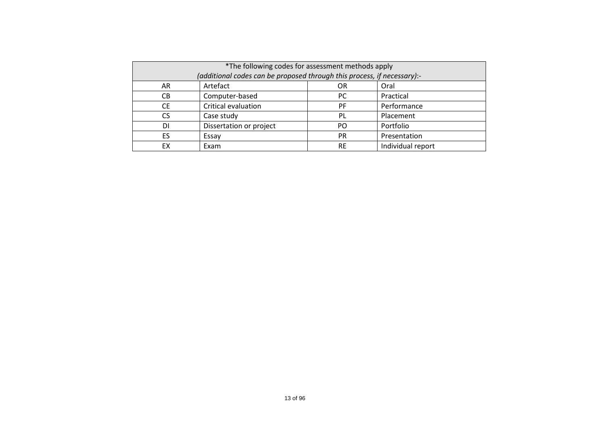| *The following codes for assessment methods apply<br>(additional codes can be proposed through this process, if necessary):- |                         |           |                   |  |  |  |  |
|------------------------------------------------------------------------------------------------------------------------------|-------------------------|-----------|-------------------|--|--|--|--|
| AR                                                                                                                           | Artefact                | OR        | Oral              |  |  |  |  |
| CB                                                                                                                           | Computer-based          | <b>PC</b> | Practical         |  |  |  |  |
| <b>CE</b>                                                                                                                    | Critical evaluation     | PF        | Performance       |  |  |  |  |
| <b>CS</b>                                                                                                                    | Case study              | PL        | Placement         |  |  |  |  |
| DI                                                                                                                           | Dissertation or project | PO.       | Portfolio         |  |  |  |  |
| ES                                                                                                                           | Essay                   | <b>PR</b> | Presentation      |  |  |  |  |
| EX                                                                                                                           | Exam                    | <b>RE</b> | Individual report |  |  |  |  |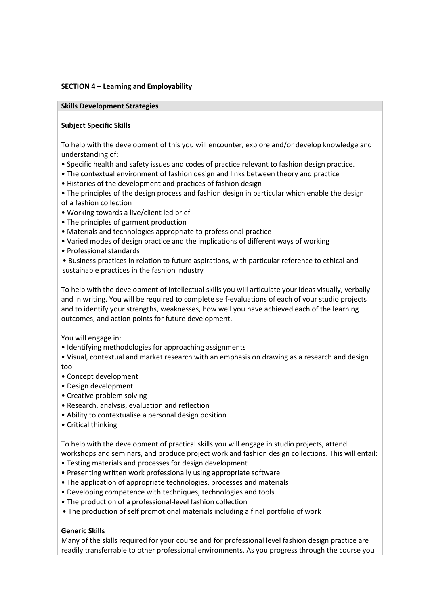#### **SECTION 4 – Learning and Employability**

#### **Skills Development Strategies**

#### **Subject Specific Skills**

To help with the development of this you will encounter, explore and/or develop knowledge and understanding of:

- Specific health and safety issues and codes of practice relevant to fashion design practice.
- The contextual environment of fashion design and links between theory and practice
- Histories of the development and practices of fashion design
- The principles of the design process and fashion design in particular which enable the design of a fashion collection
- Working towards a live/client led brief
- The principles of garment production
- Materials and technologies appropriate to professional practice
- Varied modes of design practice and the implications of different ways of working
- Professional standards
- Business practices in relation to future aspirations, with particular reference to ethical and sustainable practices in the fashion industry

To help with the development of intellectual skills you will articulate your ideas visually, verbally and in writing. You will be required to complete self-evaluations of each of your studio projects and to identify your strengths, weaknesses, how well you have achieved each of the learning outcomes, and action points for future development.

You will engage in:

• Identifying methodologies for approaching assignments

• Visual, contextual and market research with an emphasis on drawing as a research and design tool

- Concept development
- Design development
- Creative problem solving
- Research, analysis, evaluation and reflection
- Ability to contextualise a personal design position
- Critical thinking

To help with the development of practical skills you will engage in studio projects, attend workshops and seminars, and produce project work and fashion design collections. This will entail:

- Testing materials and processes for design development
- Presenting written work professionally using appropriate software
- The application of appropriate technologies, processes and materials
- Developing competence with techniques, technologies and tools
- The production of a professional-level fashion collection
- The production of self promotional materials including a final portfolio of work

#### **Generic Skills**

Many of the skills required for your course and for professional level fashion design practice are readily transferrable to other professional environments. As you progress through the course you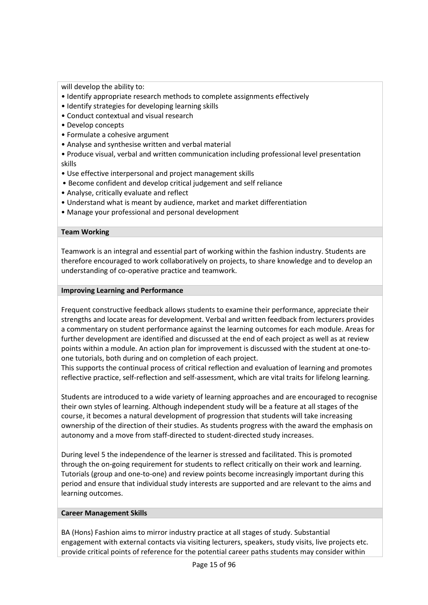will develop the ability to:

- Identify appropriate research methods to complete assignments effectively
- Identify strategies for developing learning skills
- Conduct contextual and visual research
- Develop concepts
- Formulate a cohesive argument
- Analyse and synthesise written and verbal material
- Produce visual, verbal and written communication including professional level presentation skills
- Use effective interpersonal and project management skills
- Become confident and develop critical judgement and self reliance
- Analyse, critically evaluate and reflect
- Understand what is meant by audience, market and market differentiation
- Manage your professional and personal development

## **Team Working**

Teamwork is an integral and essential part of working within the fashion industry. Students are therefore encouraged to work collaboratively on projects, to share knowledge and to develop an understanding of co-operative practice and teamwork.

## **Improving Learning and Performance**

Frequent constructive feedback allows students to examine their performance, appreciate their strengths and locate areas for development. Verbal and written feedback from lecturers provides a commentary on student performance against the learning outcomes for each module. Areas for further development are identified and discussed at the end of each project as well as at review points within a module. An action plan for improvement is discussed with the student at one-toone tutorials, both during and on completion of each project.

This supports the continual process of critical reflection and evaluation of learning and promotes reflective practice, self-reflection and self-assessment, which are vital traits for lifelong learning.

Students are introduced to a wide variety of learning approaches and are encouraged to recognise their own styles of learning. Although independent study will be a feature at all stages of the course, it becomes a natural development of progression that students will take increasing ownership of the direction of their studies. As students progress with the award the emphasis on autonomy and a move from staff-directed to student-directed study increases.

During level 5 the independence of the learner is stressed and facilitated. This is promoted through the on-going requirement for students to reflect critically on their work and learning. Tutorials (group and one-to-one) and review points become increasingly important during this period and ensure that individual study interests are supported and are relevant to the aims and learning outcomes.

#### **Career Management Skills**

BA (Hons) Fashion aims to mirror industry practice at all stages of study. Substantial engagement with external contacts via visiting lecturers, speakers, study visits, live projects etc. provide critical points of reference for the potential career paths students may consider within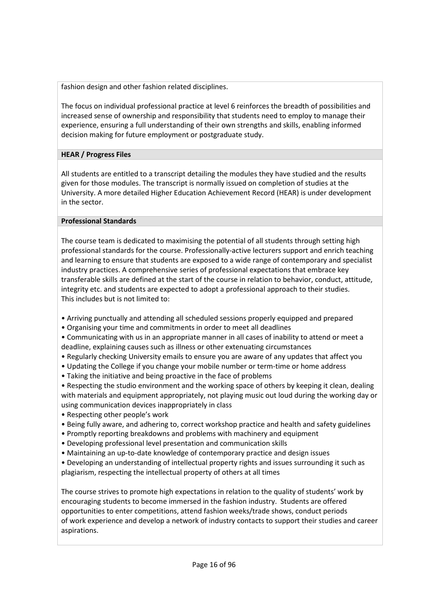fashion design and other fashion related disciplines.

The focus on individual professional practice at level 6 reinforces the breadth of possibilities and increased sense of ownership and responsibility that students need to employ to manage their experience, ensuring a full understanding of their own strengths and skills, enabling informed decision making for future employment or postgraduate study.

## **HEAR / Progress Files**

All students are entitled to a transcript detailing the modules they have studied and the results given for those modules. The transcript is normally issued on completion of studies at the University. A more detailed Higher Education Achievement Record (HEAR) is under development in the sector.

## **Professional Standards**

The course team is dedicated to maximising the potential of all students through setting high professional standards for the course. Professionally-active lecturers support and enrich teaching and learning to ensure that students are exposed to a wide range of contemporary and specialist industry practices. A comprehensive series of professional expectations that embrace key transferable skills are defined at the start of the course in relation to behavior, conduct, attitude, integrity etc. and students are expected to adopt a professional approach to their studies. This includes but is not limited to:

- Arriving punctually and attending all scheduled sessions properly equipped and prepared
- Organising your time and commitments in order to meet all deadlines
- Communicating with us in an appropriate manner in all cases of inability to attend or meet a deadline, explaining causes such as illness or other extenuating circumstances
- Regularly checking University emails to ensure you are aware of any updates that affect you
- Updating the College if you change your mobile number or term-time or home address
- Taking the initiative and being proactive in the face of problems
- Respecting the studio environment and the working space of others by keeping it clean, dealing with materials and equipment appropriately, not playing music out loud during the working day or using communication devices inappropriately in class
- Respecting other people's work
- Being fully aware, and adhering to, correct workshop practice and health and safety guidelines
- Promptly reporting breakdowns and problems with machinery and equipment
- Developing professional level presentation and communication skills
- Maintaining an up-to-date knowledge of contemporary practice and design issues
- Developing an understanding of intellectual property rights and issues surrounding it such as plagiarism, respecting the intellectual property of others at all times

The course strives to promote high expectations in relation to the quality of students' work by encouraging students to become immersed in the fashion industry. Students are offered opportunities to enter competitions, attend fashion weeks/trade shows, conduct periods of work experience and develop a network of industry contacts to support their studies and career aspirations.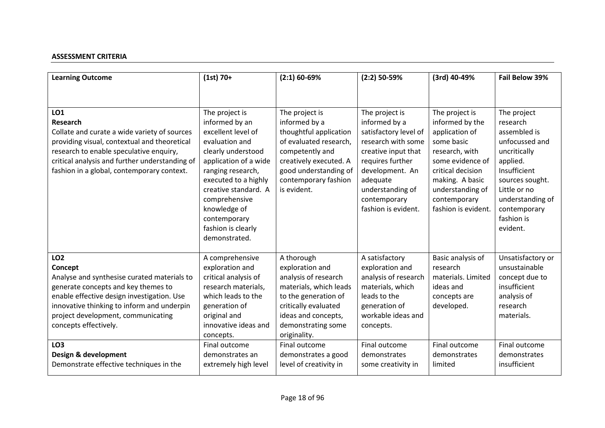## **ASSESSMENT CRITERIA**

| <b>Learning Outcome</b>                                                                                                                                                                                                                                                       | $(1st) 70+$                                                                                                                                                                                                                                                                          | $(2:1)$ 60-69%                                                                                                                                                                                   | $(2:2)$ 50-59%                                                                                                                                                                                                      | (3rd) 40-49%                                                                                                                                                                                               | Fail Below 39%                                                                                                                                                                                         |
|-------------------------------------------------------------------------------------------------------------------------------------------------------------------------------------------------------------------------------------------------------------------------------|--------------------------------------------------------------------------------------------------------------------------------------------------------------------------------------------------------------------------------------------------------------------------------------|--------------------------------------------------------------------------------------------------------------------------------------------------------------------------------------------------|---------------------------------------------------------------------------------------------------------------------------------------------------------------------------------------------------------------------|------------------------------------------------------------------------------------------------------------------------------------------------------------------------------------------------------------|--------------------------------------------------------------------------------------------------------------------------------------------------------------------------------------------------------|
| LO <sub>1</sub><br><b>Research</b><br>Collate and curate a wide variety of sources<br>providing visual, contextual and theoretical<br>research to enable speculative enquiry,<br>critical analysis and further understanding of<br>fashion in a global, contemporary context. | The project is<br>informed by an<br>excellent level of<br>evaluation and<br>clearly understood<br>application of a wide<br>ranging research,<br>executed to a highly<br>creative standard. A<br>comprehensive<br>knowledge of<br>contemporary<br>fashion is clearly<br>demonstrated. | The project is<br>informed by a<br>thoughtful application<br>of evaluated research,<br>competently and<br>creatively executed. A<br>good understanding of<br>contemporary fashion<br>is evident. | The project is<br>informed by a<br>satisfactory level of<br>research with some<br>creative input that<br>requires further<br>development. An<br>adequate<br>understanding of<br>contemporary<br>fashion is evident. | The project is<br>informed by the<br>application of<br>some basic<br>research, with<br>some evidence of<br>critical decision<br>making. A basic<br>understanding of<br>contemporary<br>fashion is evident. | The project<br>research<br>assembled is<br>unfocussed and<br>uncritically<br>applied.<br>Insufficient<br>sources sought.<br>Little or no<br>understanding of<br>contemporary<br>fashion is<br>evident. |
| LO <sub>2</sub><br>Concept<br>Analyse and synthesise curated materials to<br>generate concepts and key themes to<br>enable effective design investigation. Use<br>innovative thinking to inform and underpin<br>project development, communicating<br>concepts effectively.   | A comprehensive<br>exploration and<br>critical analysis of<br>research materials,<br>which leads to the<br>generation of<br>original and<br>innovative ideas and<br>concepts.                                                                                                        | A thorough<br>exploration and<br>analysis of research<br>materials, which leads<br>to the generation of<br>critically evaluated<br>ideas and concepts,<br>demonstrating some<br>originality.     | A satisfactory<br>exploration and<br>analysis of research<br>materials, which<br>leads to the<br>generation of<br>workable ideas and<br>concepts.                                                                   | Basic analysis of<br>research<br>materials. Limited<br>ideas and<br>concepts are<br>developed.                                                                                                             | Unsatisfactory or<br>unsustainable<br>concept due to<br>insufficient<br>analysis of<br>research<br>materials.                                                                                          |
| LO <sub>3</sub><br>Design & development<br>Demonstrate effective techniques in the                                                                                                                                                                                            | Final outcome<br>demonstrates an<br>extremely high level                                                                                                                                                                                                                             | Final outcome<br>demonstrates a good<br>level of creativity in                                                                                                                                   | Final outcome<br>demonstrates<br>some creativity in                                                                                                                                                                 | Final outcome<br>demonstrates<br>limited                                                                                                                                                                   | Final outcome<br>demonstrates<br>insufficient                                                                                                                                                          |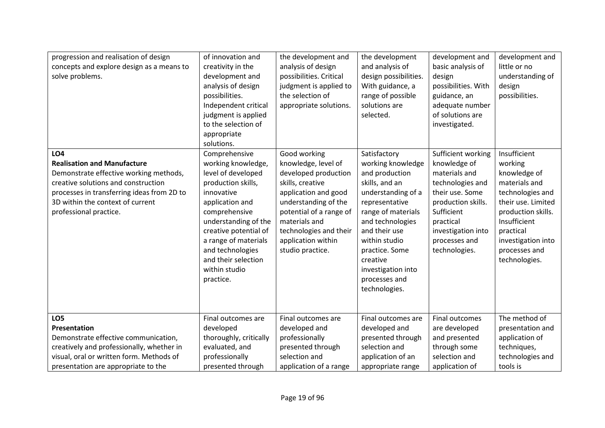| progression and realisation of design<br>concepts and explore design as a means to<br>solve problems.                                                                                                                                         | of innovation and<br>creativity in the<br>development and<br>analysis of design<br>possibilities.<br>Independent critical<br>judgment is applied<br>to the selection of<br>appropriate<br>solutions.                                                                                | the development and<br>analysis of design<br>possibilities. Critical<br>judgment is applied to<br>the selection of<br>appropriate solutions.                                                                                                    | the development<br>and analysis of<br>design possibilities.<br>With guidance, a<br>range of possible<br>solutions are<br>selected.                                                                                                                                              | development and<br>basic analysis of<br>design<br>possibilities. With<br>guidance, an<br>adequate number<br>of solutions are<br>investigated.                                                       | development and<br>little or no<br>understanding of<br>design<br>possibilities.                                                                                                                               |
|-----------------------------------------------------------------------------------------------------------------------------------------------------------------------------------------------------------------------------------------------|-------------------------------------------------------------------------------------------------------------------------------------------------------------------------------------------------------------------------------------------------------------------------------------|-------------------------------------------------------------------------------------------------------------------------------------------------------------------------------------------------------------------------------------------------|---------------------------------------------------------------------------------------------------------------------------------------------------------------------------------------------------------------------------------------------------------------------------------|-----------------------------------------------------------------------------------------------------------------------------------------------------------------------------------------------------|---------------------------------------------------------------------------------------------------------------------------------------------------------------------------------------------------------------|
| <b>LO4</b><br><b>Realisation and Manufacture</b><br>Demonstrate effective working methods,<br>creative solutions and construction<br>processes in transferring ideas from 2D to<br>3D within the context of current<br>professional practice. | Comprehensive<br>working knowledge,<br>level of developed<br>production skills,<br>innovative<br>application and<br>comprehensive<br>understanding of the<br>creative potential of<br>a range of materials<br>and technologies<br>and their selection<br>within studio<br>practice. | Good working<br>knowledge, level of<br>developed production<br>skills, creative<br>application and good<br>understanding of the<br>potential of a range of<br>materials and<br>technologies and their<br>application within<br>studio practice. | Satisfactory<br>working knowledge<br>and production<br>skills, and an<br>understanding of a<br>representative<br>range of materials<br>and technologies<br>and their use<br>within studio<br>practice. Some<br>creative<br>investigation into<br>processes and<br>technologies. | Sufficient working<br>knowledge of<br>materials and<br>technologies and<br>their use. Some<br>production skills.<br>Sufficient<br>practical<br>investigation into<br>processes and<br>technologies. | Insufficient<br>working<br>knowledge of<br>materials and<br>technologies and<br>their use. Limited<br>production skills.<br>Insufficient<br>practical<br>investigation into<br>processes and<br>technologies. |
| LO <sub>5</sub><br>Presentation<br>Demonstrate effective communication,<br>creatively and professionally, whether in<br>visual, oral or written form. Methods of<br>presentation are appropriate to the                                       | Final outcomes are<br>developed<br>thoroughly, critically<br>evaluated, and<br>professionally<br>presented through                                                                                                                                                                  | Final outcomes are<br>developed and<br>professionally<br>presented through<br>selection and<br>application of a range                                                                                                                           | Final outcomes are<br>developed and<br>presented through<br>selection and<br>application of an<br>appropriate range                                                                                                                                                             | Final outcomes<br>are developed<br>and presented<br>through some<br>selection and<br>application of                                                                                                 | The method of<br>presentation and<br>application of<br>techniques,<br>technologies and<br>tools is                                                                                                            |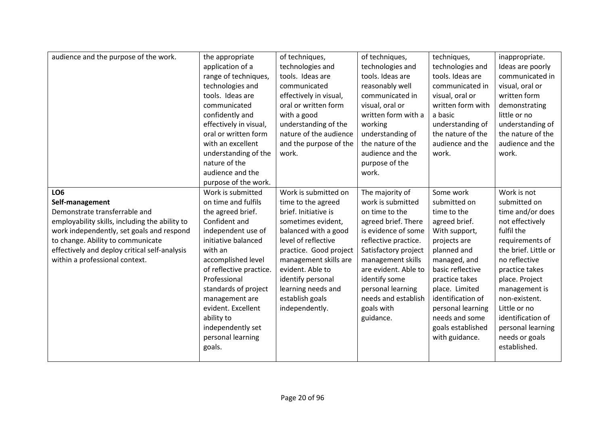| audience and the purpose of the work.          | the appropriate<br>application of a<br>range of techniques, | of techniques,<br>technologies and<br>tools. Ideas are | of techniques,<br>technologies and<br>tools. Ideas are | techniques,<br>technologies and<br>tools. Ideas are | inappropriate.<br>Ideas are poorly<br>communicated in |
|------------------------------------------------|-------------------------------------------------------------|--------------------------------------------------------|--------------------------------------------------------|-----------------------------------------------------|-------------------------------------------------------|
|                                                | technologies and                                            | communicated                                           | reasonably well                                        | communicated in                                     | visual, oral or                                       |
|                                                | tools. Ideas are                                            | effectively in visual,                                 | communicated in                                        | visual, oral or                                     | written form                                          |
|                                                | communicated                                                | oral or written form                                   | visual, oral or                                        | written form with                                   | demonstrating                                         |
|                                                | confidently and                                             | with a good                                            | written form with a                                    | a basic                                             | little or no                                          |
|                                                | effectively in visual,                                      | understanding of the                                   | working                                                | understanding of                                    | understanding of                                      |
|                                                | oral or written form                                        | nature of the audience                                 | understanding of                                       | the nature of the                                   | the nature of the                                     |
|                                                | with an excellent                                           | and the purpose of the                                 | the nature of the                                      | audience and the                                    | audience and the                                      |
|                                                | understanding of the                                        | work.                                                  | audience and the                                       | work.                                               | work.                                                 |
|                                                | nature of the                                               |                                                        | purpose of the                                         |                                                     |                                                       |
|                                                | audience and the                                            |                                                        | work.                                                  |                                                     |                                                       |
|                                                | purpose of the work.                                        |                                                        |                                                        |                                                     |                                                       |
| LO <sub>6</sub>                                | Work is submitted                                           | Work is submitted on                                   | The majority of                                        | Some work                                           | Work is not                                           |
| Self-management                                | on time and fulfils                                         | time to the agreed                                     | work is submitted                                      | submitted on                                        | submitted on                                          |
| Demonstrate transferrable and                  | the agreed brief.                                           | brief. Initiative is                                   | on time to the                                         | time to the                                         | time and/or does                                      |
| employability skills, including the ability to | Confident and                                               | sometimes evident,                                     | agreed brief. There                                    | agreed brief.                                       | not effectively                                       |
| work independently, set goals and respond      | independent use of                                          | balanced with a good                                   | is evidence of some                                    | With support,                                       | fulfil the                                            |
| to change. Ability to communicate              | initiative balanced                                         | level of reflective                                    | reflective practice.                                   | projects are                                        | requirements of                                       |
| effectively and deploy critical self-analysis  | with an                                                     | practice. Good project                                 | Satisfactory project                                   | planned and                                         | the brief. Little or                                  |
| within a professional context.                 | accomplished level                                          | management skills are                                  | management skills                                      | managed, and                                        | no reflective                                         |
|                                                | of reflective practice.                                     | evident. Able to                                       | are evident. Able to                                   | basic reflective                                    | practice takes                                        |
|                                                | Professional                                                | identify personal                                      | identify some                                          | practice takes                                      | place. Project                                        |
|                                                | standards of project                                        | learning needs and                                     | personal learning                                      | place. Limited                                      | management is                                         |
|                                                | management are                                              | establish goals                                        | needs and establish                                    | identification of                                   | non-existent.                                         |
|                                                | evident. Excellent                                          | independently.                                         | goals with                                             | personal learning                                   | Little or no                                          |
|                                                | ability to                                                  |                                                        | guidance.                                              | needs and some                                      | identification of                                     |
|                                                | independently set                                           |                                                        |                                                        | goals established                                   | personal learning                                     |
|                                                | personal learning                                           |                                                        |                                                        | with guidance.                                      | needs or goals                                        |
|                                                | goals.                                                      |                                                        |                                                        |                                                     | established.                                          |
|                                                |                                                             |                                                        |                                                        |                                                     |                                                       |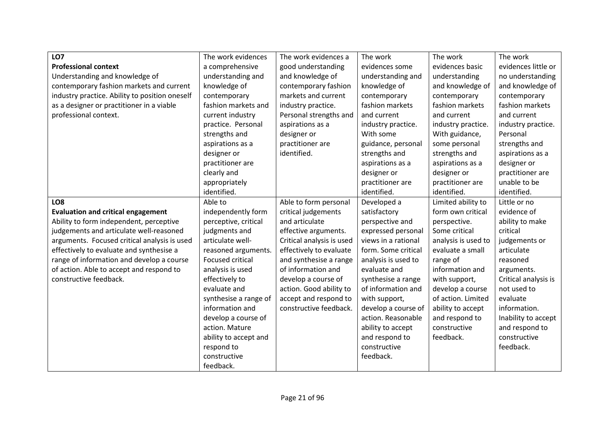| LO7                                            | The work evidences    | The work evidences a      | The work            | The work            | The work             |
|------------------------------------------------|-----------------------|---------------------------|---------------------|---------------------|----------------------|
| <b>Professional context</b>                    | a comprehensive       | good understanding        | evidences some      | evidences basic     | evidences little or  |
| Understanding and knowledge of                 | understanding and     | and knowledge of          | understanding and   | understanding       | no understanding     |
| contemporary fashion markets and current       | knowledge of          | contemporary fashion      | knowledge of        | and knowledge of    | and knowledge of     |
| industry practice. Ability to position oneself | contemporary          | markets and current       | contemporary        | contemporary        | contemporary         |
| as a designer or practitioner in a viable      | fashion markets and   | industry practice.        | fashion markets     | fashion markets     | fashion markets      |
| professional context.                          | current industry      | Personal strengths and    | and current         | and current         | and current          |
|                                                | practice. Personal    | aspirations as a          | industry practice.  | industry practice.  | industry practice.   |
|                                                | strengths and         | designer or               | With some           | With guidance,      | Personal             |
|                                                | aspirations as a      | practitioner are          | guidance, personal  | some personal       | strengths and        |
|                                                | designer or           | identified.               | strengths and       | strengths and       | aspirations as a     |
|                                                | practitioner are      |                           | aspirations as a    | aspirations as a    | designer or          |
|                                                | clearly and           |                           | designer or         | designer or         | practitioner are     |
|                                                | appropriately         |                           | practitioner are    | practitioner are    | unable to be         |
|                                                | identified.           |                           | identified.         | identified.         | identified.          |
| LO <sub>8</sub>                                | Able to               | Able to form personal     | Developed a         | Limited ability to  | Little or no         |
| <b>Evaluation and critical engagement</b>      | independently form    | critical judgements       | satisfactory        | form own critical   | evidence of          |
| Ability to form independent, perceptive        | perceptive, critical  | and articulate            | perspective and     | perspective.        | ability to make      |
| judgements and articulate well-reasoned        | judgments and         | effective arguments.      | expressed personal  | Some critical       | critical             |
| arguments. Focused critical analysis is used   | articulate well-      | Critical analysis is used | views in a rational | analysis is used to | judgements or        |
| effectively to evaluate and synthesise a       | reasoned arguments.   | effectively to evaluate   | form. Some critical | evaluate a small    | articulate           |
| range of information and develop a course      | Focused critical      | and synthesise a range    | analysis is used to | range of            | reasoned             |
| of action. Able to accept and respond to       | analysis is used      | of information and        | evaluate and        | information and     | arguments.           |
| constructive feedback.                         | effectively to        | develop a course of       | synthesise a range  | with support,       | Critical analysis is |
|                                                | evaluate and          | action. Good ability to   | of information and  | develop a course    | not used to          |
|                                                | synthesise a range of | accept and respond to     | with support,       | of action. Limited  | evaluate             |
|                                                | information and       | constructive feedback.    | develop a course of | ability to accept   | information.         |
|                                                | develop a course of   |                           | action. Reasonable  | and respond to      | Inability to accept  |
|                                                | action. Mature        |                           | ability to accept   | constructive        | and respond to       |
|                                                | ability to accept and |                           | and respond to      | feedback.           | constructive         |
|                                                | respond to            |                           | constructive        |                     | feedback.            |
|                                                | constructive          |                           | feedback.           |                     |                      |
|                                                | feedback.             |                           |                     |                     |                      |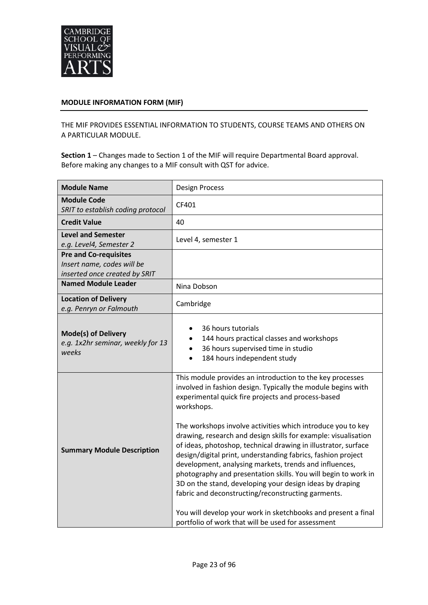

#### **MODULE INFORMATION FORM (MIF)**

THE MIF PROVIDES ESSENTIAL INFORMATION TO STUDENTS, COURSE TEAMS AND OTHERS ON A PARTICULAR MODULE.

**Section 1** – Changes made to Section 1 of the MIF will require Departmental Board approval. Before making any changes to a MIF consult with QST for advice.

| <b>Module Name</b>                                                                          | <b>Design Process</b>                                                                                                                                                                                                                                                                                                                                                                                                                                                                                                                                                                                                                                                                                                                                                                                                                 |
|---------------------------------------------------------------------------------------------|---------------------------------------------------------------------------------------------------------------------------------------------------------------------------------------------------------------------------------------------------------------------------------------------------------------------------------------------------------------------------------------------------------------------------------------------------------------------------------------------------------------------------------------------------------------------------------------------------------------------------------------------------------------------------------------------------------------------------------------------------------------------------------------------------------------------------------------|
| <b>Module Code</b><br>SRIT to establish coding protocol                                     | CF401                                                                                                                                                                                                                                                                                                                                                                                                                                                                                                                                                                                                                                                                                                                                                                                                                                 |
| <b>Credit Value</b>                                                                         | 40                                                                                                                                                                                                                                                                                                                                                                                                                                                                                                                                                                                                                                                                                                                                                                                                                                    |
| <b>Level and Semester</b><br>e.g. Level4, Semester 2                                        | Level 4, semester 1                                                                                                                                                                                                                                                                                                                                                                                                                                                                                                                                                                                                                                                                                                                                                                                                                   |
| <b>Pre and Co-requisites</b><br>Insert name, codes will be<br>inserted once created by SRIT |                                                                                                                                                                                                                                                                                                                                                                                                                                                                                                                                                                                                                                                                                                                                                                                                                                       |
| <b>Named Module Leader</b>                                                                  | Nina Dobson                                                                                                                                                                                                                                                                                                                                                                                                                                                                                                                                                                                                                                                                                                                                                                                                                           |
| <b>Location of Delivery</b><br>e.g. Penryn or Falmouth                                      | Cambridge                                                                                                                                                                                                                                                                                                                                                                                                                                                                                                                                                                                                                                                                                                                                                                                                                             |
| <b>Mode(s) of Delivery</b><br>e.g. 1x2hr seminar, weekly for 13<br>weeks                    | 36 hours tutorials<br>144 hours practical classes and workshops<br>36 hours supervised time in studio<br>184 hours independent study                                                                                                                                                                                                                                                                                                                                                                                                                                                                                                                                                                                                                                                                                                  |
| <b>Summary Module Description</b>                                                           | This module provides an introduction to the key processes<br>involved in fashion design. Typically the module begins with<br>experimental quick fire projects and process-based<br>workshops.<br>The workshops involve activities which introduce you to key<br>drawing, research and design skills for example: visualisation<br>of ideas, photoshop, technical drawing in illustrator, surface<br>design/digital print, understanding fabrics, fashion project<br>development, analysing markets, trends and influences,<br>photography and presentation skills. You will begin to work in<br>3D on the stand, developing your design ideas by draping<br>fabric and deconstructing/reconstructing garments.<br>You will develop your work in sketchbooks and present a final<br>portfolio of work that will be used for assessment |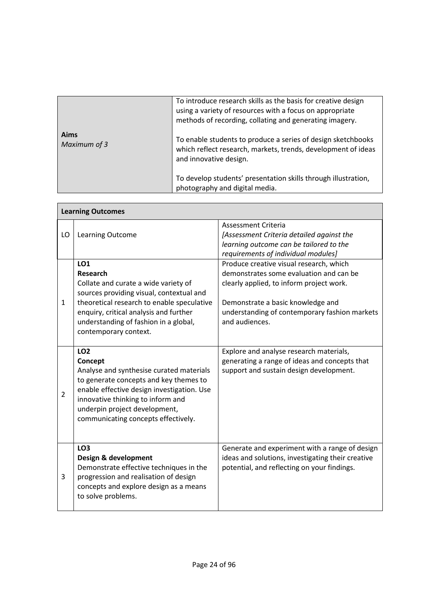|                      | To introduce research skills as the basis for creative design<br>using a variety of resources with a focus on appropriate<br>methods of recording, collating and generating imagery. |
|----------------------|--------------------------------------------------------------------------------------------------------------------------------------------------------------------------------------|
| Aims<br>Maximum of 3 | To enable students to produce a series of design sketchbooks<br>which reflect research, markets, trends, development of ideas<br>and innovative design.                              |
|                      | To develop students' presentation skills through illustration,<br>photography and digital media.                                                                                     |

|                | <b>Learning Outcomes</b>                                                                                                                                                                                                                                                    |                                                                                                                                                                                                                                        |
|----------------|-----------------------------------------------------------------------------------------------------------------------------------------------------------------------------------------------------------------------------------------------------------------------------|----------------------------------------------------------------------------------------------------------------------------------------------------------------------------------------------------------------------------------------|
| LO             | Learning Outcome                                                                                                                                                                                                                                                            | <b>Assessment Criteria</b><br>[Assessment Criteria detailed against the<br>learning outcome can be tailored to the<br>requirements of individual modules]                                                                              |
| $\mathbf{1}$   | LO1<br><b>Research</b><br>Collate and curate a wide variety of<br>sources providing visual, contextual and<br>theoretical research to enable speculative<br>enquiry, critical analysis and further<br>understanding of fashion in a global,<br>contemporary context.        | Produce creative visual research, which<br>demonstrates some evaluation and can be<br>clearly applied, to inform project work.<br>Demonstrate a basic knowledge and<br>understanding of contemporary fashion markets<br>and audiences. |
| $\overline{2}$ | LO <sub>2</sub><br>Concept<br>Analyse and synthesise curated materials<br>to generate concepts and key themes to<br>enable effective design investigation. Use<br>innovative thinking to inform and<br>underpin project development,<br>communicating concepts effectively. | Explore and analyse research materials,<br>generating a range of ideas and concepts that<br>support and sustain design development.                                                                                                    |
| 3              | LO <sub>3</sub><br>Design & development<br>Demonstrate effective techniques in the<br>progression and realisation of design<br>concepts and explore design as a means<br>to solve problems.                                                                                 | Generate and experiment with a range of design<br>ideas and solutions, investigating their creative<br>potential, and reflecting on your findings.                                                                                     |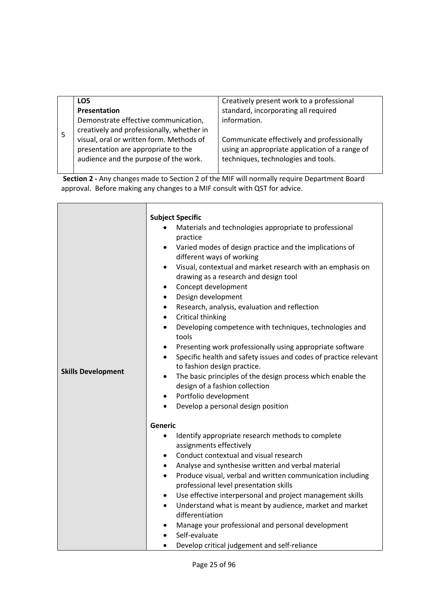| LO5                                       | Creatively present work to a professional      |
|-------------------------------------------|------------------------------------------------|
| Presentation                              | standard, incorporating all required           |
| Demonstrate effective communication,      | information.                                   |
| creatively and professionally, whether in |                                                |
| visual, oral or written form. Methods of  | Communicate effectively and professionally     |
| presentation are appropriate to the       | using an appropriate application of a range of |
| audience and the purpose of the work.     | techniques, technologies and tools.            |
|                                           |                                                |

**Section 2 -** Any changes made to Section 2 of the MIF will normally require Department Board approval. Before making any changes to a MIF consult with QST for advice.

|                           | <b>Subject Specific</b>                                                       |
|---------------------------|-------------------------------------------------------------------------------|
|                           | Materials and technologies appropriate to professional                        |
|                           | practice                                                                      |
|                           | Varied modes of design practice and the implications of                       |
|                           | different ways of working                                                     |
|                           | Visual, contextual and market research with an emphasis on<br>$\bullet$       |
|                           | drawing as a research and design tool                                         |
|                           | Concept development<br>$\bullet$                                              |
|                           | Design development<br>$\bullet$                                               |
|                           | Research, analysis, evaluation and reflection<br>$\bullet$                    |
|                           | Critical thinking<br>$\bullet$                                                |
|                           | Developing competence with techniques, technologies and<br>$\bullet$          |
|                           | tools                                                                         |
|                           | Presenting work professionally using appropriate software<br>$\bullet$        |
|                           | Specific health and safety issues and codes of practice relevant<br>$\bullet$ |
| <b>Skills Development</b> | to fashion design practice.                                                   |
|                           | The basic principles of the design process which enable the<br>$\bullet$      |
|                           | design of a fashion collection                                                |
|                           | Portfolio development<br>$\bullet$                                            |
|                           | Develop a personal design position                                            |
|                           | Generic                                                                       |
|                           | Identify appropriate research methods to complete<br>$\bullet$                |
|                           | assignments effectively                                                       |
|                           | Conduct contextual and visual research<br>$\bullet$                           |
|                           | Analyse and synthesise written and verbal material<br>٠                       |
|                           | Produce visual, verbal and written communication including<br>$\bullet$       |
|                           | professional level presentation skills                                        |
|                           | Use effective interpersonal and project management skills<br>$\bullet$        |
|                           | Understand what is meant by audience, market and market<br>$\bullet$          |
|                           | differentiation                                                               |
|                           | Manage your professional and personal development                             |
|                           | Self-evaluate                                                                 |
|                           | Develop critical judgement and self-reliance                                  |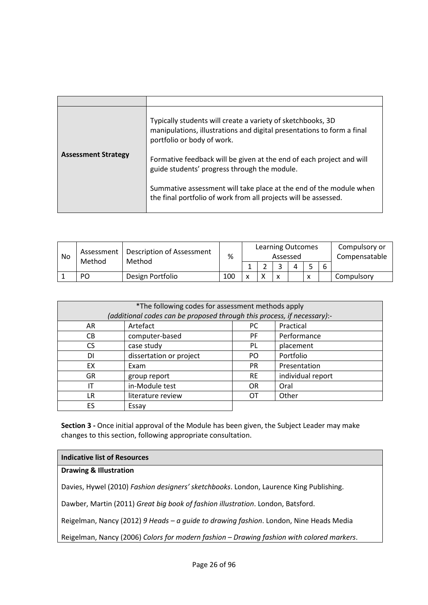|                            | Typically students will create a variety of sketchbooks, 3D<br>manipulations, illustrations and digital presentations to form a final<br>portfolio or body of work. |
|----------------------------|---------------------------------------------------------------------------------------------------------------------------------------------------------------------|
| <b>Assessment Strategy</b> | Formative feedback will be given at the end of each project and will<br>guide students' progress through the module.                                                |
|                            | Summative assessment will take place at the end of the module when<br>the final portfolio of work from all projects will be assessed.                               |

| No | <b>Description of Assessment</b><br>Assessment<br>Method<br>Method | %                | <b>Learning Outcomes</b><br>Assessed |                          |  |   | Compulsory or<br>Compensatable |   |  |            |
|----|--------------------------------------------------------------------|------------------|--------------------------------------|--------------------------|--|---|--------------------------------|---|--|------------|
|    |                                                                    |                  |                                      |                          |  |   |                                | 6 |  |            |
|    | PO                                                                 | Design Portfolio | 100                                  | $\overline{\phantom{a}}$ |  | x |                                | X |  | Compulsory |

| *The following codes for assessment methods apply<br>(additional codes can be proposed through this process, if necessary):- |                         |           |                   |  |
|------------------------------------------------------------------------------------------------------------------------------|-------------------------|-----------|-------------------|--|
| AR                                                                                                                           | Artefact                | PC.       | Practical         |  |
| CВ                                                                                                                           | computer-based          | <b>PF</b> | Performance       |  |
| CS.                                                                                                                          | case study              | PL        | placement         |  |
| DI                                                                                                                           | dissertation or project | PO.       | Portfolio         |  |
| EX                                                                                                                           | Exam                    | <b>PR</b> | Presentation      |  |
| <b>GR</b>                                                                                                                    | group report            | <b>RE</b> | individual report |  |
| ΙT                                                                                                                           | in-Module test          | OR.       | Oral              |  |
| LR                                                                                                                           | literature review       | OТ        | Other             |  |
| ES                                                                                                                           | Essay                   |           |                   |  |

**Section 3 -** Once initial approval of the Module has been given, the Subject Leader may make changes to this section, following appropriate consultation.

#### **Indicative list of Resources**

## **Drawing & Illustration**

Davies, Hywel (2010) *Fashion designers' sketchbooks*. London, Laurence King Publishing.

Dawber, Martin (2011) *Great big book of fashion illustration*. London, Batsford.

Reigelman, Nancy (2012) *9 Heads – a guide to drawing fashion*. London, Nine Heads Media

Reigelman, Nancy (2006) *Colors for modern fashion – Drawing fashion with colored markers*.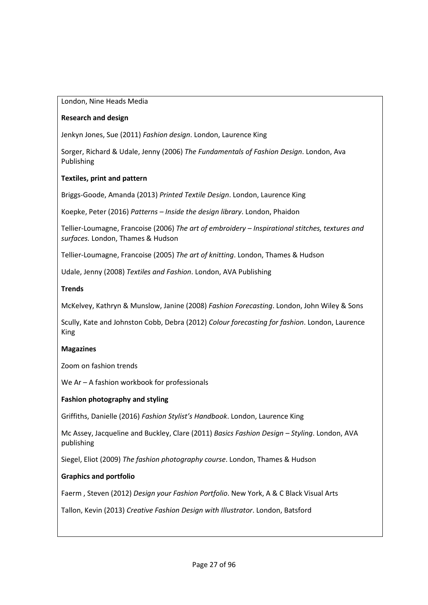#### London, Nine Heads Media

## **Research and design**

Jenkyn Jones, Sue (2011) *Fashion design*. London, Laurence King

Sorger, Richard & Udale, Jenny (2006) *The Fundamentals of Fashion Design*. London, Ava Publishing

## **Textiles, print and pattern**

Briggs-Goode, Amanda (2013) *Printed Textile Design*. London, Laurence King

Koepke, Peter (2016) *Patterns – Inside the design library*. London, Phaidon

Tellier-Loumagne, Francoise (2006) *The art of embroidery – Inspirational stitches, textures and surfaces.* London, Thames & Hudson

Tellier-Loumagne, Francoise (2005) *The art of knitting*. London, Thames & Hudson

Udale, Jenny (2008) *Textiles and Fashion*. London, AVA Publishing

## **Trends**

McKelvey, Kathryn & Munslow, Janine (2008) *Fashion Forecasting*. London, John Wiley & Sons

Scully, Kate and Johnston Cobb, Debra (2012) *Colour forecasting for fashion*. London, Laurence King

#### **Magazines**

Zoom on fashion trends

We Ar – A fashion workbook for professionals

#### **Fashion photography and styling**

Griffiths, Danielle (2016) *Fashion Stylist's Handbook*. London, Laurence King

Mc Assey, Jacqueline and Buckley, Clare (2011) *Basics Fashion Design – Styling*. London, AVA publishing

Siegel, Eliot (2009) *The fashion photography course*. London, Thames & Hudson

## **Graphics and portfolio**

Faerm , Steven (2012) *Design your Fashion Portfolio*. New York, A & C Black Visual Arts

Tallon, Kevin (2013) *Creative Fashion Design with Illustrator*. London, Batsford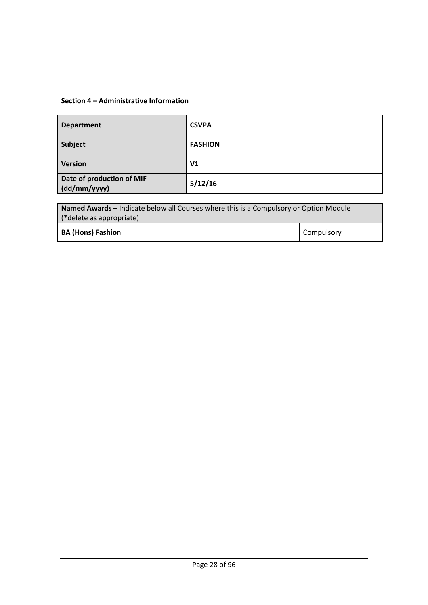## **Section 4 – Administrative Information**

| <b>Department</b>                         | <b>CSVPA</b>   |
|-------------------------------------------|----------------|
| Subject                                   | <b>FASHION</b> |
| <b>Version</b>                            | V <sub>1</sub> |
| Date of production of MIF<br>(dd/mm/yyyy) | 5/12/16        |

| <b>Named Awards</b> – Indicate below all Courses where this is a Compulsory or Option Module |                   |  |
|----------------------------------------------------------------------------------------------|-------------------|--|
|                                                                                              |                   |  |
| (*delete as appropriate)                                                                     |                   |  |
| <b>BA (Hons) Fashion</b>                                                                     | <b>Compulsory</b> |  |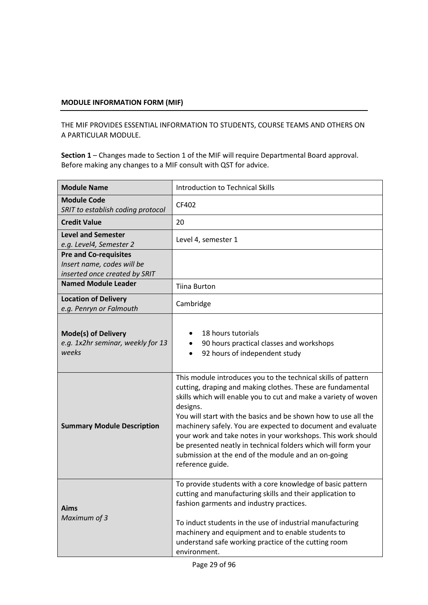## **MODULE INFORMATION FORM (MIF)**

THE MIF PROVIDES ESSENTIAL INFORMATION TO STUDENTS, COURSE TEAMS AND OTHERS ON A PARTICULAR MODULE.

**Section 1** – Changes made to Section 1 of the MIF will require Departmental Board approval. Before making any changes to a MIF consult with QST for advice.

| <b>Module Name</b>                                                                          | <b>Introduction to Technical Skills</b>                                                                                                                                                                                                                                                                                                                                                                                                                                                                                                                 |  |
|---------------------------------------------------------------------------------------------|---------------------------------------------------------------------------------------------------------------------------------------------------------------------------------------------------------------------------------------------------------------------------------------------------------------------------------------------------------------------------------------------------------------------------------------------------------------------------------------------------------------------------------------------------------|--|
| <b>Module Code</b><br>SRIT to establish coding protocol                                     | CF402                                                                                                                                                                                                                                                                                                                                                                                                                                                                                                                                                   |  |
| <b>Credit Value</b>                                                                         | 20                                                                                                                                                                                                                                                                                                                                                                                                                                                                                                                                                      |  |
| <b>Level and Semester</b><br>e.g. Level4, Semester 2                                        | Level 4, semester 1                                                                                                                                                                                                                                                                                                                                                                                                                                                                                                                                     |  |
| <b>Pre and Co-requisites</b><br>Insert name, codes will be<br>inserted once created by SRIT |                                                                                                                                                                                                                                                                                                                                                                                                                                                                                                                                                         |  |
| <b>Named Module Leader</b>                                                                  | <b>Tiina Burton</b>                                                                                                                                                                                                                                                                                                                                                                                                                                                                                                                                     |  |
| <b>Location of Delivery</b><br>e.g. Penryn or Falmouth                                      | Cambridge                                                                                                                                                                                                                                                                                                                                                                                                                                                                                                                                               |  |
| <b>Mode(s) of Delivery</b><br>e.g. 1x2hr seminar, weekly for 13<br>weeks                    | 18 hours tutorials<br>90 hours practical classes and workshops<br>92 hours of independent study                                                                                                                                                                                                                                                                                                                                                                                                                                                         |  |
| <b>Summary Module Description</b>                                                           | This module introduces you to the technical skills of pattern<br>cutting, draping and making clothes. These are fundamental<br>skills which will enable you to cut and make a variety of woven<br>designs.<br>You will start with the basics and be shown how to use all the<br>machinery safely. You are expected to document and evaluate<br>your work and take notes in your workshops. This work should<br>be presented neatly in technical folders which will form your<br>submission at the end of the module and an on-going<br>reference guide. |  |
| Aims<br>Maximum of 3                                                                        | To provide students with a core knowledge of basic pattern<br>cutting and manufacturing skills and their application to<br>fashion garments and industry practices.<br>To induct students in the use of industrial manufacturing<br>machinery and equipment and to enable students to<br>understand safe working practice of the cutting room<br>environment.                                                                                                                                                                                           |  |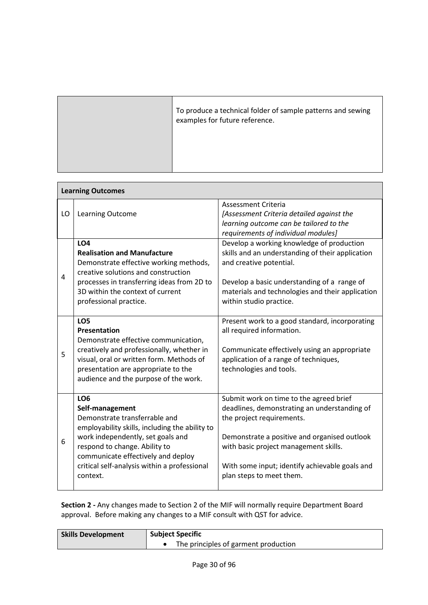| To produce a technical folder of sample patterns and sewing<br>examples for future reference. |
|-----------------------------------------------------------------------------------------------|
|                                                                                               |

| <b>Learning Outcomes</b> |                                                                                                                                                                                                                                                                                               |                                                                                                                                                                                                                                                                                             |  |  |  |
|--------------------------|-----------------------------------------------------------------------------------------------------------------------------------------------------------------------------------------------------------------------------------------------------------------------------------------------|---------------------------------------------------------------------------------------------------------------------------------------------------------------------------------------------------------------------------------------------------------------------------------------------|--|--|--|
| LO                       | Learning Outcome                                                                                                                                                                                                                                                                              | Assessment Criteria<br>[Assessment Criteria detailed against the<br>learning outcome can be tailored to the<br>requirements of individual modules]                                                                                                                                          |  |  |  |
| 4                        | <b>LO4</b><br><b>Realisation and Manufacture</b><br>Demonstrate effective working methods,<br>creative solutions and construction<br>processes in transferring ideas from 2D to<br>3D within the context of current<br>professional practice.                                                 | Develop a working knowledge of production<br>skills and an understanding of their application<br>and creative potential.<br>Develop a basic understanding of a range of<br>materials and technologies and their application<br>within studio practice.                                      |  |  |  |
| 5                        | LO <sub>5</sub><br>Presentation<br>Demonstrate effective communication,<br>creatively and professionally, whether in<br>visual, oral or written form. Methods of<br>presentation are appropriate to the<br>audience and the purpose of the work.                                              | Present work to a good standard, incorporating<br>all required information.<br>Communicate effectively using an appropriate<br>application of a range of techniques,<br>technologies and tools.                                                                                             |  |  |  |
| 6                        | LO <sub>6</sub><br>Self-management<br>Demonstrate transferrable and<br>employability skills, including the ability to<br>work independently, set goals and<br>respond to change. Ability to<br>communicate effectively and deploy<br>critical self-analysis within a professional<br>context. | Submit work on time to the agreed brief<br>deadlines, demonstrating an understanding of<br>the project requirements.<br>Demonstrate a positive and organised outlook<br>with basic project management skills.<br>With some input; identify achievable goals and<br>plan steps to meet them. |  |  |  |

**Section 2 -** Any changes made to Section 2 of the MIF will normally require Department Board approval. Before making any changes to a MIF consult with QST for advice.

| <b>Skills Development</b> | <b>Subject Specific</b>              |  |
|---------------------------|--------------------------------------|--|
|                           | The principles of garment production |  |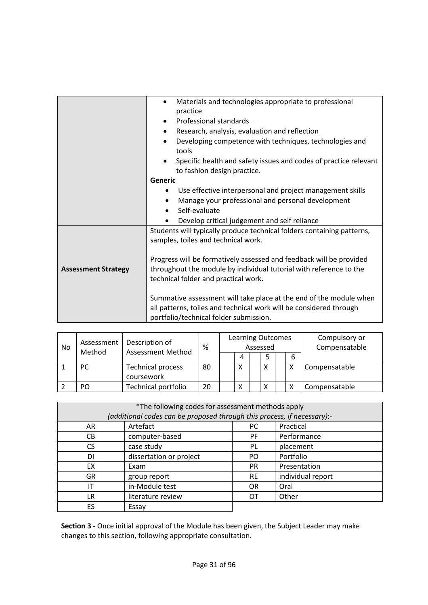|                            | Materials and technologies appropriate to professional                                                        |  |  |
|----------------------------|---------------------------------------------------------------------------------------------------------------|--|--|
|                            | practice                                                                                                      |  |  |
|                            | Professional standards                                                                                        |  |  |
|                            | Research, analysis, evaluation and reflection                                                                 |  |  |
|                            | Developing competence with techniques, technologies and<br>tools                                              |  |  |
|                            | Specific health and safety issues and codes of practice relevant<br>to fashion design practice.               |  |  |
|                            | Generic                                                                                                       |  |  |
|                            | Use effective interpersonal and project management skills                                                     |  |  |
|                            | Manage your professional and personal development<br>$\bullet$                                                |  |  |
|                            | Self-evaluate<br>$\bullet$                                                                                    |  |  |
|                            | Develop critical judgement and self reliance                                                                  |  |  |
|                            | Students will typically produce technical folders containing patterns,<br>samples, toiles and technical work. |  |  |
|                            | Progress will be formatively assessed and feedback will be provided                                           |  |  |
| <b>Assessment Strategy</b> | throughout the module by individual tutorial with reference to the                                            |  |  |
|                            | technical folder and practical work.                                                                          |  |  |
|                            | Summative assessment will take place at the end of the module when                                            |  |  |
|                            | all patterns, toiles and technical work will be considered through                                            |  |  |
|                            | portfolio/technical folder submission.                                                                        |  |  |

| No | Assessment<br>Method | Description of<br><b>Assessment Method</b> | %  | <b>Learning Outcomes</b><br>Assessed |   |  |              | Compulsory or<br>Compensatable |               |
|----|----------------------|--------------------------------------------|----|--------------------------------------|---|--|--------------|--------------------------------|---------------|
|    |                      |                                            |    |                                      | 4 |  | 5            | 6                              |               |
|    | <b>PC</b>            | <b>Technical process</b><br>coursework     | 80 |                                      | Χ |  | $\checkmark$ |                                | Compensatable |
|    | PO                   | <b>Technical portfolio</b>                 | 20 |                                      | Χ |  | $\checkmark$ |                                | Compensatable |

| *The following codes for assessment methods apply<br>(additional codes can be proposed through this process, if necessary):- |                             |           |                   |  |  |
|------------------------------------------------------------------------------------------------------------------------------|-----------------------------|-----------|-------------------|--|--|
| AR                                                                                                                           | Artefact<br>Practical<br>РC |           |                   |  |  |
| CВ                                                                                                                           | computer-based              | PF.       | Performance       |  |  |
| CS.                                                                                                                          | case study                  | PL.       | placement         |  |  |
| DI                                                                                                                           | dissertation or project     | PO.       | Portfolio         |  |  |
| <b>EX</b>                                                                                                                    | Exam                        | PR.       | Presentation      |  |  |
| <b>GR</b>                                                                                                                    | group report                | <b>RE</b> | individual report |  |  |
| IT                                                                                                                           | in-Module test              | <b>OR</b> | Oral              |  |  |
| LR.                                                                                                                          | literature review           | OТ        | Other             |  |  |
| ES                                                                                                                           | Essay                       |           |                   |  |  |

**Section 3 -** Once initial approval of the Module has been given, the Subject Leader may make changes to this section, following appropriate consultation.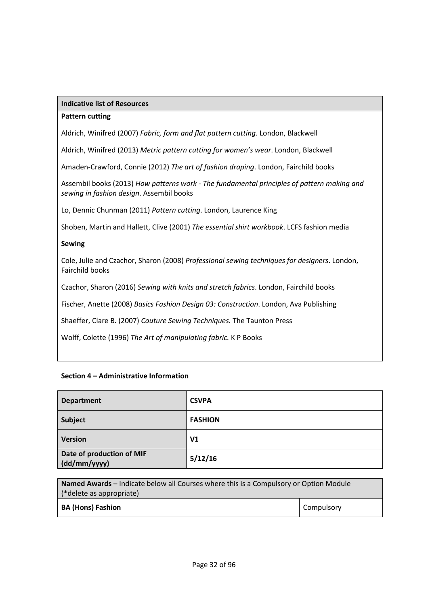#### **Indicative list of Resources**

#### **Pattern cutting**

Aldrich, Winifred (2007) *Fabric, form and flat pattern cutting*. London, Blackwell

Aldrich, Winifred (2013) *Metric pattern cutting for women's wear*. London, Blackwell

Amaden-Crawford, Connie (2012) *The art of fashion draping*. London, Fairchild books

Assembil books (2013) *How patterns work - The fundamental principles of pattern making and sewing in fashion design*. Assembil books

Lo, Dennic Chunman (2011) *Pattern cutting*. London, Laurence King

Shoben, Martin and Hallett, Clive (2001) *The essential shirt workbook*. LCFS fashion media

#### **Sewing**

Cole, Julie and Czachor, Sharon (2008) *Professional sewing techniques for designers*. London, Fairchild books

Czachor, Sharon (2016) *Sewing with knits and stretch fabrics*. London, Fairchild books

Fischer, Anette (2008) *Basics Fashion Design 03: Construction*. London, Ava Publishing

Shaeffer, Clare B. (2007) *Couture Sewing Techniques.* The Taunton Press

Wolff, Colette (1996) *The Art of manipulating fabric.* K P Books

#### **Section 4 – Administrative Information**

| <b>Department</b>                         | <b>CSVPA</b>   |
|-------------------------------------------|----------------|
| Subject                                   | <b>FASHION</b> |
| <b>Version</b>                            | V <sub>1</sub> |
| Date of production of MIF<br>(dd/mm/yyyy) | 5/12/16        |

| <b>Named Awards</b> – Indicate below all Courses where this is a Compulsory or Option Module |            |  |
|----------------------------------------------------------------------------------------------|------------|--|
| (*delete as appropriate)                                                                     |            |  |
| <b>BA (Hons) Fashion</b>                                                                     | Compulsory |  |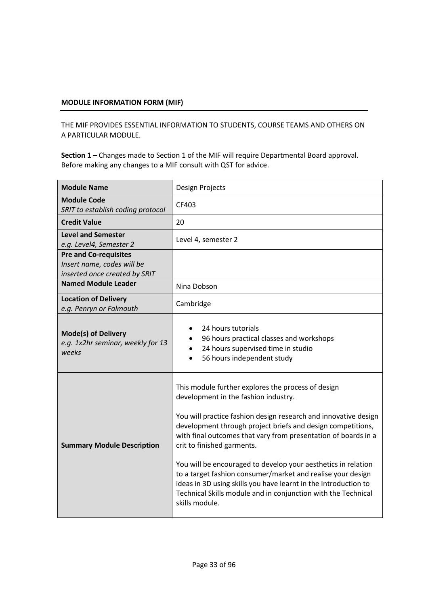## **MODULE INFORMATION FORM (MIF)**

THE MIF PROVIDES ESSENTIAL INFORMATION TO STUDENTS, COURSE TEAMS AND OTHERS ON A PARTICULAR MODULE.

**Section 1** – Changes made to Section 1 of the MIF will require Departmental Board approval. Before making any changes to a MIF consult with QST for advice.

| <b>Module Name</b>                                                                          | Design Projects                                                                                                                                                                                                                                                                                                                                                                                                                                                                                                                                                                                                    |
|---------------------------------------------------------------------------------------------|--------------------------------------------------------------------------------------------------------------------------------------------------------------------------------------------------------------------------------------------------------------------------------------------------------------------------------------------------------------------------------------------------------------------------------------------------------------------------------------------------------------------------------------------------------------------------------------------------------------------|
| <b>Module Code</b><br>SRIT to establish coding protocol                                     | CF403                                                                                                                                                                                                                                                                                                                                                                                                                                                                                                                                                                                                              |
| <b>Credit Value</b>                                                                         | 20                                                                                                                                                                                                                                                                                                                                                                                                                                                                                                                                                                                                                 |
| <b>Level and Semester</b><br>e.g. Level4, Semester 2                                        | Level 4, semester 2                                                                                                                                                                                                                                                                                                                                                                                                                                                                                                                                                                                                |
| <b>Pre and Co-requisites</b><br>Insert name, codes will be<br>inserted once created by SRIT |                                                                                                                                                                                                                                                                                                                                                                                                                                                                                                                                                                                                                    |
| <b>Named Module Leader</b>                                                                  | Nina Dobson                                                                                                                                                                                                                                                                                                                                                                                                                                                                                                                                                                                                        |
| <b>Location of Delivery</b><br>e.g. Penryn or Falmouth                                      | Cambridge                                                                                                                                                                                                                                                                                                                                                                                                                                                                                                                                                                                                          |
| <b>Mode(s) of Delivery</b><br>e.g. 1x2hr seminar, weekly for 13<br>weeks                    | 24 hours tutorials<br>96 hours practical classes and workshops<br>24 hours supervised time in studio<br>56 hours independent study                                                                                                                                                                                                                                                                                                                                                                                                                                                                                 |
| <b>Summary Module Description</b>                                                           | This module further explores the process of design<br>development in the fashion industry.<br>You will practice fashion design research and innovative design<br>development through project briefs and design competitions,<br>with final outcomes that vary from presentation of boards in a<br>crit to finished garments.<br>You will be encouraged to develop your aesthetics in relation<br>to a target fashion consumer/market and realise your design<br>ideas in 3D using skills you have learnt in the Introduction to<br>Technical Skills module and in conjunction with the Technical<br>skills module. |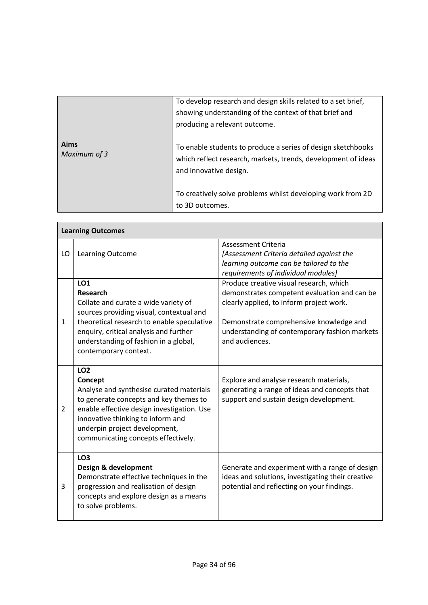|                      | To develop research and design skills related to a set brief,<br>showing understanding of the context of that brief and<br>producing a relevant outcome. |
|----------------------|----------------------------------------------------------------------------------------------------------------------------------------------------------|
| Aims<br>Maximum of 3 | To enable students to produce a series of design sketchbooks<br>which reflect research, markets, trends, development of ideas<br>and innovative design.  |
|                      | To creatively solve problems whilst developing work from 2D<br>to 3D outcomes.                                                                           |

|                | <b>Learning Outcomes</b>                                                                                                                                                                                                                                               |                                                                                                                                                                                                                                                   |  |  |  |  |
|----------------|------------------------------------------------------------------------------------------------------------------------------------------------------------------------------------------------------------------------------------------------------------------------|---------------------------------------------------------------------------------------------------------------------------------------------------------------------------------------------------------------------------------------------------|--|--|--|--|
| LO             | <b>Learning Outcome</b>                                                                                                                                                                                                                                                | Assessment Criteria<br>[Assessment Criteria detailed against the<br>learning outcome can be tailored to the<br>requirements of individual modules]                                                                                                |  |  |  |  |
| 1              | <b>LO1</b><br>Research<br>Collate and curate a wide variety of<br>sources providing visual, contextual and<br>theoretical research to enable speculative<br>enquiry, critical analysis and further<br>understanding of fashion in a global,<br>contemporary context.   | Produce creative visual research, which<br>demonstrates competent evaluation and can be<br>clearly applied, to inform project work.<br>Demonstrate comprehensive knowledge and<br>understanding of contemporary fashion markets<br>and audiences. |  |  |  |  |
| $\overline{2}$ | <b>LO2</b><br>Concept<br>Analyse and synthesise curated materials<br>to generate concepts and key themes to<br>enable effective design investigation. Use<br>innovative thinking to inform and<br>underpin project development,<br>communicating concepts effectively. | Explore and analyse research materials,<br>generating a range of ideas and concepts that<br>support and sustain design development.                                                                                                               |  |  |  |  |
| 3              | LO <sub>3</sub><br>Design & development<br>Demonstrate effective techniques in the<br>progression and realisation of design<br>concepts and explore design as a means<br>to solve problems.                                                                            | Generate and experiment with a range of design<br>ideas and solutions, investigating their creative<br>potential and reflecting on your findings.                                                                                                 |  |  |  |  |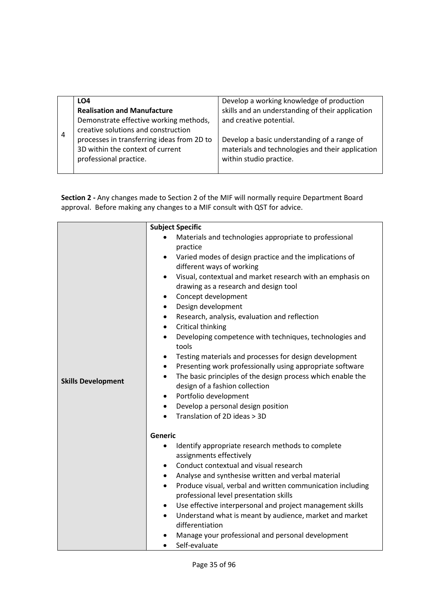|   | LO4                                        | Develop a working knowledge of production        |
|---|--------------------------------------------|--------------------------------------------------|
|   | <b>Realisation and Manufacture</b>         | skills and an understanding of their application |
|   | Demonstrate effective working methods,     | and creative potential.                          |
|   | creative solutions and construction        |                                                  |
| 4 | processes in transferring ideas from 2D to | Develop a basic understanding of a range of      |
|   | 3D within the context of current           | materials and technologies and their application |
|   | professional practice.                     | within studio practice.                          |
|   |                                            |                                                  |

**Section 2 -** Any changes made to Section 2 of the MIF will normally require Department Board approval. Before making any changes to a MIF consult with QST for advice.

|                           | <b>Subject Specific</b>                                                                                                                                                                                                                                                                                                                                                                                                                                                                                                                                                                       |
|---------------------------|-----------------------------------------------------------------------------------------------------------------------------------------------------------------------------------------------------------------------------------------------------------------------------------------------------------------------------------------------------------------------------------------------------------------------------------------------------------------------------------------------------------------------------------------------------------------------------------------------|
|                           | Materials and technologies appropriate to professional<br>practice                                                                                                                                                                                                                                                                                                                                                                                                                                                                                                                            |
|                           | Varied modes of design practice and the implications of<br>$\bullet$<br>different ways of working                                                                                                                                                                                                                                                                                                                                                                                                                                                                                             |
| <b>Skills Development</b> | Visual, contextual and market research with an emphasis on<br>$\bullet$<br>drawing as a research and design tool<br>Concept development<br>٠<br>Design development<br>$\bullet$<br>Research, analysis, evaluation and reflection<br>$\bullet$<br>Critical thinking<br>$\bullet$<br>Developing competence with techniques, technologies and<br>$\bullet$<br>tools<br>Testing materials and processes for design development<br>$\bullet$<br>Presenting work professionally using appropriate software<br>$\bullet$<br>The basic principles of the design process which enable the<br>$\bullet$ |
|                           | design of a fashion collection<br>Portfolio development<br>$\bullet$                                                                                                                                                                                                                                                                                                                                                                                                                                                                                                                          |
|                           | Develop a personal design position<br>$\bullet$                                                                                                                                                                                                                                                                                                                                                                                                                                                                                                                                               |
|                           | Translation of 2D ideas > 3D<br>$\bullet$                                                                                                                                                                                                                                                                                                                                                                                                                                                                                                                                                     |
|                           | <b>Generic</b>                                                                                                                                                                                                                                                                                                                                                                                                                                                                                                                                                                                |
|                           | Identify appropriate research methods to complete<br>$\bullet$<br>assignments effectively                                                                                                                                                                                                                                                                                                                                                                                                                                                                                                     |
|                           | Conduct contextual and visual research<br>$\bullet$                                                                                                                                                                                                                                                                                                                                                                                                                                                                                                                                           |
|                           | Analyse and synthesise written and verbal material<br>$\bullet$<br>Produce visual, verbal and written communication including<br>$\bullet$                                                                                                                                                                                                                                                                                                                                                                                                                                                    |
|                           | professional level presentation skills                                                                                                                                                                                                                                                                                                                                                                                                                                                                                                                                                        |
|                           | Use effective interpersonal and project management skills<br>$\bullet$                                                                                                                                                                                                                                                                                                                                                                                                                                                                                                                        |
|                           | Understand what is meant by audience, market and market<br>$\bullet$<br>differentiation                                                                                                                                                                                                                                                                                                                                                                                                                                                                                                       |
|                           | Manage your professional and personal development<br>Self-evaluate<br>$\bullet$                                                                                                                                                                                                                                                                                                                                                                                                                                                                                                               |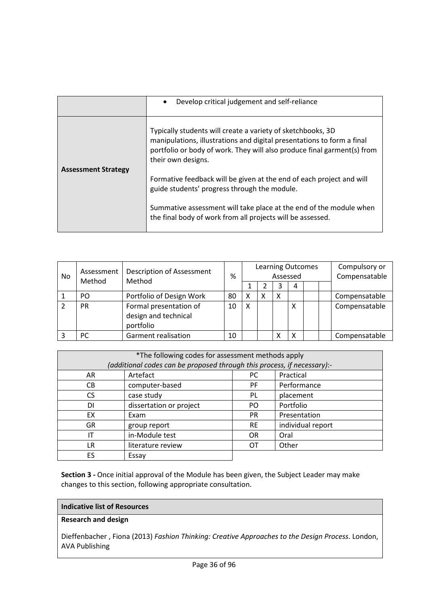|                            | Develop critical judgement and self-reliance<br>$\bullet$                                                                                                                                                                              |
|----------------------------|----------------------------------------------------------------------------------------------------------------------------------------------------------------------------------------------------------------------------------------|
| <b>Assessment Strategy</b> | Typically students will create a variety of sketchbooks, 3D<br>manipulations, illustrations and digital presentations to form a final<br>portfolio or body of work. They will also produce final garment(s) from<br>their own designs. |
|                            | Formative feedback will be given at the end of each project and will<br>guide students' progress through the module.                                                                                                                   |
|                            | Summative assessment will take place at the end of the module when<br>the final body of work from all projects will be assessed.                                                                                                       |

| No<br>Method | Assessment | Description of Assessment                                   | %  | <b>Learning Outcomes</b><br>Assessed |  |   |   |  | Compulsory or<br>Compensatable |               |
|--------------|------------|-------------------------------------------------------------|----|--------------------------------------|--|---|---|--|--------------------------------|---------------|
|              |            | Method                                                      |    |                                      |  | ੨ | 4 |  |                                |               |
|              | PO         | Portfolio of Design Work                                    | 80 | Χ                                    |  | X |   |  |                                | Compensatable |
|              | <b>PR</b>  | Formal presentation of<br>design and technical<br>portfolio | 10 | X                                    |  |   | х |  |                                | Compensatable |
|              | <b>PC</b>  | Garment realisation                                         | 10 |                                      |  | х | X |  |                                | Compensatable |

| *The following codes for assessment methods apply<br>(additional codes can be proposed through this process, if necessary):- |                         |           |                   |  |  |  |  |  |
|------------------------------------------------------------------------------------------------------------------------------|-------------------------|-----------|-------------------|--|--|--|--|--|
|                                                                                                                              |                         |           |                   |  |  |  |  |  |
| AR                                                                                                                           | Artefact                | PC        | Practical         |  |  |  |  |  |
| CB.                                                                                                                          | computer-based          | <b>PF</b> | Performance       |  |  |  |  |  |
| CS.                                                                                                                          | case study              | PL        | placement         |  |  |  |  |  |
| DI                                                                                                                           | dissertation or project | PO.       | Portfolio         |  |  |  |  |  |
| EX                                                                                                                           | Exam                    | <b>PR</b> | Presentation      |  |  |  |  |  |
| <b>GR</b>                                                                                                                    | group report            | <b>RE</b> | individual report |  |  |  |  |  |
| ΙT                                                                                                                           | in-Module test          | <b>OR</b> | Oral              |  |  |  |  |  |
| LR                                                                                                                           | literature review       | OТ        | Other             |  |  |  |  |  |
| ES                                                                                                                           | Essay                   |           |                   |  |  |  |  |  |

**Section 3 -** Once initial approval of the Module has been given, the Subject Leader may make changes to this section, following appropriate consultation.

## **Indicative list of Resources**

## **Research and design**

Dieffenbacher , Fiona (2013) *Fashion Thinking: Creative Approaches to the Design Process*. London, AVA Publishing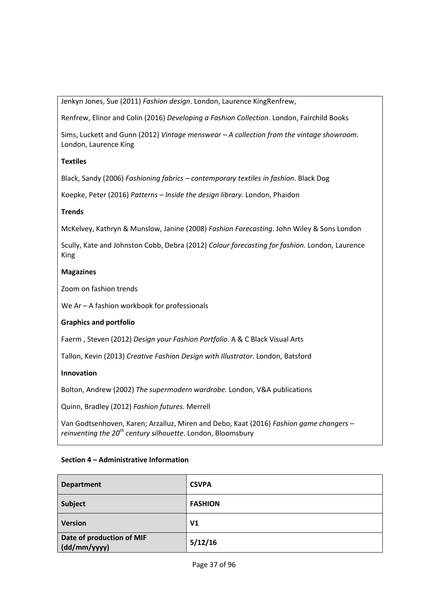Jenkyn Jones, Sue (2011) *Fashion design*. London, Laurence KingRenfrew,

Renfrew, Elinor and Colin (2016) *Developing a Fashion Collection*. London, Fairchild Books

Sims, Luckett and Gunn (2012) *Vintage menswear – A collection from the vintage showroom.*  London, Laurence King

# **Textiles**

Black, Sandy (2006) *Fashioning fabrics – contemporary textiles in fashion*. Black Dog

Koepke, Peter (2016) *Patterns – Inside the design library.* London, Phaidon

## **Trends**

McKelvey, Kathryn & Munslow, Janine (2008) *Fashion Forecasting*. John Wiley & Sons London

Scully, Kate and Johnston Cobb, Debra (2012) *Colour forecasting for fashion.* London, Laurence King

## **Magazines**

Zoom on fashion trends

We Ar – A fashion workbook for professionals

# **Graphics and portfolio**

Faerm , Steven (2012) *Design your Fashion Portfolio*. A & C Black Visual Arts

Tallon, Kevin (2013) *Creative Fashion Design with Illustrator*. London, Batsford

# **Innovation**

Bolton, Andrew (2002) *The supermodern wardrobe.* London, V&A publications

Quinn, Bradley (2012) *Fashion futures.* Merrell

[Van Godtsenhoven,](http://www.bloomsbury.com/uk/author/karen-van-godtsenhoven) Karen; [Arzalluz,](http://www.bloomsbury.com/uk/author/miren-arzalluz) Miren and [Debo,](http://www.bloomsbury.com/uk/author/kaat-debo) Kaat (2016) *Fashion game changers – reinventing the 20th century silhouette*. London, Bloomsbury

| <b>Department</b>                         | <b>CSVPA</b>   |
|-------------------------------------------|----------------|
| Subject                                   | <b>FASHION</b> |
| <b>Version</b>                            | V <sub>1</sub> |
| Date of production of MIF<br>(dd/mm/yyyy) | 5/12/16        |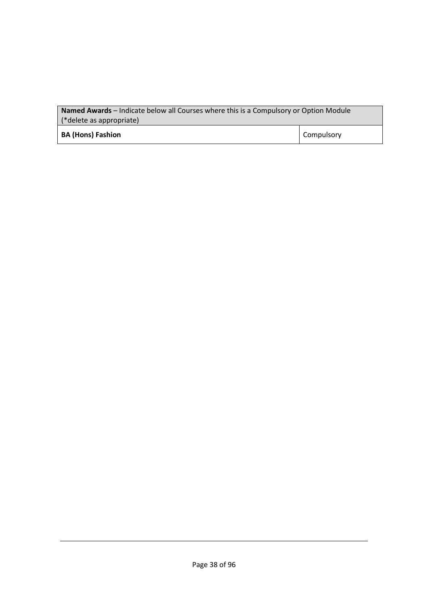| <b>Named Awards</b> – Indicate below all Courses where this is a Compulsory or Option Module<br>(*delete as appropriate) |            |  |
|--------------------------------------------------------------------------------------------------------------------------|------------|--|
| <b>BA (Hons) Fashion</b>                                                                                                 | Compulsory |  |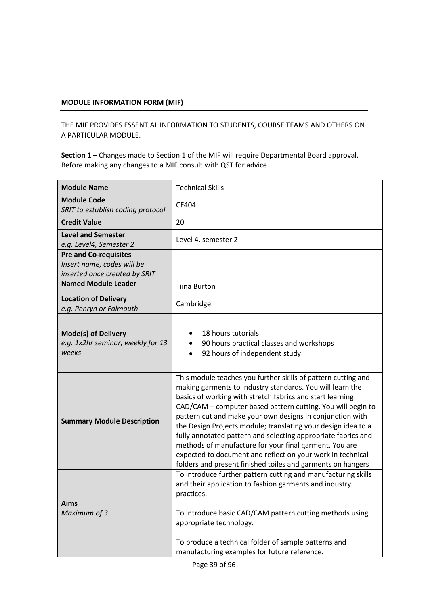THE MIF PROVIDES ESSENTIAL INFORMATION TO STUDENTS, COURSE TEAMS AND OTHERS ON A PARTICULAR MODULE.

| <b>Module Name</b>                                                                          | <b>Technical Skills</b>                                                                                                                                                                                                                                                                                                                                                                                                                                                                                                                                                                                                                      |
|---------------------------------------------------------------------------------------------|----------------------------------------------------------------------------------------------------------------------------------------------------------------------------------------------------------------------------------------------------------------------------------------------------------------------------------------------------------------------------------------------------------------------------------------------------------------------------------------------------------------------------------------------------------------------------------------------------------------------------------------------|
| <b>Module Code</b><br>SRIT to establish coding protocol                                     | CF404                                                                                                                                                                                                                                                                                                                                                                                                                                                                                                                                                                                                                                        |
| <b>Credit Value</b>                                                                         | 20                                                                                                                                                                                                                                                                                                                                                                                                                                                                                                                                                                                                                                           |
| <b>Level and Semester</b><br>e.g. Level4, Semester 2                                        | Level 4, semester 2                                                                                                                                                                                                                                                                                                                                                                                                                                                                                                                                                                                                                          |
| <b>Pre and Co-requisites</b><br>Insert name, codes will be<br>inserted once created by SRIT |                                                                                                                                                                                                                                                                                                                                                                                                                                                                                                                                                                                                                                              |
| <b>Named Module Leader</b>                                                                  | <b>Tiina Burton</b>                                                                                                                                                                                                                                                                                                                                                                                                                                                                                                                                                                                                                          |
| <b>Location of Delivery</b><br>e.g. Penryn or Falmouth                                      | Cambridge                                                                                                                                                                                                                                                                                                                                                                                                                                                                                                                                                                                                                                    |
| <b>Mode(s) of Delivery</b><br>e.g. 1x2hr seminar, weekly for 13<br>weeks                    | 18 hours tutorials<br>90 hours practical classes and workshops<br>92 hours of independent study                                                                                                                                                                                                                                                                                                                                                                                                                                                                                                                                              |
| <b>Summary Module Description</b>                                                           | This module teaches you further skills of pattern cutting and<br>making garments to industry standards. You will learn the<br>basics of working with stretch fabrics and start learning<br>CAD/CAM - computer based pattern cutting. You will begin to<br>pattern cut and make your own designs in conjunction with<br>the Design Projects module; translating your design idea to a<br>fully annotated pattern and selecting appropriate fabrics and<br>methods of manufacture for your final garment. You are<br>expected to document and reflect on your work in technical<br>folders and present finished toiles and garments on hangers |
| <b>Aims</b><br>Maximum of 3                                                                 | To introduce further pattern cutting and manufacturing skills<br>and their application to fashion garments and industry<br>practices.<br>To introduce basic CAD/CAM pattern cutting methods using<br>appropriate technology.<br>To produce a technical folder of sample patterns and<br>manufacturing examples for future reference.                                                                                                                                                                                                                                                                                                         |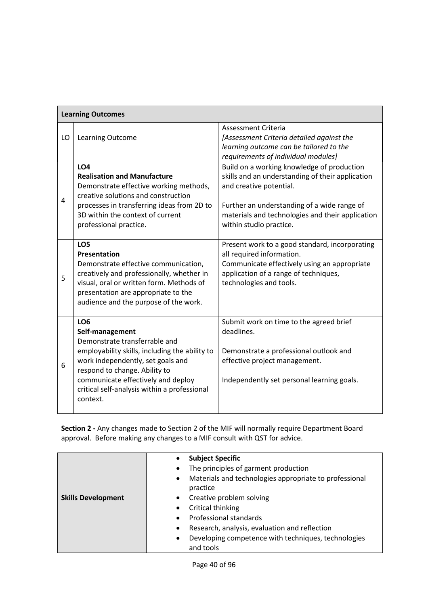|    | <b>Learning Outcomes</b>                                                                                                                                                                                                                                                                      |                                                                                                                                                                                                                                                         |
|----|-----------------------------------------------------------------------------------------------------------------------------------------------------------------------------------------------------------------------------------------------------------------------------------------------|---------------------------------------------------------------------------------------------------------------------------------------------------------------------------------------------------------------------------------------------------------|
| LO | Learning Outcome                                                                                                                                                                                                                                                                              | <b>Assessment Criteria</b><br>[Assessment Criteria detailed against the<br>learning outcome can be tailored to the<br>requirements of individual modules]                                                                                               |
| 4  | LO <sub>4</sub><br><b>Realisation and Manufacture</b><br>Demonstrate effective working methods,<br>creative solutions and construction<br>processes in transferring ideas from 2D to<br>3D within the context of current<br>professional practice.                                            | Build on a working knowledge of production<br>skills and an understanding of their application<br>and creative potential.<br>Further an understanding of a wide range of<br>materials and technologies and their application<br>within studio practice. |
| 5  | LO <sub>5</sub><br><b>Presentation</b><br>Demonstrate effective communication,<br>creatively and professionally, whether in<br>visual, oral or written form. Methods of<br>presentation are appropriate to the<br>audience and the purpose of the work.                                       | Present work to a good standard, incorporating<br>all required information.<br>Communicate effectively using an appropriate<br>application of a range of techniques,<br>technologies and tools.                                                         |
| 6  | LO <sub>6</sub><br>Self-management<br>Demonstrate transferrable and<br>employability skills, including the ability to<br>work independently, set goals and<br>respond to change. Ability to<br>communicate effectively and deploy<br>critical self-analysis within a professional<br>context. | Submit work on time to the agreed brief<br>deadlines.<br>Demonstrate a professional outlook and<br>effective project management.<br>Independently set personal learning goals.                                                                          |

|                           | <b>Subject Specific</b><br>$\bullet$                                |
|---------------------------|---------------------------------------------------------------------|
|                           | The principles of garment production<br>$\bullet$                   |
|                           | Materials and technologies appropriate to professional<br>$\bullet$ |
|                           | practice                                                            |
| <b>Skills Development</b> | Creative problem solving<br>$\bullet$                               |
|                           | Critical thinking<br>$\bullet$                                      |
|                           | Professional standards<br>$\bullet$                                 |
|                           | Research, analysis, evaluation and reflection<br>$\bullet$          |
|                           | Developing competence with techniques, technologies<br>$\bullet$    |
|                           | and tools                                                           |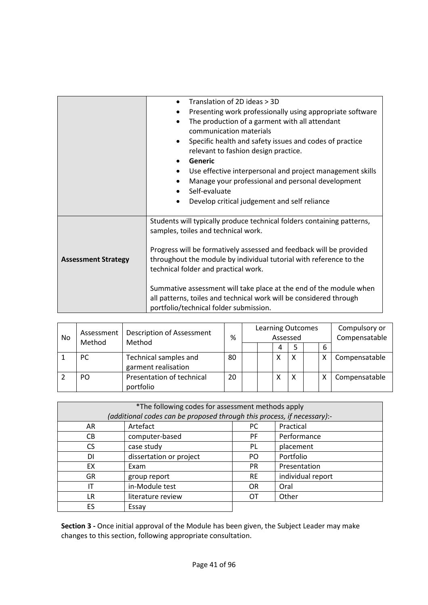|                            | Translation of 2D ideas > 3D                                           |
|----------------------------|------------------------------------------------------------------------|
|                            | Presenting work professionally using appropriate software<br>$\bullet$ |
|                            | The production of a garment with all attendant                         |
|                            | communication materials                                                |
|                            | Specific health and safety issues and codes of practice<br>$\bullet$   |
|                            | relevant to fashion design practice.                                   |
|                            | Generic                                                                |
|                            | Use effective interpersonal and project management skills<br>$\bullet$ |
|                            | Manage your professional and personal development                      |
|                            | Self-evaluate<br>$\bullet$                                             |
|                            | Develop critical judgement and self reliance<br>٠                      |
|                            |                                                                        |
|                            | Students will typically produce technical folders containing patterns, |
|                            | samples, toiles and technical work.                                    |
|                            |                                                                        |
|                            | Progress will be formatively assessed and feedback will be provided    |
| <b>Assessment Strategy</b> | throughout the module by individual tutorial with reference to the     |
|                            | technical folder and practical work.                                   |
|                            |                                                                        |
|                            | Summative assessment will take place at the end of the module when     |
|                            | all patterns, toiles and technical work will be considered through     |
|                            | portfolio/technical folder submission.                                 |

| No | <b>Description of Assessment</b><br>Assessment<br>Method |                                              | %  | <b>Learning Outcomes</b><br>Assessed |  |   |   | Compulsory or<br>Compensatable |               |
|----|----------------------------------------------------------|----------------------------------------------|----|--------------------------------------|--|---|---|--------------------------------|---------------|
|    | Method                                                   |                                              |    |                                      |  | 4 |   | 6                              |               |
|    | PC.                                                      | Technical samples and<br>garment realisation | 80 |                                      |  | х |   |                                | Compensatable |
|    | PO.                                                      | Presentation of technical<br>portfolio       | 20 |                                      |  | х | X |                                | Compensatable |

| *The following codes for assessment methods apply<br>(additional codes can be proposed through this process, if necessary):- |                         |           |                   |  |
|------------------------------------------------------------------------------------------------------------------------------|-------------------------|-----------|-------------------|--|
| AR                                                                                                                           | Artefact                | PC.       | Practical         |  |
| CВ                                                                                                                           | computer-based          | <b>PF</b> | Performance       |  |
| CS.                                                                                                                          | case study              | PL        | placement         |  |
| DI                                                                                                                           | dissertation or project | PO.       | Portfolio         |  |
| EX                                                                                                                           | Exam                    | <b>PR</b> | Presentation      |  |
| <b>GR</b>                                                                                                                    | group report            | <b>RE</b> | individual report |  |
| ΙT                                                                                                                           | in-Module test          | <b>OR</b> | Oral              |  |
| LR.                                                                                                                          | literature review       | OТ        | Other             |  |
| ES                                                                                                                           | Essay                   |           |                   |  |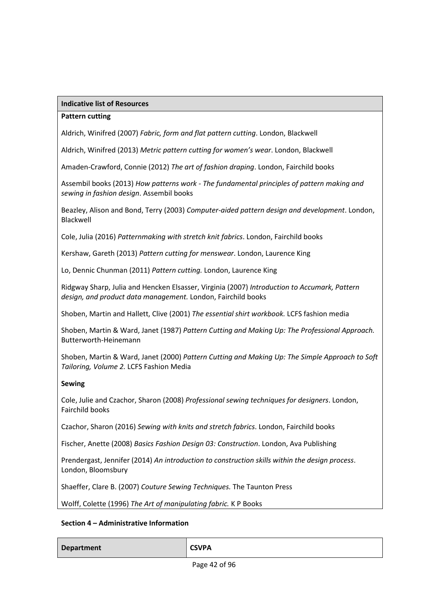### **Indicative list of Resources**

### **Pattern cutting**

Aldrich, Winifred (2007) *Fabric, form and flat pattern cutting*. London, Blackwell

Aldrich, Winifred (2013) *Metric pattern cutting for women's wear*. London, Blackwell

Amaden-Crawford, Connie (2012) *The art of fashion draping*. London, Fairchild books

Assembil books (2013) *How patterns work - The fundamental principles of pattern making and sewing in fashion design*. Assembil books

Beazley, Alison and Bond, Terry (2003) *Computer-aided pattern design and development*. London, Blackwell

Cole, Julia (2016) *Patternmaking with stretch knit fabrics*. London, Fairchild books

Kershaw, Gareth (2013) *Pattern cutting for menswear*. London, Laurence King

Lo, Dennic Chunman (2011) *Pattern cutting.* London, Laurence King

Ridgway Sharp, Julia and Hencken Elsasser, Virginia (2007) *Introduction to Accumark, Pattern design, and product data management.* London, Fairchild books

Shoben, Martin and Hallett, Clive (2001) *The essential shirt workbook.* LCFS fashion media

Shoben, Martin & Ward, Janet (1987) *Pattern Cutting and Making Up: The Professional Approach.*  Butterworth-Heinemann

Shoben, Martin & Ward, Janet (2000) *Pattern Cutting and Making Up: The Simple Approach to Soft Tailoring, Volume 2.* LCFS Fashion Media

### **Sewing**

Cole, Julie and Czachor, Sharon (2008) *Professional sewing techniques for designers*. London, Fairchild books

Czachor, Sharon (2016) *Sewing with knits and stretch fabrics*. London, Fairchild books

Fischer, Anette (2008) *Basics Fashion Design 03: Construction*. London, Ava Publishing

Prendergast, Jennifer (2014) *An introduction to construction skills within the design process*. London, Bloomsbury

Shaeffer, Clare B. (2007) *Couture Sewing Techniques.* The Taunton Press

Wolff, Colette (1996) *The Art of manipulating fabric.* K P Books

## **Section 4 – Administrative Information**

**Department CSVPA**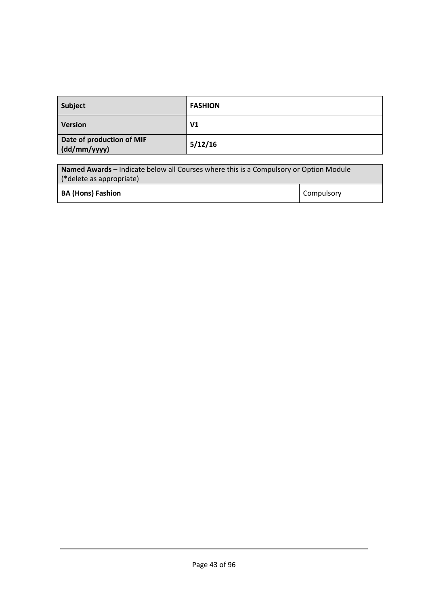| Subject                                   | <b>FASHION</b> |
|-------------------------------------------|----------------|
| <b>Version</b>                            | V1             |
| Date of production of MIF<br>(dd/mm/yyyy) | 5/12/16        |
|                                           |                |

| <b>Named Awards</b> – Indicate below all Courses where this is a Compulsory or Option Module |            |  |
|----------------------------------------------------------------------------------------------|------------|--|
| $\mid$ (*delete as appropriate)                                                              |            |  |
| <b>BA (Hons) Fashion</b>                                                                     | Compulsory |  |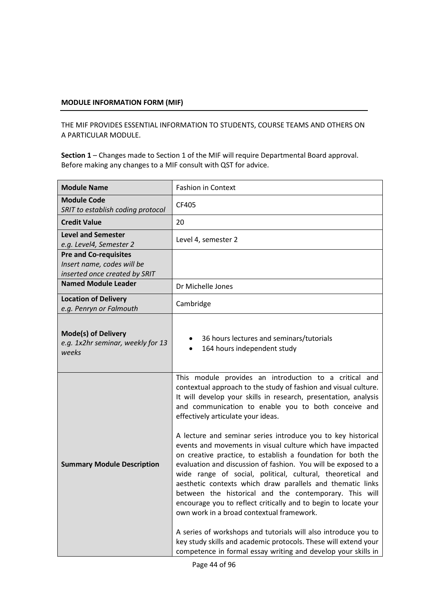THE MIF PROVIDES ESSENTIAL INFORMATION TO STUDENTS, COURSE TEAMS AND OTHERS ON A PARTICULAR MODULE.

| <b>Module Name</b>                                                                          | <b>Fashion in Context</b>                                                                                                                                                                                                                                                                                                                                                                                                                                                                                                                                                                                                                                                                                                                                                                                                                                                                                                                                                                                                                                              |
|---------------------------------------------------------------------------------------------|------------------------------------------------------------------------------------------------------------------------------------------------------------------------------------------------------------------------------------------------------------------------------------------------------------------------------------------------------------------------------------------------------------------------------------------------------------------------------------------------------------------------------------------------------------------------------------------------------------------------------------------------------------------------------------------------------------------------------------------------------------------------------------------------------------------------------------------------------------------------------------------------------------------------------------------------------------------------------------------------------------------------------------------------------------------------|
| <b>Module Code</b><br>SRIT to establish coding protocol                                     | CF405                                                                                                                                                                                                                                                                                                                                                                                                                                                                                                                                                                                                                                                                                                                                                                                                                                                                                                                                                                                                                                                                  |
| <b>Credit Value</b>                                                                         | 20                                                                                                                                                                                                                                                                                                                                                                                                                                                                                                                                                                                                                                                                                                                                                                                                                                                                                                                                                                                                                                                                     |
| <b>Level and Semester</b><br>e.g. Level4, Semester 2                                        | Level 4, semester 2                                                                                                                                                                                                                                                                                                                                                                                                                                                                                                                                                                                                                                                                                                                                                                                                                                                                                                                                                                                                                                                    |
| <b>Pre and Co-requisites</b><br>Insert name, codes will be<br>inserted once created by SRIT |                                                                                                                                                                                                                                                                                                                                                                                                                                                                                                                                                                                                                                                                                                                                                                                                                                                                                                                                                                                                                                                                        |
| <b>Named Module Leader</b>                                                                  | Dr Michelle Jones                                                                                                                                                                                                                                                                                                                                                                                                                                                                                                                                                                                                                                                                                                                                                                                                                                                                                                                                                                                                                                                      |
| <b>Location of Delivery</b><br>e.g. Penryn or Falmouth                                      | Cambridge                                                                                                                                                                                                                                                                                                                                                                                                                                                                                                                                                                                                                                                                                                                                                                                                                                                                                                                                                                                                                                                              |
| <b>Mode(s) of Delivery</b><br>e.g. 1x2hr seminar, weekly for 13<br>weeks                    | 36 hours lectures and seminars/tutorials<br>٠<br>164 hours independent study<br>$\bullet$                                                                                                                                                                                                                                                                                                                                                                                                                                                                                                                                                                                                                                                                                                                                                                                                                                                                                                                                                                              |
| <b>Summary Module Description</b>                                                           | This module provides an introduction to a critical and<br>contextual approach to the study of fashion and visual culture.<br>It will develop your skills in research, presentation, analysis<br>and communication to enable you to both conceive and<br>effectively articulate your ideas.<br>A lecture and seminar series introduce you to key historical<br>events and movements in visual culture which have impacted<br>on creative practice, to establish a foundation for both the<br>evaluation and discussion of fashion. You will be exposed to a<br>wide range of social, political, cultural, theoretical and<br>aesthetic contexts which draw parallels and thematic links<br>between the historical and the contemporary. This will<br>encourage you to reflect critically and to begin to locate your<br>own work in a broad contextual framework.<br>A series of workshops and tutorials will also introduce you to<br>key study skills and academic protocols. These will extend your<br>competence in formal essay writing and develop your skills in |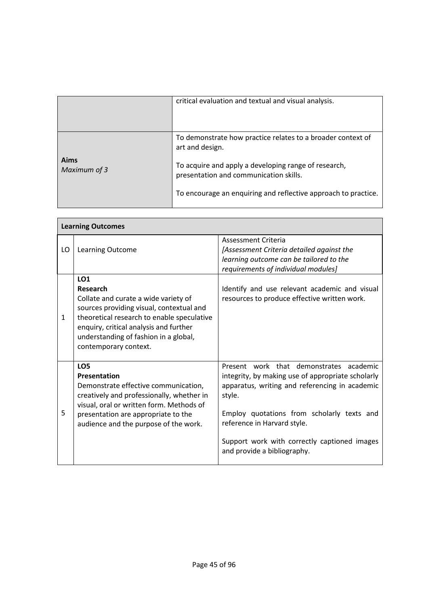|                      | critical evaluation and textual and visual analysis.                                                                                                                                                                                               |
|----------------------|----------------------------------------------------------------------------------------------------------------------------------------------------------------------------------------------------------------------------------------------------|
| Aims<br>Maximum of 3 | To demonstrate how practice relates to a broader context of<br>art and design.<br>To acquire and apply a developing range of research,<br>presentation and communication skills.<br>To encourage an enquiring and reflective approach to practice. |

 $\mathbf{r}$ 

|    | <b>Learning Outcomes</b>                                                                                                                                                                                                                                                         |                                                                                                                                                                                                                                                                                                                      |  |  |  |  |
|----|----------------------------------------------------------------------------------------------------------------------------------------------------------------------------------------------------------------------------------------------------------------------------------|----------------------------------------------------------------------------------------------------------------------------------------------------------------------------------------------------------------------------------------------------------------------------------------------------------------------|--|--|--|--|
| LO | Learning Outcome                                                                                                                                                                                                                                                                 | Assessment Criteria<br>[Assessment Criteria detailed against the<br>learning outcome can be tailored to the<br>requirements of individual modules]                                                                                                                                                                   |  |  |  |  |
| 1  | LO <sub>1</sub><br><b>Research</b><br>Collate and curate a wide variety of<br>sources providing visual, contextual and<br>theoretical research to enable speculative<br>enquiry, critical analysis and further<br>understanding of fashion in a global,<br>contemporary context. | Identify and use relevant academic and visual<br>resources to produce effective written work.                                                                                                                                                                                                                        |  |  |  |  |
| 5  | LO <sub>5</sub><br>Presentation<br>Demonstrate effective communication,<br>creatively and professionally, whether in<br>visual, oral or written form. Methods of<br>presentation are appropriate to the<br>audience and the purpose of the work.                                 | Present work that demonstrates academic<br>integrity, by making use of appropriate scholarly<br>apparatus, writing and referencing in academic<br>style.<br>Employ quotations from scholarly texts and<br>reference in Harvard style.<br>Support work with correctly captioned images<br>and provide a bibliography. |  |  |  |  |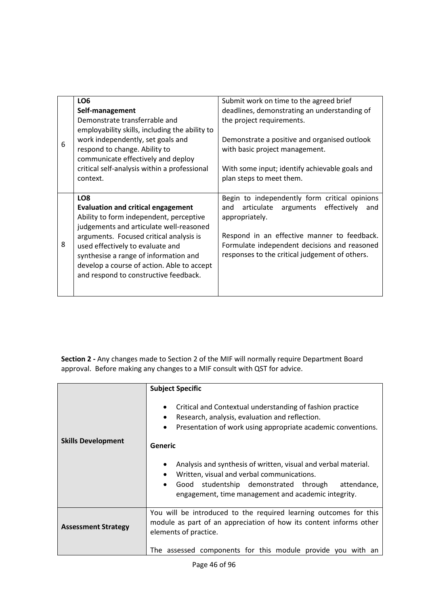|   | LO <sub>6</sub>                                | Submit work on time to the agreed brief           |
|---|------------------------------------------------|---------------------------------------------------|
|   | Self-management                                | deadlines, demonstrating an understanding of      |
|   | Demonstrate transferrable and                  | the project requirements.                         |
|   | employability skills, including the ability to |                                                   |
| 6 | work independently, set goals and              | Demonstrate a positive and organised outlook      |
|   | respond to change. Ability to                  | with basic project management.                    |
|   | communicate effectively and deploy             |                                                   |
|   | critical self-analysis within a professional   | With some input; identify achievable goals and    |
|   | context.                                       | plan steps to meet them.                          |
|   |                                                |                                                   |
|   | LO <sub>8</sub>                                | Begin to independently form critical opinions     |
|   | <b>Evaluation and critical engagement</b>      | articulate arguments<br>effectively<br>and<br>and |
|   | Ability to form independent, perceptive        | appropriately.                                    |
|   | judgements and articulate well-reasoned        |                                                   |
|   | arguments. Focused critical analysis is        | Respond in an effective manner to feedback.       |
| 8 | used effectively to evaluate and               | Formulate independent decisions and reasoned      |
|   | synthesise a range of information and          | responses to the critical judgement of others.    |
|   | develop a course of action. Able to accept     |                                                   |
|   | and respond to constructive feedback.          |                                                   |
|   |                                                |                                                   |
|   |                                                |                                                   |

|                            | <b>Subject Specific</b>                                                                                                                                                                                                                            |  |
|----------------------------|----------------------------------------------------------------------------------------------------------------------------------------------------------------------------------------------------------------------------------------------------|--|
|                            | Critical and Contextual understanding of fashion practice<br>$\bullet$<br>Research, analysis, evaluation and reflection.<br>$\bullet$<br>Presentation of work using appropriate academic conventions.                                              |  |
| <b>Skills Development</b>  | Generic                                                                                                                                                                                                                                            |  |
|                            | Analysis and synthesis of written, visual and verbal material.<br>$\bullet$<br>Written, visual and verbal communications.<br>Good studentship demonstrated through attendance,<br>$\bullet$<br>engagement, time management and academic integrity. |  |
| <b>Assessment Strategy</b> | You will be introduced to the required learning outcomes for this<br>module as part of an appreciation of how its content informs other<br>elements of practice.                                                                                   |  |
|                            | The assessed components for this module provide you with an                                                                                                                                                                                        |  |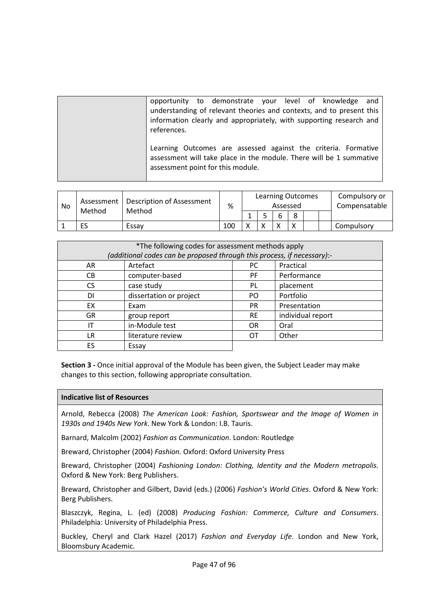| opportunity to demonstrate your level of knowledge<br>and<br>understanding of relevant theories and contexts, and to present this<br>information clearly and appropriately, with supporting research and<br>references. |
|-------------------------------------------------------------------------------------------------------------------------------------------------------------------------------------------------------------------------|
| Learning Outcomes are assessed against the criteria. Formative<br>assessment will take place in the module. There will be 1 summative<br>assessment point for this module.                                              |

| No | Assessment<br>Method | Description of Assessment<br>Method | %   |  | <b>Learning Outcomes</b><br>Assessed |  |  | Compulsory or<br>Compensatable |
|----|----------------------|-------------------------------------|-----|--|--------------------------------------|--|--|--------------------------------|
|    |                      |                                     |     |  | O                                    |  |  |                                |
|    | ES                   | Essav                               | 100 |  |                                      |  |  | Compulsory                     |

| *The following codes for assessment methods apply                       |                         |           |                   |  |  |  |
|-------------------------------------------------------------------------|-------------------------|-----------|-------------------|--|--|--|
| (additional codes can be proposed through this process, if necessary):- |                         |           |                   |  |  |  |
| AR                                                                      | Artefact                | Practical |                   |  |  |  |
| CB.                                                                     | computer-based          | <b>PF</b> | Performance       |  |  |  |
| <b>CS</b>                                                               | case study              | PL        | placement         |  |  |  |
| DI.                                                                     | dissertation or project | PO.       | Portfolio         |  |  |  |
| EX                                                                      | Exam                    | <b>PR</b> | Presentation      |  |  |  |
| <b>GR</b>                                                               | group report            | <b>RE</b> | individual report |  |  |  |
| IΤ                                                                      | in-Module test          | <b>OR</b> | Oral              |  |  |  |
| LR                                                                      | literature review       | OТ        | Other             |  |  |  |
| ES                                                                      | Essay                   |           |                   |  |  |  |

### **Indicative list of Resources**

Arnold, Rebecca (2008) *The American Look: Fashion, Sportswear and the Image of Women in 1930s and 1940s New York*. New York & London: I.B. Tauris.

Barnard, Malcolm (2002) *Fashion as Communication*. London: Routledge

Breward, Christopher (2004) *Fashion.* Oxford: Oxford University Press

Breward, Christopher (2004) *Fashioning London: Clothing, Identity and the Modern metropolis.* Oxford & New York: Berg Publishers.

Breward, Christopher and Gilbert, David (eds.) (2006) *Fashion's World Cities*. Oxford & New York: Berg Publishers.

Blaszczyk, Regina, L. (ed) (2008) *Producing Fashion: Commerce, Culture and Consumers*. Philadelphia: University of Philadelphia Press.

Buckley, Cheryl and Clark Hazel (2017) *Fashion and Everyday Life*. London and New York, Bloomsbury Academic.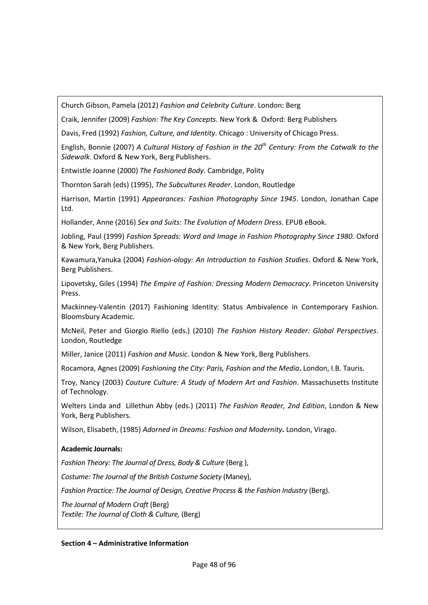Church Gibson, Pamela (2012) *Fashion and Celebrity Culture*. London: Berg

Craik, Jennifer (2009) *Fashion: The Key Concepts*. New York & Oxford: Berg Publishers

Davis, Fred (1992) *Fashion, Culture, and Identity*. Chicago : University of Chicago Press.

English, Bonnie (2007) *A Cultural History of Fashion in the 20th Century: From the Catwalk to the Sidewalk*. Oxford & New York, Berg Publishers.

Entwistle Joanne (2000) *The Fashioned Body*. Cambridge, Polity

Thornton Sarah (eds) (1995), *The Subcultures Reader*. London, Routledge

Harrison, Martin (1991) *Appearances: Fashion Photography Since 1945*. London, Jonathan Cape Ltd.

Hollander, Anne (2016) *Sex and Suits: The Evolution of Modern Dress*. EPUB eBook.

Jobling, Paul (1999) *Fashion Spreads: Word and Image in Fashion Photography Since 1980.* Oxford & New York, Berg Publishers.

Kawamura,Yanuka (2004) *Fashion-ology: An Introduction to Fashion Studies*. Oxford & New York, Berg Publishers.

Lipovetsky, Giles (1994) *The Empire of Fashion: Dressing Modern Democracy*. Princeton University Press.

Mackinney-Valentin (2017) Fashioning Identity: Status Ambivalence in Contemporary Fashion. Bloomsbury Academic.

McNeil, Peter and Giorgio Riello (eds.) (2010) *The Fashion History Reader: Global Perspectives*. London, Routledge

Miller, Janice (2011) *Fashion and Music*. London & New York, Berg Publishers.

Rocamora, Agnes (2009) *Fashioning the City: Paris, Fashion and the Media***.** London, I.B. Tauris.

Troy, Nancy (2003) *Couture Culture: A Study of Modern Art and Fashion*. Massachusetts Institute of Technology.

Welters Linda and Lillethun Abby (eds.) (2011) *The Fashion Reader, 2nd Edition*, London & New York, Berg Publishers.

Wilson, Elisabeth, (1985) *Adorned in Dreams: Fashion and Modernity***.** London, Virago.

# **Academic Journals:**

*Fashion Theory: The Journal of Dress, Body & Culture* (Berg ),

*Costume: The Journal of the British Costume Society* (Maney),

*Fashion Practice: The Journal of Design, Creative Process & the Fashion Industry* (Berg).

*The Journal of Modern Craft* (Berg) *Textile: The Journal of Cloth & Culture,* (Berg)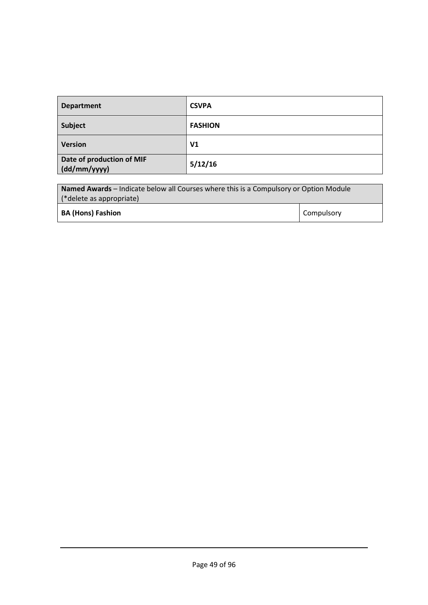| <b>Department</b>                         | <b>CSVPA</b>   |
|-------------------------------------------|----------------|
| Subject                                   | <b>FASHION</b> |
| <b>Version</b>                            | V1             |
| Date of production of MIF<br>(dd/mm/yyyy) | 5/12/16        |

| <b>Named Awards</b> – Indicate below all Courses where this is a Compulsory or Option Module |  |  |  |
|----------------------------------------------------------------------------------------------|--|--|--|
| (*delete as appropriate)                                                                     |  |  |  |
| <b>Compulsory</b><br><b>BA (Hons) Fashion</b>                                                |  |  |  |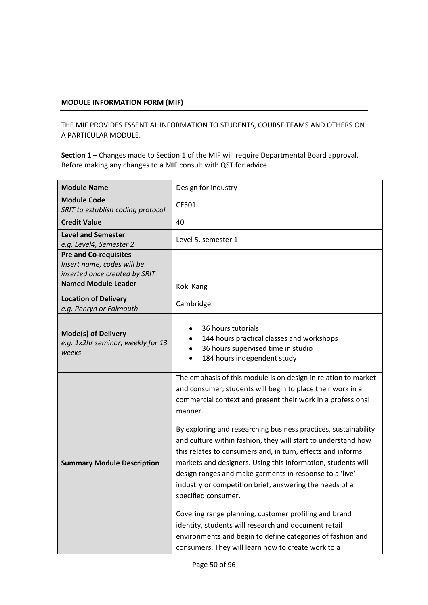THE MIF PROVIDES ESSENTIAL INFORMATION TO STUDENTS, COURSE TEAMS AND OTHERS ON A PARTICULAR MODULE.

| <b>Module Name</b>                                                                          | Design for Industry                                                                                                                                                                                                                                                                                                                                                                                                                                                                                                                                                                                                                                                                                                                                                                                                                                         |  |  |
|---------------------------------------------------------------------------------------------|-------------------------------------------------------------------------------------------------------------------------------------------------------------------------------------------------------------------------------------------------------------------------------------------------------------------------------------------------------------------------------------------------------------------------------------------------------------------------------------------------------------------------------------------------------------------------------------------------------------------------------------------------------------------------------------------------------------------------------------------------------------------------------------------------------------------------------------------------------------|--|--|
| <b>Module Code</b><br>SRIT to establish coding protocol                                     | CF501                                                                                                                                                                                                                                                                                                                                                                                                                                                                                                                                                                                                                                                                                                                                                                                                                                                       |  |  |
| <b>Credit Value</b>                                                                         | 40                                                                                                                                                                                                                                                                                                                                                                                                                                                                                                                                                                                                                                                                                                                                                                                                                                                          |  |  |
| <b>Level and Semester</b><br>e.g. Level4, Semester 2                                        | Level 5, semester 1                                                                                                                                                                                                                                                                                                                                                                                                                                                                                                                                                                                                                                                                                                                                                                                                                                         |  |  |
| <b>Pre and Co-requisites</b><br>Insert name, codes will be<br>inserted once created by SRIT |                                                                                                                                                                                                                                                                                                                                                                                                                                                                                                                                                                                                                                                                                                                                                                                                                                                             |  |  |
| <b>Named Module Leader</b>                                                                  | Koki Kang                                                                                                                                                                                                                                                                                                                                                                                                                                                                                                                                                                                                                                                                                                                                                                                                                                                   |  |  |
| <b>Location of Delivery</b><br>e.g. Penryn or Falmouth                                      | Cambridge                                                                                                                                                                                                                                                                                                                                                                                                                                                                                                                                                                                                                                                                                                                                                                                                                                                   |  |  |
| <b>Mode(s) of Delivery</b><br>e.g. 1x2hr seminar, weekly for 13<br>weeks                    | 36 hours tutorials<br>144 hours practical classes and workshops<br>36 hours supervised time in studio<br>184 hours independent study                                                                                                                                                                                                                                                                                                                                                                                                                                                                                                                                                                                                                                                                                                                        |  |  |
| <b>Summary Module Description</b>                                                           | The emphasis of this module is on design in relation to market<br>and consumer; students will begin to place their work in a<br>commercial context and present their work in a professional<br>manner.<br>By exploring and researching business practices, sustainability<br>and culture within fashion, they will start to understand how<br>this relates to consumers and, in turn, effects and informs<br>markets and designers. Using this information, students will<br>design ranges and make garments in response to a 'live'<br>industry or competition brief, answering the needs of a<br>specified consumer.<br>Covering range planning, customer profiling and brand<br>identity, students will research and document retail<br>environments and begin to define categories of fashion and<br>consumers. They will learn how to create work to a |  |  |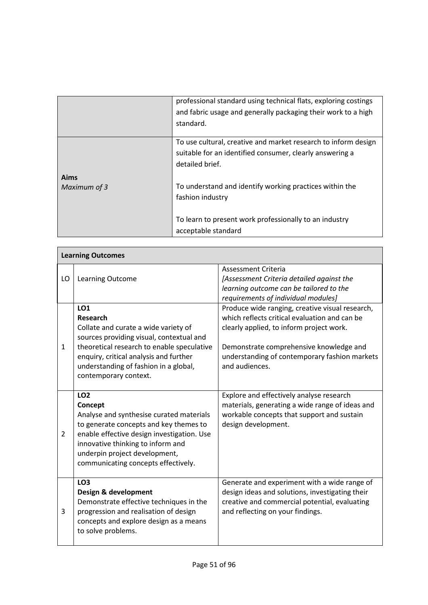|              | professional standard using technical flats, exploring costings |
|--------------|-----------------------------------------------------------------|
|              | and fabric usage and generally packaging their work to a high   |
|              | standard.                                                       |
|              |                                                                 |
|              | To use cultural, creative and market research to inform design  |
|              | suitable for an identified consumer, clearly answering a        |
|              | detailed brief.                                                 |
| Aims         |                                                                 |
| Maximum of 3 | To understand and identify working practices within the         |
|              | fashion industry                                                |
|              |                                                                 |
|              | To learn to present work professionally to an industry          |
|              | acceptable standard                                             |
|              |                                                                 |

|                | <b>Learning Outcomes</b>                                                                                                                                                                                                                                                    |                                                                                                                                                                                                                                                            |  |  |  |  |
|----------------|-----------------------------------------------------------------------------------------------------------------------------------------------------------------------------------------------------------------------------------------------------------------------------|------------------------------------------------------------------------------------------------------------------------------------------------------------------------------------------------------------------------------------------------------------|--|--|--|--|
| LO             | Learning Outcome                                                                                                                                                                                                                                                            | <b>Assessment Criteria</b><br>[Assessment Criteria detailed against the<br>learning outcome can be tailored to the<br>requirements of individual modules]                                                                                                  |  |  |  |  |
| $\mathbf{1}$   | <b>LO1</b><br>Research<br>Collate and curate a wide variety of<br>sources providing visual, contextual and<br>theoretical research to enable speculative<br>enquiry, critical analysis and further<br>understanding of fashion in a global,<br>contemporary context.        | Produce wide ranging, creative visual research,<br>which reflects critical evaluation and can be<br>clearly applied, to inform project work.<br>Demonstrate comprehensive knowledge and<br>understanding of contemporary fashion markets<br>and audiences. |  |  |  |  |
| $\overline{2}$ | LO <sub>2</sub><br>Concept<br>Analyse and synthesise curated materials<br>to generate concepts and key themes to<br>enable effective design investigation. Use<br>innovative thinking to inform and<br>underpin project development,<br>communicating concepts effectively. | Explore and effectively analyse research<br>materials, generating a wide range of ideas and<br>workable concepts that support and sustain<br>design development.                                                                                           |  |  |  |  |
| 3              | LO <sub>3</sub><br>Design & development<br>Demonstrate effective techniques in the<br>progression and realisation of design<br>concepts and explore design as a means<br>to solve problems.                                                                                 | Generate and experiment with a wide range of<br>design ideas and solutions, investigating their<br>creative and commercial potential, evaluating<br>and reflecting on your findings.                                                                       |  |  |  |  |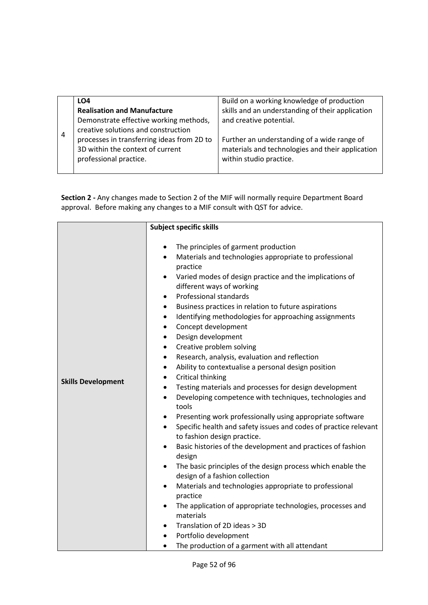|                | LO4                                        | Build on a working knowledge of production       |
|----------------|--------------------------------------------|--------------------------------------------------|
|                | <b>Realisation and Manufacture</b>         | skills and an understanding of their application |
|                | Demonstrate effective working methods,     | and creative potential.                          |
| $\overline{4}$ | creative solutions and construction        |                                                  |
|                | processes in transferring ideas from 2D to | Further an understanding of a wide range of      |
|                | 3D within the context of current           | materials and technologies and their application |
|                | professional practice.                     | within studio practice.                          |
|                |                                            |                                                  |

|                           | <b>Subject specific skills</b>                                                                               |
|---------------------------|--------------------------------------------------------------------------------------------------------------|
|                           |                                                                                                              |
|                           | The principles of garment production<br>٠                                                                    |
|                           | Materials and technologies appropriate to professional<br>$\bullet$                                          |
|                           | practice                                                                                                     |
|                           | Varied modes of design practice and the implications of<br>$\bullet$<br>different ways of working            |
|                           | Professional standards<br>٠                                                                                  |
|                           | Business practices in relation to future aspirations<br>$\bullet$                                            |
|                           | Identifying methodologies for approaching assignments<br>$\bullet$                                           |
|                           | Concept development<br>$\bullet$                                                                             |
|                           | Design development<br>٠                                                                                      |
|                           | Creative problem solving<br>$\bullet$                                                                        |
|                           | Research, analysis, evaluation and reflection<br>$\bullet$                                                   |
|                           | Ability to contextualise a personal design position<br>٠                                                     |
| <b>Skills Development</b> | Critical thinking<br>$\bullet$                                                                               |
|                           | Testing materials and processes for design development<br>$\bullet$                                          |
|                           | Developing competence with techniques, technologies and<br>$\bullet$                                         |
|                           | tools                                                                                                        |
|                           | Presenting work professionally using appropriate software<br>$\bullet$                                       |
|                           | Specific health and safety issues and codes of practice relevant<br>$\bullet$<br>to fashion design practice. |
|                           | Basic histories of the development and practices of fashion<br>$\bullet$<br>design                           |
|                           | The basic principles of the design process which enable the<br>$\bullet$                                     |
|                           | design of a fashion collection                                                                               |
|                           | Materials and technologies appropriate to professional<br>$\bullet$                                          |
|                           | practice                                                                                                     |
|                           | The application of appropriate technologies, processes and                                                   |
|                           | materials                                                                                                    |
|                           | Translation of 2D ideas > 3D                                                                                 |
|                           | Portfolio development                                                                                        |
|                           | The production of a garment with all attendant<br>$\bullet$                                                  |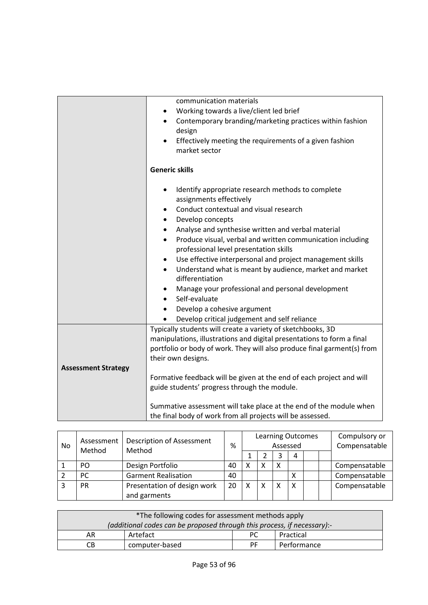|                                                                         | communication materials                                                 |  |  |  |
|-------------------------------------------------------------------------|-------------------------------------------------------------------------|--|--|--|
|                                                                         | Working towards a live/client led brief                                 |  |  |  |
|                                                                         | Contemporary branding/marketing practices within fashion<br>$\bullet$   |  |  |  |
|                                                                         | design                                                                  |  |  |  |
|                                                                         | Effectively meeting the requirements of a given fashion                 |  |  |  |
|                                                                         | market sector                                                           |  |  |  |
|                                                                         |                                                                         |  |  |  |
|                                                                         | <b>Generic skills</b>                                                   |  |  |  |
|                                                                         | Identify appropriate research methods to complete<br>$\bullet$          |  |  |  |
|                                                                         | assignments effectively                                                 |  |  |  |
|                                                                         | Conduct contextual and visual research                                  |  |  |  |
|                                                                         | Develop concepts                                                        |  |  |  |
|                                                                         | Analyse and synthesise written and verbal material                      |  |  |  |
|                                                                         | Produce visual, verbal and written communication including<br>$\bullet$ |  |  |  |
|                                                                         | professional level presentation skills                                  |  |  |  |
|                                                                         | Use effective interpersonal and project management skills<br>$\bullet$  |  |  |  |
|                                                                         | Understand what is meant by audience, market and market<br>$\bullet$    |  |  |  |
|                                                                         | differentiation                                                         |  |  |  |
|                                                                         | Manage your professional and personal development                       |  |  |  |
|                                                                         | Self-evaluate                                                           |  |  |  |
|                                                                         | Develop a cohesive argument                                             |  |  |  |
|                                                                         | Develop critical judgement and self reliance                            |  |  |  |
|                                                                         | Typically students will create a variety of sketchbooks, 3D             |  |  |  |
|                                                                         | manipulations, illustrations and digital presentations to form a final  |  |  |  |
| portfolio or body of work. They will also produce final garment(s) from |                                                                         |  |  |  |
| their own designs.                                                      |                                                                         |  |  |  |
| <b>Assessment Strategy</b>                                              |                                                                         |  |  |  |
|                                                                         | Formative feedback will be given at the end of each project and will    |  |  |  |
|                                                                         | guide students' progress through the module.                            |  |  |  |
|                                                                         | Summative assessment will take place at the end of the module when      |  |  |  |
|                                                                         | the final body of work from all projects will be assessed.              |  |  |  |

| No               | Assessment | <b>Description of Assessment</b> |    | <b>Learning Outcomes</b><br>Assessed<br>% |   |   |   | Compulsory or<br>Compensatable |               |
|------------------|------------|----------------------------------|----|-------------------------------------------|---|---|---|--------------------------------|---------------|
| Method<br>Method |            |                                  |    |                                           |   |   | 4 |                                |               |
|                  | PO         | Design Portfolio                 | 40 | X                                         | χ | х |   |                                | Compensatable |
|                  | <b>PC</b>  | <b>Garment Realisation</b>       | 40 |                                           |   |   |   |                                | Compensatable |
|                  | <b>PR</b>  | Presentation of design work      | 20 | х                                         | χ | X | Χ |                                | Compensatable |
|                  |            | and garments                     |    |                                           |   |   |   |                                |               |

| *The following codes for assessment methods apply                       |          |    |             |  |
|-------------------------------------------------------------------------|----------|----|-------------|--|
| (additional codes can be proposed through this process, if necessary):- |          |    |             |  |
| AR                                                                      | Artefact | РC | Practical   |  |
| computer-based<br>CВ                                                    |          | РF | Performance |  |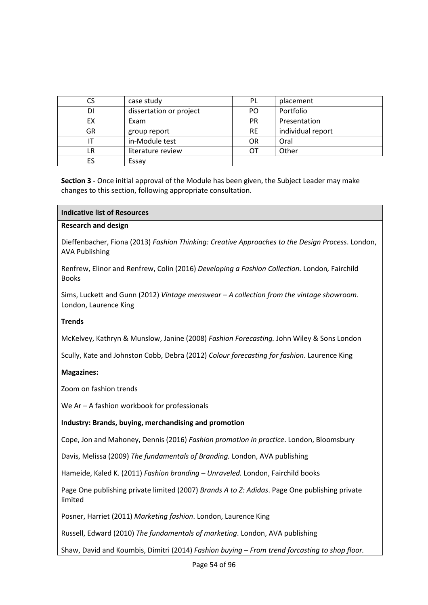|    | case study              | PL        | placement         |
|----|-------------------------|-----------|-------------------|
| DI | dissertation or project | PO        | Portfolio         |
| ЕX | Exam                    | <b>PR</b> | Presentation      |
| GR | group report            | <b>RE</b> | individual report |
|    | in-Module test          | <b>OR</b> | Oral              |
| LR | literature review       | OТ        | Other             |
| ES | Essay                   |           |                   |

| Indicative list of Resources |  |
|------------------------------|--|
|------------------------------|--|

#### **Research and design**

Dieffenbacher, Fiona (2013) *Fashion Thinking: Creative Approaches to the Design Process*. London, AVA Publishing

Renfrew, Elinor and Renfrew, Colin (2016) *Developing a Fashion Collection.* London*,* Fairchild Books

Sims, Luckett and Gunn (2012) *Vintage menswear – A collection from the vintage showroom*. London, Laurence King

### **Trends**

McKelvey, Kathryn & Munslow, Janine (2008) *Fashion Forecasting.* John Wiley & Sons London

Scully, Kate and Johnston Cobb, Debra (2012) *Colour forecasting for fashion*. Laurence King

### **Magazines:**

Zoom on fashion trends

We Ar – A fashion workbook for professionals

### **Industry: Brands, buying, merchandising and promotion**

Cope, Jon and Mahoney, Dennis (2016) *Fashion promotion in practice*. London, Bloomsbury

Davis, Melissa (2009) *The fundamentals of Branding.* London, AVA publishing

Hameide, Kaled K. (2011) *Fashion branding – Unraveled.* London, Fairchild books

Page One publishing private limited (2007) *Brands A to Z: Adidas*. Page One publishing private limited

Posner, Harriet (2011) *Marketing fashion*. London, Laurence King

Russell, Edward (2010) *The fundamentals of marketing*. London, AVA publishing

Shaw, David and Koumbis, Dimitri (2014) *Fashion buying – From trend forcasting to shop floor.*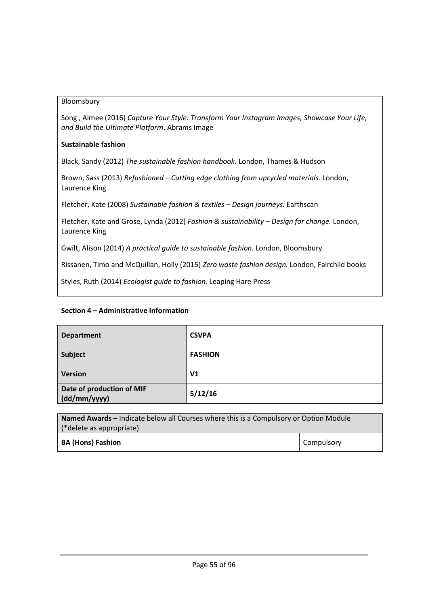## Bloomsbury

Song , Aimee (2016) *Capture Your Style: Transform Your Instagram Images, Showcase Your Life, and Build the Ultimate Platform*. Abrams Image

## **Sustainable fashion**

Black, Sandy (2012) *The sustainable fashion handbook.* London, Thames & Hudson

Brown, Sass (2013) *Refashioned – Cutting edge clothing from upcycled materials.* London, Laurence King

Fletcher, Kate (2008) *Sustainable fashion & textiles – Design journeys.* Earthscan

Fletcher, Kate and Grose, Lynda (2012) *Fashion & sustainability – Design for change.* London, Laurence King

Gwilt, Alison (2014) *A practical guide to sustainable fashion.* London, Bloomsbury

Rissanen, Timo and McQuillan, Holly (2015) *Zero waste fashion design.* London, Fairchild books

Styles, Ruth (2014) *Ecologist guide to fashion.* Leaping Hare Press

| <b>Department</b>                         | <b>CSVPA</b>   |
|-------------------------------------------|----------------|
| Subject                                   | <b>FASHION</b> |
| Version                                   | V <sub>1</sub> |
| Date of production of MIF<br>(dd/mm/yyyy) | 5/12/16        |

| Named Awards - Indicate below all Courses where this is a Compulsory or Option Module |                   |  |
|---------------------------------------------------------------------------------------|-------------------|--|
| (*delete as appropriate)                                                              |                   |  |
| <b>BA (Hons) Fashion</b>                                                              | <b>Compulsory</b> |  |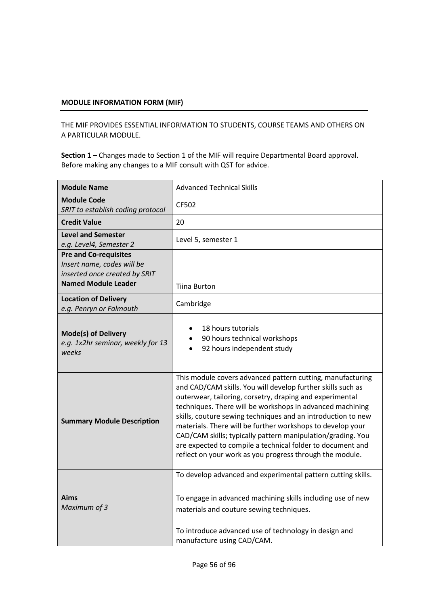THE MIF PROVIDES ESSENTIAL INFORMATION TO STUDENTS, COURSE TEAMS AND OTHERS ON A PARTICULAR MODULE.

| <b>Module Name</b>                                                                          | <b>Advanced Technical Skills</b>                                                                                                                                                                                                                                                                                                                                                                                                                                                                                                                                          |
|---------------------------------------------------------------------------------------------|---------------------------------------------------------------------------------------------------------------------------------------------------------------------------------------------------------------------------------------------------------------------------------------------------------------------------------------------------------------------------------------------------------------------------------------------------------------------------------------------------------------------------------------------------------------------------|
| <b>Module Code</b><br>SRIT to establish coding protocol                                     | CF502                                                                                                                                                                                                                                                                                                                                                                                                                                                                                                                                                                     |
| <b>Credit Value</b>                                                                         | 20                                                                                                                                                                                                                                                                                                                                                                                                                                                                                                                                                                        |
| <b>Level and Semester</b><br>e.g. Level4, Semester 2                                        | Level 5, semester 1                                                                                                                                                                                                                                                                                                                                                                                                                                                                                                                                                       |
| <b>Pre and Co-requisites</b><br>Insert name, codes will be<br>inserted once created by SRIT |                                                                                                                                                                                                                                                                                                                                                                                                                                                                                                                                                                           |
| <b>Named Module Leader</b>                                                                  | <b>Tiina Burton</b>                                                                                                                                                                                                                                                                                                                                                                                                                                                                                                                                                       |
| <b>Location of Delivery</b><br>e.g. Penryn or Falmouth                                      | Cambridge                                                                                                                                                                                                                                                                                                                                                                                                                                                                                                                                                                 |
| <b>Mode(s) of Delivery</b><br>e.g. 1x2hr seminar, weekly for 13<br>weeks                    | 18 hours tutorials<br>90 hours technical workshops<br>92 hours independent study                                                                                                                                                                                                                                                                                                                                                                                                                                                                                          |
| <b>Summary Module Description</b>                                                           | This module covers advanced pattern cutting, manufacturing<br>and CAD/CAM skills. You will develop further skills such as<br>outerwear, tailoring, corsetry, draping and experimental<br>techniques. There will be workshops in advanced machining<br>skills, couture sewing techniques and an introduction to new<br>materials. There will be further workshops to develop your<br>CAD/CAM skills; typically pattern manipulation/grading. You<br>are expected to compile a technical folder to document and<br>reflect on your work as you progress through the module. |
| Aims<br>Maximum of 3                                                                        | To develop advanced and experimental pattern cutting skills.<br>To engage in advanced machining skills including use of new<br>materials and couture sewing techniques.<br>To introduce advanced use of technology in design and<br>manufacture using CAD/CAM.                                                                                                                                                                                                                                                                                                            |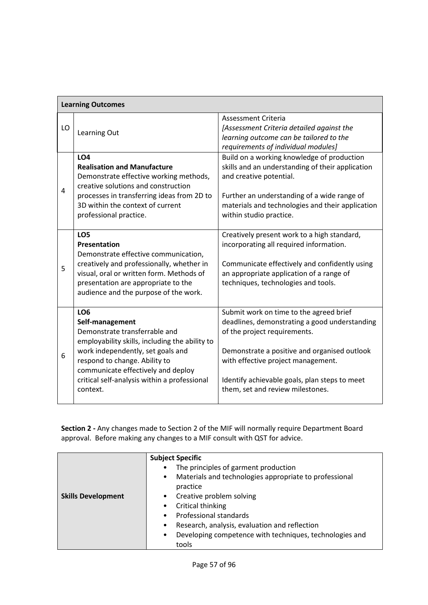|    | <b>Learning Outcomes</b>                                                                                                                                                                                                                                                                      |                                                                                                                                                                                                                                                                                                     |  |  |  |
|----|-----------------------------------------------------------------------------------------------------------------------------------------------------------------------------------------------------------------------------------------------------------------------------------------------|-----------------------------------------------------------------------------------------------------------------------------------------------------------------------------------------------------------------------------------------------------------------------------------------------------|--|--|--|
| LO | Learning Out                                                                                                                                                                                                                                                                                  | <b>Assessment Criteria</b><br>[Assessment Criteria detailed against the<br>learning outcome can be tailored to the<br>requirements of individual modules]                                                                                                                                           |  |  |  |
| 4  | LO <sub>4</sub><br><b>Realisation and Manufacture</b><br>Demonstrate effective working methods,<br>creative solutions and construction<br>processes in transferring ideas from 2D to<br>3D within the context of current<br>professional practice.                                            | Build on a working knowledge of production<br>skills and an understanding of their application<br>and creative potential.<br>Further an understanding of a wide range of<br>materials and technologies and their application<br>within studio practice.                                             |  |  |  |
| 5  | LO <sub>5</sub><br><b>Presentation</b><br>Demonstrate effective communication,<br>creatively and professionally, whether in<br>visual, oral or written form. Methods of<br>presentation are appropriate to the<br>audience and the purpose of the work.                                       | Creatively present work to a high standard,<br>incorporating all required information.<br>Communicate effectively and confidently using<br>an appropriate application of a range of<br>techniques, technologies and tools.                                                                          |  |  |  |
| 6  | LO <sub>6</sub><br>Self-management<br>Demonstrate transferrable and<br>employability skills, including the ability to<br>work independently, set goals and<br>respond to change. Ability to<br>communicate effectively and deploy<br>critical self-analysis within a professional<br>context. | Submit work on time to the agreed brief<br>deadlines, demonstrating a good understanding<br>of the project requirements.<br>Demonstrate a positive and organised outlook<br>with effective project management.<br>Identify achievable goals, plan steps to meet<br>them, set and review milestones. |  |  |  |

|                           | <b>Subject Specific</b>                                              |
|---------------------------|----------------------------------------------------------------------|
|                           | The principles of garment production<br>$\bullet$                    |
|                           | Materials and technologies appropriate to professional<br>$\bullet$  |
|                           | practice                                                             |
| <b>Skills Development</b> | Creative problem solving                                             |
|                           | Critical thinking                                                    |
|                           | Professional standards                                               |
|                           | Research, analysis, evaluation and reflection<br>$\bullet$           |
|                           | Developing competence with techniques, technologies and<br>$\bullet$ |
|                           | tools                                                                |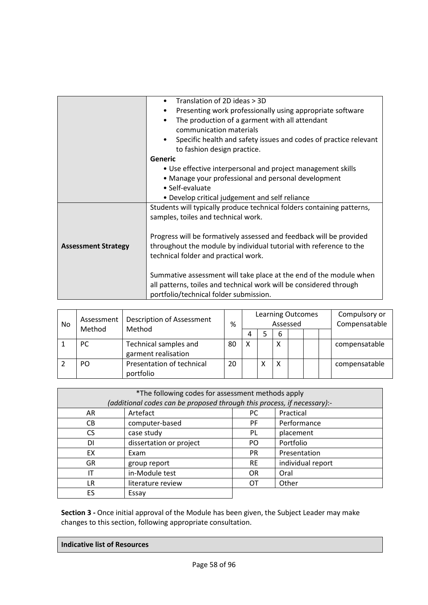|                            | Translation of 2D ideas > 3D<br>$\bullet$                              |  |  |  |  |  |
|----------------------------|------------------------------------------------------------------------|--|--|--|--|--|
|                            | Presenting work professionally using appropriate software              |  |  |  |  |  |
|                            | The production of a garment with all attendant                         |  |  |  |  |  |
|                            | communication materials                                                |  |  |  |  |  |
|                            | Specific health and safety issues and codes of practice relevant       |  |  |  |  |  |
|                            | to fashion design practice.                                            |  |  |  |  |  |
|                            | Generic                                                                |  |  |  |  |  |
|                            | • Use effective interpersonal and project management skills            |  |  |  |  |  |
|                            | • Manage your professional and personal development                    |  |  |  |  |  |
|                            | • Self-evaluate                                                        |  |  |  |  |  |
|                            | • Develop critical judgement and self reliance                         |  |  |  |  |  |
|                            | Students will typically produce technical folders containing patterns, |  |  |  |  |  |
|                            | samples, toiles and technical work.                                    |  |  |  |  |  |
|                            |                                                                        |  |  |  |  |  |
|                            | Progress will be formatively assessed and feedback will be provided    |  |  |  |  |  |
| <b>Assessment Strategy</b> | throughout the module by individual tutorial with reference to the     |  |  |  |  |  |
|                            | technical folder and practical work.                                   |  |  |  |  |  |
|                            |                                                                        |  |  |  |  |  |
|                            | Summative assessment will take place at the end of the module when     |  |  |  |  |  |
|                            | all patterns, toiles and technical work will be considered through     |  |  |  |  |  |
|                            | portfolio/technical folder submission.                                 |  |  |  |  |  |

| No | Assessment<br>Method | <b>Description of Assessment</b><br>Method   | %  | <b>Learning Outcomes</b><br>Assessed |   |   |  |  | Compulsory or<br>Compensatable |               |
|----|----------------------|----------------------------------------------|----|--------------------------------------|---|---|--|--|--------------------------------|---------------|
|    |                      |                                              |    | 4                                    |   | 6 |  |  |                                |               |
|    | <b>PC</b>            | Technical samples and<br>garment realisation | 80 | X                                    |   | х |  |  |                                | compensatable |
|    | PO                   | Presentation of technical<br>portfolio       | 20 |                                      | X | x |  |  |                                | compensatable |

| *The following codes for assessment methods apply<br>(additional codes can be proposed through this process, if necessary):- |                         |           |                   |  |  |  |
|------------------------------------------------------------------------------------------------------------------------------|-------------------------|-----------|-------------------|--|--|--|
| AR                                                                                                                           | Artefact                | РC        | Practical         |  |  |  |
| CВ                                                                                                                           | computer-based          | <b>PF</b> | Performance       |  |  |  |
| CS.                                                                                                                          | case study              | <b>PL</b> | placement         |  |  |  |
| DI                                                                                                                           | dissertation or project | PO.       | Portfolio         |  |  |  |
| EX                                                                                                                           | Exam                    | <b>PR</b> | Presentation      |  |  |  |
| <b>GR</b>                                                                                                                    | group report            | <b>RE</b> | individual report |  |  |  |
| ΙT                                                                                                                           | in-Module test          | <b>OR</b> | Oral              |  |  |  |
| LR                                                                                                                           | literature review       | ОT        | Other             |  |  |  |
| ES                                                                                                                           | Essay                   |           |                   |  |  |  |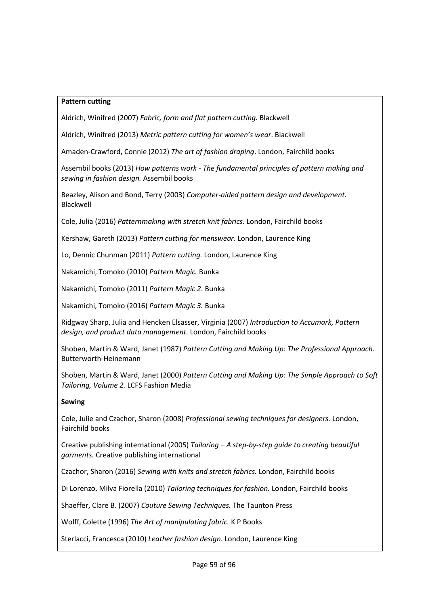## **Pattern cutting**

Aldrich, Winifred (2007) *Fabric, form and flat pattern cutting.* Blackwell

Aldrich, Winifred (2013) *Metric pattern cutting for women's wear*. Blackwell

Amaden-Crawford, Connie (2012) *The art of fashion draping*. London, Fairchild books

Assembil books (2013) *How patterns work - The fundamental principles of pattern making and sewing in fashion design.* Assembil books

Beazley, Alison and Bond, Terry (2003) *Computer-aided pattern design and development.*  Blackwell

Cole, Julia (2016) *Patternmaking with stretch knit fabrics*. London, Fairchild books

Kershaw, Gareth (2013) *Pattern cutting for menswear*. London, Laurence King

Lo, Dennic Chunman (2011) *Pattern cutting.* London, Laurence King

Nakamichi, Tomoko (2010) *Pattern Magic.* Bunka

Nakamichi, Tomoko (2011) *Pattern Magic 2*. Bunka

Nakamichi, Tomoko (2016) *Pattern Magic 3.* Bunka

Ridgway Sharp, Julia and Hencken Elsasser, Virginia (2007) *Introduction to Accumark, Pattern design, and product data management.* London, Fairchild books

Shoben, Martin & Ward, Janet (1987) *Pattern Cutting and Making Up: The Professional Approach.*  Butterworth-Heinemann

Shoben, Martin & Ward, Janet (2000) *Pattern Cutting and Making Up: The Simple Approach to Soft Tailoring, Volume 2.* LCFS Fashion Media

### **Sewing**

Cole, Julie and Czachor, Sharon (2008) *Professional sewing techniques for designers.* London, Fairchild books

Creative publishing international (2005) *Tailoring – A step-by-step guide to creating beautiful garments.* Creative publishing international

Czachor, Sharon (2016) *Sewing with knits and stretch fabrics.* London, Fairchild books

Di Lorenzo, Milva Fiorella (2010) *Tailoring techniques for fashion.* London, Fairchild books

Shaeffer, Clare B. (2007) *Couture Sewing Techniques.* The Taunton Press

Wolff, Colette (1996) *The Art of manipulating fabric.* K P Books

Sterlacci, Francesca (2010) *Leather fashion design*. London, Laurence King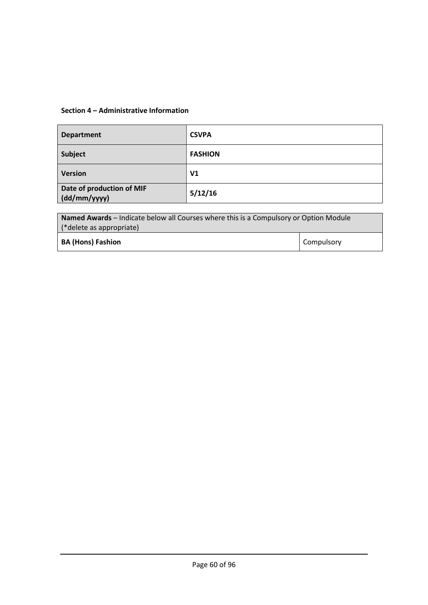| <b>Department</b>                         | <b>CSVPA</b>   |
|-------------------------------------------|----------------|
| <b>Subject</b>                            | <b>FASHION</b> |
| <b>Version</b>                            | V <sub>1</sub> |
| Date of production of MIF<br>(dd/mm/yyyy) | 5/12/16        |

| <b>Named Awards</b> – Indicate below all Courses where this is a Compulsory or Option Module |            |  |  |  |
|----------------------------------------------------------------------------------------------|------------|--|--|--|
| (*delete as appropriate)                                                                     |            |  |  |  |
| <b>BA (Hons) Fashion</b>                                                                     | Compulsory |  |  |  |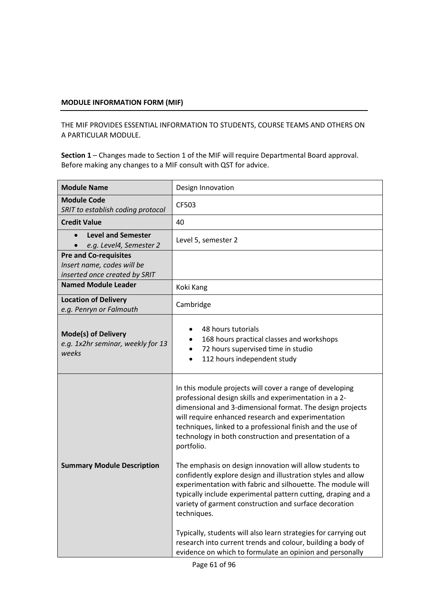THE MIF PROVIDES ESSENTIAL INFORMATION TO STUDENTS, COURSE TEAMS AND OTHERS ON A PARTICULAR MODULE.

| <b>Module Name</b>                                                                          | Design Innovation                                                                                                                                                                                                                                                                                                                                                                                                                                                                                                                                                                                                                                                                                                                                                                                                                                                                                             |
|---------------------------------------------------------------------------------------------|---------------------------------------------------------------------------------------------------------------------------------------------------------------------------------------------------------------------------------------------------------------------------------------------------------------------------------------------------------------------------------------------------------------------------------------------------------------------------------------------------------------------------------------------------------------------------------------------------------------------------------------------------------------------------------------------------------------------------------------------------------------------------------------------------------------------------------------------------------------------------------------------------------------|
| <b>Module Code</b><br>SRIT to establish coding protocol                                     | CF503                                                                                                                                                                                                                                                                                                                                                                                                                                                                                                                                                                                                                                                                                                                                                                                                                                                                                                         |
| <b>Credit Value</b>                                                                         | 40                                                                                                                                                                                                                                                                                                                                                                                                                                                                                                                                                                                                                                                                                                                                                                                                                                                                                                            |
| <b>Level and Semester</b><br>e.g. Level4, Semester 2                                        | Level 5, semester 2                                                                                                                                                                                                                                                                                                                                                                                                                                                                                                                                                                                                                                                                                                                                                                                                                                                                                           |
| <b>Pre and Co-requisites</b><br>Insert name, codes will be<br>inserted once created by SRIT |                                                                                                                                                                                                                                                                                                                                                                                                                                                                                                                                                                                                                                                                                                                                                                                                                                                                                                               |
| <b>Named Module Leader</b>                                                                  | Koki Kang                                                                                                                                                                                                                                                                                                                                                                                                                                                                                                                                                                                                                                                                                                                                                                                                                                                                                                     |
| <b>Location of Delivery</b><br>e.g. Penryn or Falmouth                                      | Cambridge                                                                                                                                                                                                                                                                                                                                                                                                                                                                                                                                                                                                                                                                                                                                                                                                                                                                                                     |
| <b>Mode(s) of Delivery</b><br>e.g. 1x2hr seminar, weekly for 13<br>weeks                    | 48 hours tutorials<br>168 hours practical classes and workshops<br>72 hours supervised time in studio<br>112 hours independent study                                                                                                                                                                                                                                                                                                                                                                                                                                                                                                                                                                                                                                                                                                                                                                          |
| <b>Summary Module Description</b>                                                           | In this module projects will cover a range of developing<br>professional design skills and experimentation in a 2-<br>dimensional and 3-dimensional format. The design projects<br>will require enhanced research and experimentation<br>techniques, linked to a professional finish and the use of<br>technology in both construction and presentation of a<br>portfolio.<br>The emphasis on design innovation will allow students to<br>confidently explore design and illustration styles and allow<br>experimentation with fabric and silhouette. The module will<br>typically include experimental pattern cutting, draping and a<br>variety of garment construction and surface decoration<br>techniques.<br>Typically, students will also learn strategies for carrying out<br>research into current trends and colour, building a body of<br>evidence on which to formulate an opinion and personally |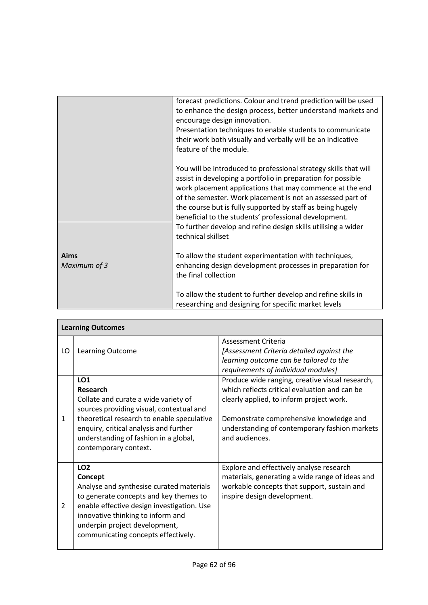|                      | forecast predictions. Colour and trend prediction will be used<br>to enhance the design process, better understand markets and<br>encourage design innovation.<br>Presentation techniques to enable students to communicate<br>their work both visually and verbally will be an indicative<br>feature of the module.                                                              |
|----------------------|-----------------------------------------------------------------------------------------------------------------------------------------------------------------------------------------------------------------------------------------------------------------------------------------------------------------------------------------------------------------------------------|
|                      | You will be introduced to professional strategy skills that will<br>assist in developing a portfolio in preparation for possible<br>work placement applications that may commence at the end<br>of the semester. Work placement is not an assessed part of<br>the course but is fully supported by staff as being hugely<br>beneficial to the students' professional development. |
| Aims<br>Maximum of 3 | To further develop and refine design skills utilising a wider<br>technical skillset<br>To allow the student experimentation with techniques,<br>enhancing design development processes in preparation for                                                                                                                                                                         |
|                      | the final collection<br>To allow the student to further develop and refine skills in<br>researching and designing for specific market levels                                                                                                                                                                                                                                      |

| <b>Learning Outcomes</b> |                                                                                                                                                                                                                                                                        |                                                                                                                                                                                                                                                            |  |  |
|--------------------------|------------------------------------------------------------------------------------------------------------------------------------------------------------------------------------------------------------------------------------------------------------------------|------------------------------------------------------------------------------------------------------------------------------------------------------------------------------------------------------------------------------------------------------------|--|--|
| LO                       | Learning Outcome                                                                                                                                                                                                                                                       | Assessment Criteria<br>[Assessment Criteria detailed against the<br>learning outcome can be tailored to the<br>requirements of individual modules]                                                                                                         |  |  |
| $\mathbf{1}$             | <b>LO1</b><br>Research<br>Collate and curate a wide variety of<br>sources providing visual, contextual and<br>theoretical research to enable speculative<br>enquiry, critical analysis and further<br>understanding of fashion in a global,<br>contemporary context.   | Produce wide ranging, creative visual research,<br>which reflects critical evaluation and can be<br>clearly applied, to inform project work.<br>Demonstrate comprehensive knowledge and<br>understanding of contemporary fashion markets<br>and audiences. |  |  |
| $\overline{2}$           | <b>LO2</b><br>Concept<br>Analyse and synthesise curated materials<br>to generate concepts and key themes to<br>enable effective design investigation. Use<br>innovative thinking to inform and<br>underpin project development,<br>communicating concepts effectively. | Explore and effectively analyse research<br>materials, generating a wide range of ideas and<br>workable concepts that support, sustain and<br>inspire design development.                                                                                  |  |  |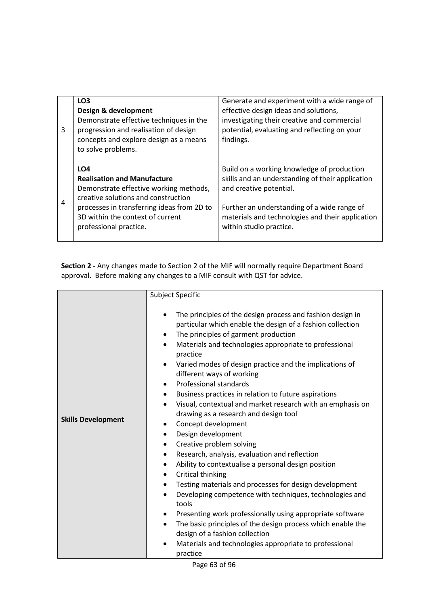| 3 | LO <sub>3</sub><br>Design & development<br>Demonstrate effective techniques in the<br>progression and realisation of design<br>concepts and explore design as a means<br>to solve problems.                                                        | Generate and experiment with a wide range of<br>effective design ideas and solutions,<br>investigating their creative and commercial<br>potential, evaluating and reflecting on your<br>findings.                                                       |
|---|----------------------------------------------------------------------------------------------------------------------------------------------------------------------------------------------------------------------------------------------------|---------------------------------------------------------------------------------------------------------------------------------------------------------------------------------------------------------------------------------------------------------|
| 4 | LO <sub>4</sub><br><b>Realisation and Manufacture</b><br>Demonstrate effective working methods,<br>creative solutions and construction<br>processes in transferring ideas from 2D to<br>3D within the context of current<br>professional practice. | Build on a working knowledge of production<br>skills and an understanding of their application<br>and creative potential.<br>Further an understanding of a wide range of<br>materials and technologies and their application<br>within studio practice. |

|                           | <b>Subject Specific</b>                                                                                                                                                                                                                                                                                                                                                                                                                                                                                                                                                                                                                                                                                                                                                                                                                                                                                                                                                                                                                                                                                                                                                                                                                                                       |
|---------------------------|-------------------------------------------------------------------------------------------------------------------------------------------------------------------------------------------------------------------------------------------------------------------------------------------------------------------------------------------------------------------------------------------------------------------------------------------------------------------------------------------------------------------------------------------------------------------------------------------------------------------------------------------------------------------------------------------------------------------------------------------------------------------------------------------------------------------------------------------------------------------------------------------------------------------------------------------------------------------------------------------------------------------------------------------------------------------------------------------------------------------------------------------------------------------------------------------------------------------------------------------------------------------------------|
| <b>Skills Development</b> | The principles of the design process and fashion design in<br>$\bullet$<br>particular which enable the design of a fashion collection<br>The principles of garment production<br>$\bullet$<br>Materials and technologies appropriate to professional<br>practice<br>Varied modes of design practice and the implications of<br>$\bullet$<br>different ways of working<br>Professional standards<br>$\bullet$<br>Business practices in relation to future aspirations<br>٠<br>Visual, contextual and market research with an emphasis on<br>$\bullet$<br>drawing as a research and design tool<br>Concept development<br>$\bullet$<br>Design development<br>$\bullet$<br>Creative problem solving<br>$\bullet$<br>Research, analysis, evaluation and reflection<br>$\bullet$<br>Ability to contextualise a personal design position<br>$\bullet$<br>Critical thinking<br>Testing materials and processes for design development<br>Developing competence with techniques, technologies and<br>$\bullet$<br>tools<br>Presenting work professionally using appropriate software<br>The basic principles of the design process which enable the<br>$\bullet$<br>design of a fashion collection<br>Materials and technologies appropriate to professional<br>$\bullet$<br>practice |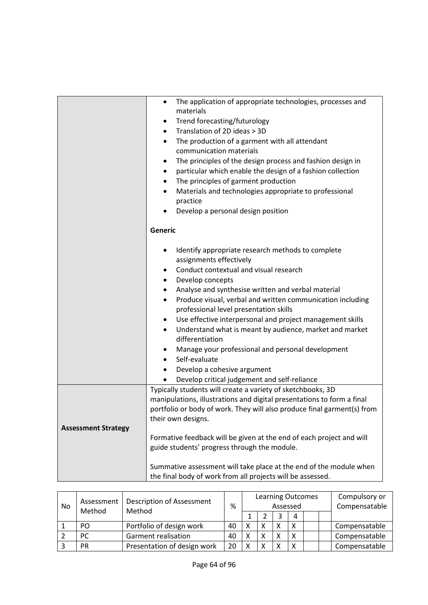|                            | The application of appropriate technologies, processes and<br>٠         |  |  |  |  |
|----------------------------|-------------------------------------------------------------------------|--|--|--|--|
|                            | materials                                                               |  |  |  |  |
|                            | Trend forecasting/futurology<br>٠                                       |  |  |  |  |
|                            | Translation of 2D ideas > 3D<br>$\bullet$                               |  |  |  |  |
|                            | The production of a garment with all attendant<br>$\bullet$             |  |  |  |  |
|                            | communication materials                                                 |  |  |  |  |
|                            | The principles of the design process and fashion design in<br>٠         |  |  |  |  |
|                            | particular which enable the design of a fashion collection<br>٠         |  |  |  |  |
|                            | The principles of garment production                                    |  |  |  |  |
|                            | Materials and technologies appropriate to professional                  |  |  |  |  |
|                            | practice                                                                |  |  |  |  |
|                            | Develop a personal design position                                      |  |  |  |  |
|                            |                                                                         |  |  |  |  |
|                            | Generic                                                                 |  |  |  |  |
|                            | Identify appropriate research methods to complete<br>$\bullet$          |  |  |  |  |
|                            | assignments effectively                                                 |  |  |  |  |
|                            | Conduct contextual and visual research                                  |  |  |  |  |
|                            | Develop concepts<br>٠                                                   |  |  |  |  |
|                            | Analyse and synthesise written and verbal material                      |  |  |  |  |
|                            | Produce visual, verbal and written communication including              |  |  |  |  |
|                            | professional level presentation skills                                  |  |  |  |  |
|                            | Use effective interpersonal and project management skills<br>٠          |  |  |  |  |
|                            | Understand what is meant by audience, market and market<br>٠            |  |  |  |  |
|                            | differentiation                                                         |  |  |  |  |
|                            | Manage your professional and personal development                       |  |  |  |  |
|                            | Self-evaluate                                                           |  |  |  |  |
|                            | Develop a cohesive argument                                             |  |  |  |  |
|                            | Develop critical judgement and self-reliance                            |  |  |  |  |
|                            | Typically students will create a variety of sketchbooks, 3D             |  |  |  |  |
|                            | manipulations, illustrations and digital presentations to form a final  |  |  |  |  |
|                            | portfolio or body of work. They will also produce final garment(s) from |  |  |  |  |
|                            | their own designs.                                                      |  |  |  |  |
| <b>Assessment Strategy</b> |                                                                         |  |  |  |  |
|                            | Formative feedback will be given at the end of each project and will    |  |  |  |  |
|                            | guide students' progress through the module.                            |  |  |  |  |
|                            | Summative assessment will take place at the end of the module when      |  |  |  |  |
|                            | the final body of work from all projects will be assessed.              |  |  |  |  |

| No | Assessment<br>Method | <b>Description of Assessment</b><br>Method | %  | <b>Learning Outcomes</b><br>Assessed |   |  |   |  | Compulsory or<br>Compensatable |               |
|----|----------------------|--------------------------------------------|----|--------------------------------------|---|--|---|--|--------------------------------|---------------|
|    |                      |                                            |    |                                      |   |  | 4 |  |                                |               |
|    | PO.                  | Portfolio of design work                   | 40 |                                      | χ |  |   |  |                                | Compensatable |
|    | PC.                  | <b>Garment realisation</b>                 | 40 |                                      | χ |  |   |  |                                | Compensatable |
|    | <b>PR</b>            | Presentation of design work                | 20 |                                      | v |  |   |  |                                | Compensatable |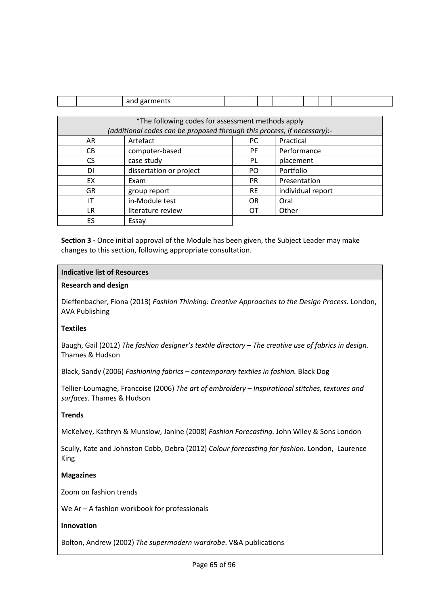|                                                   | and garments                                                            |  |           |  |      |                   |  |  |  |
|---------------------------------------------------|-------------------------------------------------------------------------|--|-----------|--|------|-------------------|--|--|--|
|                                                   |                                                                         |  |           |  |      |                   |  |  |  |
| *The following codes for assessment methods apply |                                                                         |  |           |  |      |                   |  |  |  |
|                                                   | (additional codes can be proposed through this process, if necessary):- |  |           |  |      |                   |  |  |  |
| AR                                                | Artefact                                                                |  | PC        |  |      | Practical         |  |  |  |
| CB.                                               | computer-based                                                          |  | РF        |  |      | Performance       |  |  |  |
| CS                                                | case study                                                              |  | PL        |  |      | placement         |  |  |  |
| DI                                                | dissertation or project                                                 |  | PO        |  |      | Portfolio         |  |  |  |
| EX.                                               | Exam                                                                    |  | PR.       |  |      | Presentation      |  |  |  |
| <b>GR</b>                                         | group report                                                            |  | <b>RE</b> |  |      | individual report |  |  |  |
| IΤ                                                | in-Module test                                                          |  | <b>OR</b> |  | Oral |                   |  |  |  |
| LR                                                | literature review                                                       |  | OТ        |  |      | Other             |  |  |  |
| ES.                                               | Essay                                                                   |  |           |  |      |                   |  |  |  |

### **Indicative list of Resources**

### **Research and design**

Dieffenbacher, Fiona (2013) *Fashion Thinking: Creative Approaches to the Design Process.* London, AVA Publishing

# **Textiles**

Baugh, Gail (2012) *The fashion designer's textile directory – The creative use of fabrics in design.*  Thames & Hudson

Black, Sandy (2006) *Fashioning fabrics – contemporary textiles in fashion.* Black Dog

Tellier-Loumagne, Francoise (2006) *The art of embroidery – Inspirational stitches, textures and surfaces.* Thames & Hudson

# **Trends**

McKelvey, Kathryn & Munslow, Janine (2008) *Fashion Forecasting.* John Wiley & Sons London

Scully, Kate and Johnston Cobb, Debra (2012) *Colour forecasting for fashion.* London, Laurence King

### **Magazines**

Zoom on fashion trends

We Ar – A fashion workbook for professionals

### **Innovation**

Bolton, Andrew (2002) *The supermodern wardrobe*. V&A publications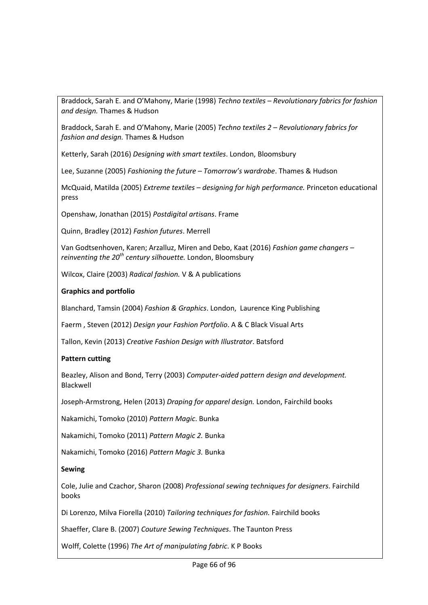Braddock, Sarah E. and O'Mahony, Marie (1998) *Techno textiles – Revolutionary fabrics for fashion and design.* Thames & Hudson

Braddock, Sarah E. and O'Mahony, Marie (2005) *Techno textiles 2 – Revolutionary fabrics for fashion and design.* Thames & Hudson

Ketterly, Sarah (2016) *Designing with smart textiles*. London, Bloomsbury

Lee, Suzanne (2005) *Fashioning the future – Tomorrow's wardrobe*. Thames & Hudson

McQuaid, Matilda (2005) *Extreme textiles – designing for high performance.* Princeton educational press

Openshaw, Jonathan (2015) *Postdigital artisans*. Frame

Quinn, Bradley (2012) *Fashion futures*. Merrell

[Van Godtsenhoven,](http://www.bloomsbury.com/uk/author/karen-van-godtsenhoven) Karen; [Arzalluz,](http://www.bloomsbury.com/uk/author/miren-arzalluz) Miren and [Debo,](http://www.bloomsbury.com/uk/author/kaat-debo) Kaat (2016) *Fashion game changers – reinventing the 20th century silhouette.* London, Bloomsbury

Wilcox, Claire (2003) *Radical fashion.* V & A publications

# **Graphics and portfolio**

Blanchard, Tamsin (2004) *Fashion & Graphics*. London, Laurence King Publishing

Faerm , Steven (2012) *Design your Fashion Portfolio*. A & C Black Visual Arts

Tallon, Kevin (2013) *Creative Fashion Design with Illustrator*. Batsford

# **Pattern cutting**

Beazley, Alison and Bond, Terry (2003) *Computer-aided pattern design and development.*  Blackwell

Joseph-Armstrong, Helen (2013) *Draping for apparel design.* London, Fairchild books

Nakamichi, Tomoko (2010) *Pattern Magic*. Bunka

Nakamichi, Tomoko (2011) *Pattern Magic 2.* Bunka

Nakamichi, Tomoko (2016) *Pattern Magic 3.* Bunka

### **Sewing**

Cole, Julie and Czachor, Sharon (2008) *Professional sewing techniques for designers*. Fairchild books

Di Lorenzo, Milva Fiorella (2010) *Tailoring techniques for fashion.* Fairchild books

Shaeffer, Clare B. (2007) *Couture Sewing Techniques*. The Taunton Press

Wolff, Colette (1996) *The Art of manipulating fabric*. K P Books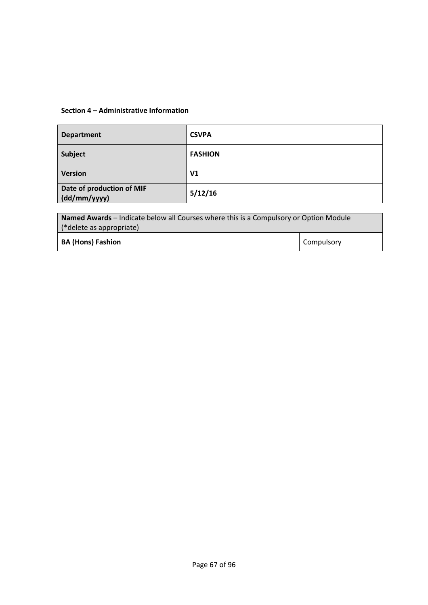| <b>Department</b>                         | <b>CSVPA</b>   |
|-------------------------------------------|----------------|
| Subject                                   | <b>FASHION</b> |
| <b>Version</b>                            | V <sub>1</sub> |
| Date of production of MIF<br>(dd/mm/yyyy) | 5/12/16        |

| <b>Named Awards</b> – Indicate below all Courses where this is a Compulsory or Option Module |                   |  |  |  |  |
|----------------------------------------------------------------------------------------------|-------------------|--|--|--|--|
| (*delete as appropriate)                                                                     |                   |  |  |  |  |
| <b>BA (Hons) Fashion</b>                                                                     | <b>Compulsory</b> |  |  |  |  |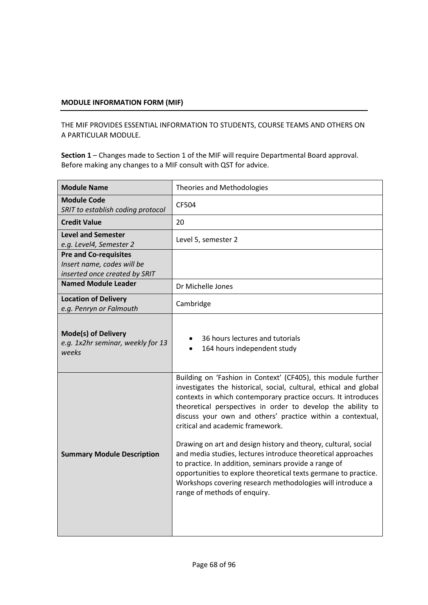THE MIF PROVIDES ESSENTIAL INFORMATION TO STUDENTS, COURSE TEAMS AND OTHERS ON A PARTICULAR MODULE.

| Level 5, semester 2                                                                                                                                                                                                                                                                                                                                                                                                                                                                                                                                                                                                                                                                                                              |
|----------------------------------------------------------------------------------------------------------------------------------------------------------------------------------------------------------------------------------------------------------------------------------------------------------------------------------------------------------------------------------------------------------------------------------------------------------------------------------------------------------------------------------------------------------------------------------------------------------------------------------------------------------------------------------------------------------------------------------|
|                                                                                                                                                                                                                                                                                                                                                                                                                                                                                                                                                                                                                                                                                                                                  |
| Dr Michelle Jones                                                                                                                                                                                                                                                                                                                                                                                                                                                                                                                                                                                                                                                                                                                |
| Cambridge                                                                                                                                                                                                                                                                                                                                                                                                                                                                                                                                                                                                                                                                                                                        |
| 36 hours lectures and tutorials<br>164 hours independent study                                                                                                                                                                                                                                                                                                                                                                                                                                                                                                                                                                                                                                                                   |
| Building on 'Fashion in Context' (CF405), this module further<br>investigates the historical, social, cultural, ethical and global<br>contexts in which contemporary practice occurs. It introduces<br>theoretical perspectives in order to develop the ability to<br>discuss your own and others' practice within a contextual,<br>critical and academic framework.<br>Drawing on art and design history and theory, cultural, social<br>and media studies, lectures introduce theoretical approaches<br>to practice. In addition, seminars provide a range of<br>opportunities to explore theoretical texts germane to practice.<br>Workshops covering research methodologies will introduce a<br>range of methods of enquiry. |
|                                                                                                                                                                                                                                                                                                                                                                                                                                                                                                                                                                                                                                                                                                                                  |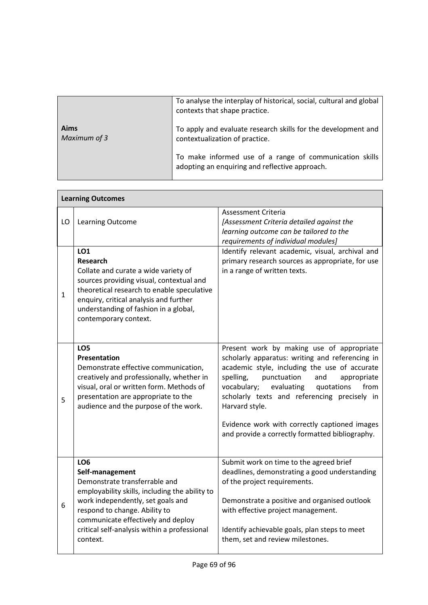|                      | To analyse the interplay of historical, social, cultural and global<br>contexts that shape practice.      |
|----------------------|-----------------------------------------------------------------------------------------------------------|
| Aims<br>Maximum of 3 | To apply and evaluate research skills for the development and<br>contextualization of practice.           |
|                      | To make informed use of a range of communication skills<br>adopting an enquiring and reflective approach. |

|              | <b>Learning Outcomes</b>                                                                                                                                                                                                                                                                      |                                                                                                                                                                                                                                                                                                                                                                                                                          |
|--------------|-----------------------------------------------------------------------------------------------------------------------------------------------------------------------------------------------------------------------------------------------------------------------------------------------|--------------------------------------------------------------------------------------------------------------------------------------------------------------------------------------------------------------------------------------------------------------------------------------------------------------------------------------------------------------------------------------------------------------------------|
| LO           | Learning Outcome                                                                                                                                                                                                                                                                              | Assessment Criteria<br>[Assessment Criteria detailed against the<br>learning outcome can be tailored to the<br>requirements of individual modules]                                                                                                                                                                                                                                                                       |
| $\mathbf{1}$ | LO <sub>1</sub><br><b>Research</b><br>Collate and curate a wide variety of<br>sources providing visual, contextual and<br>theoretical research to enable speculative<br>enquiry, critical analysis and further<br>understanding of fashion in a global,<br>contemporary context.              | Identify relevant academic, visual, archival and<br>primary research sources as appropriate, for use<br>in a range of written texts.                                                                                                                                                                                                                                                                                     |
| 5            | LO <sub>5</sub><br>Presentation<br>Demonstrate effective communication,<br>creatively and professionally, whether in<br>visual, oral or written form. Methods of<br>presentation are appropriate to the<br>audience and the purpose of the work.                                              | Present work by making use of appropriate<br>scholarly apparatus: writing and referencing in<br>academic style, including the use of accurate<br>spelling,<br>punctuation<br>and<br>appropriate<br>evaluating<br>from<br>vocabulary;<br>quotations<br>scholarly texts and referencing precisely in<br>Harvard style.<br>Evidence work with correctly captioned images<br>and provide a correctly formatted bibliography. |
| 6            | LO <sub>6</sub><br>Self-management<br>Demonstrate transferrable and<br>employability skills, including the ability to<br>work independently, set goals and<br>respond to change. Ability to<br>communicate effectively and deploy<br>critical self-analysis within a professional<br>context. | Submit work on time to the agreed brief<br>deadlines, demonstrating a good understanding<br>of the project requirements.<br>Demonstrate a positive and organised outlook<br>with effective project management.<br>Identify achievable goals, plan steps to meet<br>them, set and review milestones.                                                                                                                      |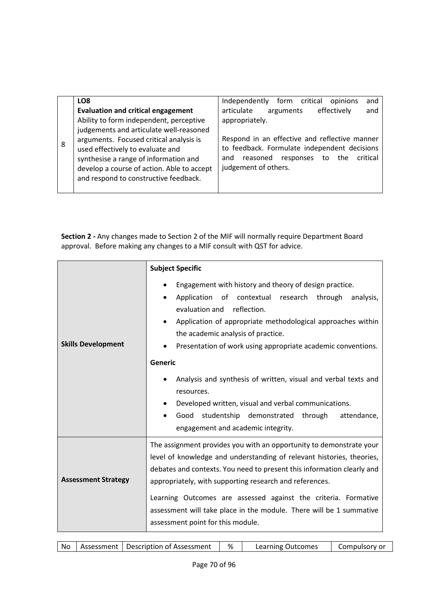|   | LO <sub>8</sub>                                                                                                                                                                                                                                                                                                                                | Independently form critical<br>opinions<br>and                                                                                                                                                                                                 |
|---|------------------------------------------------------------------------------------------------------------------------------------------------------------------------------------------------------------------------------------------------------------------------------------------------------------------------------------------------|------------------------------------------------------------------------------------------------------------------------------------------------------------------------------------------------------------------------------------------------|
| 8 | <b>Evaluation and critical engagement</b><br>Ability to form independent, perceptive<br>judgements and articulate well-reasoned<br>arguments. Focused critical analysis is<br>used effectively to evaluate and<br>synthesise a range of information and<br>develop a course of action. Able to accept<br>and respond to constructive feedback. | articulate<br>effectively<br>arguments<br>and<br>appropriately.<br>Respond in an effective and reflective manner<br>to feedback. Formulate independent decisions<br>reasoned responses<br>critical<br>the<br>to<br>and<br>judgement of others. |

|                            | <b>Subject Specific</b>                                                                                                                                                                                                                                                                                                                                                                                                                                         |
|----------------------------|-----------------------------------------------------------------------------------------------------------------------------------------------------------------------------------------------------------------------------------------------------------------------------------------------------------------------------------------------------------------------------------------------------------------------------------------------------------------|
| <b>Skills Development</b>  | Engagement with history and theory of design practice.<br>Application of contextual research<br>through<br>analysis,<br>reflection.<br>evaluation and<br>Application of appropriate methodological approaches within<br>the academic analysis of practice.<br>Presentation of work using appropriate academic conventions.                                                                                                                                      |
|                            | <b>Generic</b><br>Analysis and synthesis of written, visual and verbal texts and<br>resources.<br>Developed written, visual and verbal communications.<br>Good studentship demonstrated<br>through<br>attendance,<br>$\bullet$<br>engagement and academic integrity.                                                                                                                                                                                            |
| <b>Assessment Strategy</b> | The assignment provides you with an opportunity to demonstrate your<br>level of knowledge and understanding of relevant histories, theories,<br>debates and contexts. You need to present this information clearly and<br>appropriately, with supporting research and references.<br>Learning Outcomes are assessed against the criteria. Formative<br>assessment will take place in the module. There will be 1 summative<br>assessment point for this module. |

| - No | Assessment | Description of Assessment | % | Learning Outcomes | Compulsory or |
|------|------------|---------------------------|---|-------------------|---------------|
|------|------------|---------------------------|---|-------------------|---------------|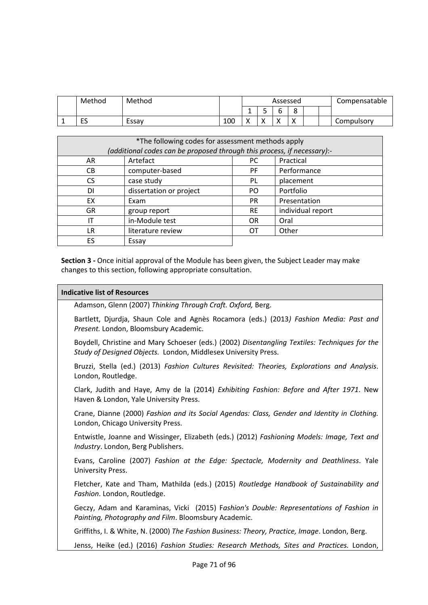| Method | Method |     |              |         | Assessed |                           |  | Compensatable |
|--------|--------|-----|--------------|---------|----------|---------------------------|--|---------------|
|        |        |     |              | -<br>ــ |          | Ω<br>o                    |  |               |
| ES     | Essav  | 100 | $\mathbf{v}$ |         |          | $\mathbf{v}$<br>$\lambda$ |  | Compulsory    |

| *The following codes for assessment methods apply<br>(additional codes can be proposed through this process, if necessary):- |                         |           |                   |  |  |  |  |
|------------------------------------------------------------------------------------------------------------------------------|-------------------------|-----------|-------------------|--|--|--|--|
| AR                                                                                                                           | Artefact                | PC.       | Practical         |  |  |  |  |
| CВ                                                                                                                           | computer-based          | PF.       | Performance       |  |  |  |  |
| CS.                                                                                                                          | case study              | PL        | placement         |  |  |  |  |
| DΙ                                                                                                                           | dissertation or project | PO.       | Portfolio         |  |  |  |  |
| EX                                                                                                                           | Exam                    | <b>PR</b> | Presentation      |  |  |  |  |
| GR                                                                                                                           | group report            | <b>RE</b> | individual report |  |  |  |  |
| ΙT                                                                                                                           | in-Module test          | <b>OR</b> | Oral              |  |  |  |  |
| LR                                                                                                                           | literature review       | OТ        | Other             |  |  |  |  |
| ES                                                                                                                           | Essay                   |           |                   |  |  |  |  |

### **Indicative list of Resources**

Adamson, Glenn (2007) *Thinking Through Craft. Oxford,* Berg.

Bartlett, Djurdja, Shaun Cole and Agnès Rocamora (eds.) (2013*) Fashion Media: Past and Present.* London, Bloomsbury Academic.

Boydell, Christine and Mary Schoeser (eds.) (2002) *Disentangling Textiles: Techniques for the Study of Designed Objects.* London, Middlesex University Press.

Bruzzi, Stella (ed.) (2013) *Fashion Cultures Revisited: Theories, Explorations and Analysis*. London, Routledge.

Clark, Judith and Haye, Amy de la (2014) *Exhibiting Fashion: Before and After 1971*. New Haven & London, Yale University Press.

Crane, Dianne (2000) *Fashion and its Social Agendas: Class, Gender and Identity in Clothing.* London, Chicago University Press.

Entwistle, Joanne and Wissinger, Elizabeth (eds.) (2012) *Fashioning Models: Image, Text and Industry*. London, Berg Publishers.

Evans, Caroline (2007) *Fashion at the Edge: Spectacle, Modernity and Deathliness*. Yale University Press.

Fletcher, Kate and Tham, Mathilda (eds.) (2015) *Routledge Handbook of Sustainability and Fashion*. London, Routledge.

Geczy, Adam and Karaminas, Vicki (2015) F*ashion's Double: Representations of Fashion in Painting, Photography and Film*. Bloomsbury Academic.

Griffiths, I. & White, N. (2000) *The Fashion Business: Theory, Practice, Image*. London, Berg.

Jenss, Heike (ed.) (2016) *Fashion Studies: Research Methods, Sites and Practices.* London,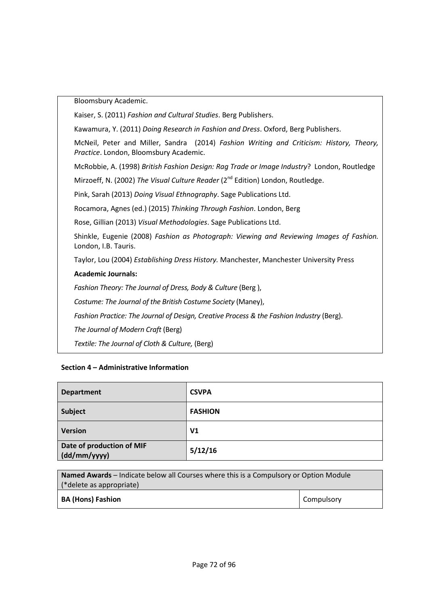Bloomsbury Academic.

Kaiser, S. (2011) *Fashion and Cultural Studies*. Berg Publishers.

Kawamura, Y. (2011) *Doing Research in Fashion and Dress*. Oxford, Berg Publishers.

McNeil, Peter and Miller, Sandra (2014) *Fashion Writing and Criticism: History, Theory, Practice*. London, Bloomsbury Academic.

McRobbie, A. (1998) *British Fashion Design: Rag Trade or Image Industry*? London, Routledge

Mirzoeff, N. (2002) The Visual Culture Reader (2<sup>nd</sup> Edition) London, Routledge.

Pink, Sarah (2013) *Doing Visual Ethnography*. Sage Publications Ltd.

Rocamora, Agnes (ed.) (2015) *Thinking Through Fashion*. London, Berg

Rose, Gillian (2013) *Visual Methodologies*. Sage Publications Ltd.

Shinkle, Eugenie (2008) *Fashion as Photograph: Viewing and Reviewing Images of Fashion.* London, I.B. Tauris.

Taylor, Lou (2004) *Establishing Dress History.* Manchester, Manchester University Press

# **Academic Journals:**

*Fashion Theory: The Journal of Dress, Body & Culture* (Berg ),

*Costume: The Journal of the British Costume Society* (Maney),

*Fashion Practice: The Journal of Design, Creative Process & the Fashion Industry* (Berg).

*The Journal of Modern Craft* (Berg)

*Textile: The Journal of Cloth & Culture,* (Berg)

| <b>Department</b>                         | <b>CSVPA</b>   |
|-------------------------------------------|----------------|
| Subject                                   | <b>FASHION</b> |
| <b>Version</b>                            | V <sub>1</sub> |
| Date of production of MIF<br>(dd/mm/yyyy) | 5/12/16        |

| <b>Named Awards</b> – Indicate below all Courses where this is a Compulsory or Option Module |            |
|----------------------------------------------------------------------------------------------|------------|
| (*delete as appropriate)                                                                     |            |
| <b>BA (Hons) Fashion</b>                                                                     | Compulsory |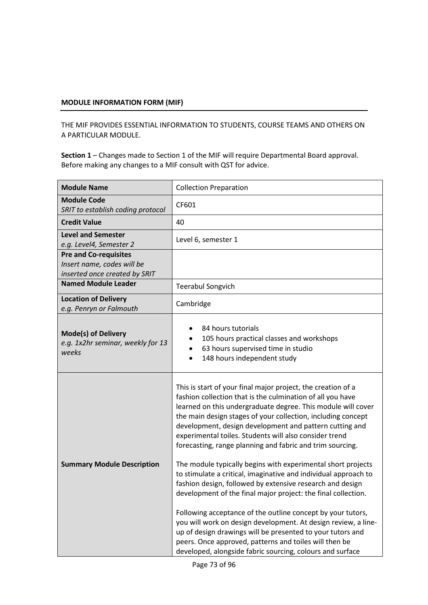THE MIF PROVIDES ESSENTIAL INFORMATION TO STUDENTS, COURSE TEAMS AND OTHERS ON A PARTICULAR MODULE.

| <b>Module Name</b>                                                                          | <b>Collection Preparation</b>                                                                                                                                                                                                                                                                                                                                                                                                                                                                                                                                                                                                                                                                                                                                                                                                                                                                                                                                                                                                       |
|---------------------------------------------------------------------------------------------|-------------------------------------------------------------------------------------------------------------------------------------------------------------------------------------------------------------------------------------------------------------------------------------------------------------------------------------------------------------------------------------------------------------------------------------------------------------------------------------------------------------------------------------------------------------------------------------------------------------------------------------------------------------------------------------------------------------------------------------------------------------------------------------------------------------------------------------------------------------------------------------------------------------------------------------------------------------------------------------------------------------------------------------|
| <b>Module Code</b><br>SRIT to establish coding protocol                                     | CF601                                                                                                                                                                                                                                                                                                                                                                                                                                                                                                                                                                                                                                                                                                                                                                                                                                                                                                                                                                                                                               |
| <b>Credit Value</b>                                                                         | 40                                                                                                                                                                                                                                                                                                                                                                                                                                                                                                                                                                                                                                                                                                                                                                                                                                                                                                                                                                                                                                  |
| <b>Level and Semester</b><br>e.g. Level4, Semester 2                                        | Level 6, semester 1                                                                                                                                                                                                                                                                                                                                                                                                                                                                                                                                                                                                                                                                                                                                                                                                                                                                                                                                                                                                                 |
| <b>Pre and Co-requisites</b><br>Insert name, codes will be<br>inserted once created by SRIT |                                                                                                                                                                                                                                                                                                                                                                                                                                                                                                                                                                                                                                                                                                                                                                                                                                                                                                                                                                                                                                     |
| <b>Named Module Leader</b>                                                                  | <b>Teerabul Songvich</b>                                                                                                                                                                                                                                                                                                                                                                                                                                                                                                                                                                                                                                                                                                                                                                                                                                                                                                                                                                                                            |
| <b>Location of Delivery</b><br>e.g. Penryn or Falmouth                                      | Cambridge                                                                                                                                                                                                                                                                                                                                                                                                                                                                                                                                                                                                                                                                                                                                                                                                                                                                                                                                                                                                                           |
| <b>Mode(s) of Delivery</b><br>e.g. 1x2hr seminar, weekly for 13<br>weeks                    | 84 hours tutorials<br>105 hours practical classes and workshops<br>63 hours supervised time in studio<br>148 hours independent study                                                                                                                                                                                                                                                                                                                                                                                                                                                                                                                                                                                                                                                                                                                                                                                                                                                                                                |
| <b>Summary Module Description</b>                                                           | This is start of your final major project, the creation of a<br>fashion collection that is the culmination of all you have<br>learned on this undergraduate degree. This module will cover<br>the main design stages of your collection, including concept<br>development, design development and pattern cutting and<br>experimental toiles. Students will also consider trend<br>forecasting, range planning and fabric and trim sourcing.<br>The module typically begins with experimental short projects<br>to stimulate a critical, imaginative and individual approach to<br>fashion design, followed by extensive research and design<br>development of the final major project: the final collection.<br>Following acceptance of the outline concept by your tutors,<br>you will work on design development. At design review, a line-<br>up of design drawings will be presented to your tutors and<br>peers. Once approved, patterns and toiles will then be<br>developed, alongside fabric sourcing, colours and surface |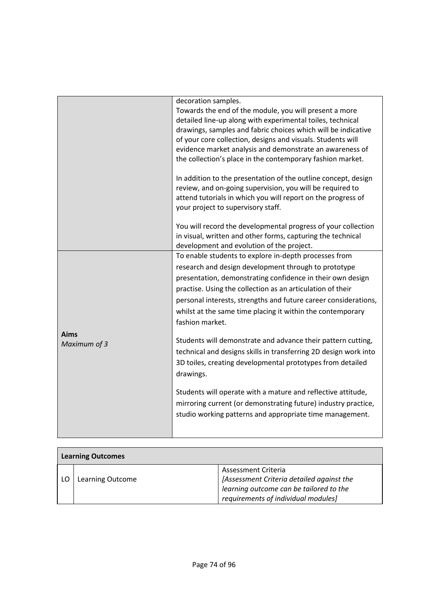|                             | decoration samples.<br>Towards the end of the module, you will present a more<br>detailed line-up along with experimental toiles, technical<br>drawings, samples and fabric choices which will be indicative<br>of your core collection, designs and visuals. Students will<br>evidence market analysis and demonstrate an awareness of<br>the collection's place in the contemporary fashion market.                                                                                                                                                                                                                                                                                                                                                                                                      |
|-----------------------------|------------------------------------------------------------------------------------------------------------------------------------------------------------------------------------------------------------------------------------------------------------------------------------------------------------------------------------------------------------------------------------------------------------------------------------------------------------------------------------------------------------------------------------------------------------------------------------------------------------------------------------------------------------------------------------------------------------------------------------------------------------------------------------------------------------|
|                             | In addition to the presentation of the outline concept, design<br>review, and on-going supervision, you will be required to<br>attend tutorials in which you will report on the progress of<br>your project to supervisory staff.                                                                                                                                                                                                                                                                                                                                                                                                                                                                                                                                                                          |
|                             | You will record the developmental progress of your collection<br>in visual, written and other forms, capturing the technical<br>development and evolution of the project.                                                                                                                                                                                                                                                                                                                                                                                                                                                                                                                                                                                                                                  |
| <b>Aims</b><br>Maximum of 3 | To enable students to explore in-depth processes from<br>research and design development through to prototype<br>presentation, demonstrating confidence in their own design<br>practise. Using the collection as an articulation of their<br>personal interests, strengths and future career considerations,<br>whilst at the same time placing it within the contemporary<br>fashion market.<br>Students will demonstrate and advance their pattern cutting,<br>technical and designs skills in transferring 2D design work into<br>3D toiles, creating developmental prototypes from detailed<br>drawings.<br>Students will operate with a mature and reflective attitude,<br>mirroring current (or demonstrating future) industry practice,<br>studio working patterns and appropriate time management. |
|                             |                                                                                                                                                                                                                                                                                                                                                                                                                                                                                                                                                                                                                                                                                                                                                                                                            |

| <b>Learning Outcomes</b> |                  |                                           |  |  |
|--------------------------|------------------|-------------------------------------------|--|--|
|                          |                  | <b>Assessment Criteria</b>                |  |  |
|                          | Learning Outcome | [Assessment Criteria detailed against the |  |  |
|                          |                  | learning outcome can be tailored to the   |  |  |
|                          |                  | requirements of individual modules]       |  |  |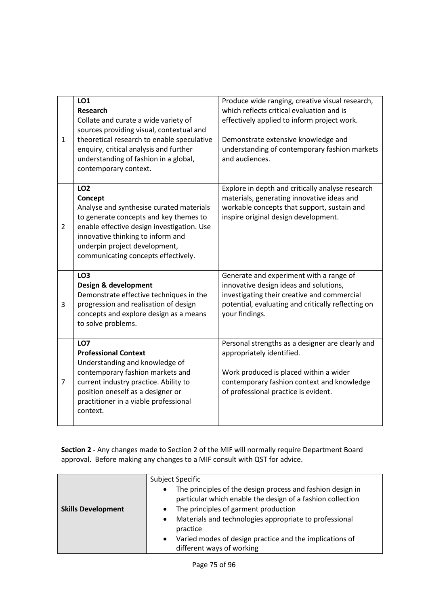| $\mathbf{1}$   | LO1<br>Research<br>Collate and curate a wide variety of<br>sources providing visual, contextual and<br>theoretical research to enable speculative<br>enquiry, critical analysis and further<br>understanding of fashion in a global,<br>contemporary context.               | Produce wide ranging, creative visual research,<br>which reflects critical evaluation and is<br>effectively applied to inform project work.<br>Demonstrate extensive knowledge and<br>understanding of contemporary fashion markets<br>and audiences. |
|----------------|-----------------------------------------------------------------------------------------------------------------------------------------------------------------------------------------------------------------------------------------------------------------------------|-------------------------------------------------------------------------------------------------------------------------------------------------------------------------------------------------------------------------------------------------------|
| $\overline{2}$ | LO <sub>2</sub><br>Concept<br>Analyse and synthesise curated materials<br>to generate concepts and key themes to<br>enable effective design investigation. Use<br>innovative thinking to inform and<br>underpin project development,<br>communicating concepts effectively. | Explore in depth and critically analyse research<br>materials, generating innovative ideas and<br>workable concepts that support, sustain and<br>inspire original design development.                                                                 |
| 3              | LO <sub>3</sub><br>Design & development<br>Demonstrate effective techniques in the<br>progression and realisation of design<br>concepts and explore design as a means<br>to solve problems.                                                                                 | Generate and experiment with a range of<br>innovative design ideas and solutions,<br>investigating their creative and commercial<br>potential, evaluating and critically reflecting on<br>your findings.                                              |
| 7              | LO7<br><b>Professional Context</b><br>Understanding and knowledge of<br>contemporary fashion markets and<br>current industry practice. Ability to<br>position oneself as a designer or<br>practitioner in a viable professional<br>context.                                 | Personal strengths as a designer are clearly and<br>appropriately identified.<br>Work produced is placed within a wider<br>contemporary fashion context and knowledge<br>of professional practice is evident.                                         |

|                           | Subject Specific                                                                                                                      |
|---------------------------|---------------------------------------------------------------------------------------------------------------------------------------|
|                           | The principles of the design process and fashion design in<br>$\bullet$<br>particular which enable the design of a fashion collection |
| <b>Skills Development</b> | The principles of garment production                                                                                                  |
|                           | Materials and technologies appropriate to professional<br>$\bullet$<br>practice                                                       |
|                           | Varied modes of design practice and the implications of<br>$\bullet$<br>different ways of working                                     |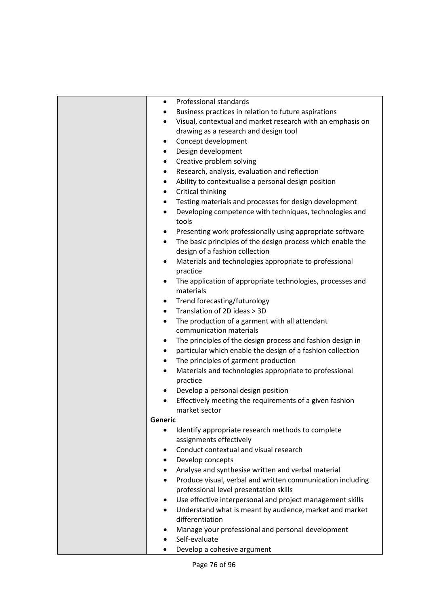| Professional standards<br>Business practices in relation to future aspirations<br>Visual, contextual and market research with an emphasis on<br>$\bullet$<br>drawing as a research and design tool<br>Concept development<br>٠<br>Design development<br>$\bullet$<br>Creative problem solving<br>٠<br>Research, analysis, evaluation and reflection<br>٠<br>Ability to contextualise a personal design position<br>$\bullet$<br>Critical thinking<br>$\bullet$<br>Testing materials and processes for design development<br>$\bullet$<br>Developing competence with techniques, technologies and<br>$\bullet$<br>tools<br>Presenting work professionally using appropriate software<br>The basic principles of the design process which enable the<br>$\bullet$<br>design of a fashion collection<br>Materials and technologies appropriate to professional<br>٠<br>practice<br>The application of appropriate technologies, processes and<br>٠<br>materials |
|--------------------------------------------------------------------------------------------------------------------------------------------------------------------------------------------------------------------------------------------------------------------------------------------------------------------------------------------------------------------------------------------------------------------------------------------------------------------------------------------------------------------------------------------------------------------------------------------------------------------------------------------------------------------------------------------------------------------------------------------------------------------------------------------------------------------------------------------------------------------------------------------------------------------------------------------------------------|
| Trend forecasting/futurology<br>٠                                                                                                                                                                                                                                                                                                                                                                                                                                                                                                                                                                                                                                                                                                                                                                                                                                                                                                                            |
| Translation of 2D ideas > 3D<br>$\bullet$                                                                                                                                                                                                                                                                                                                                                                                                                                                                                                                                                                                                                                                                                                                                                                                                                                                                                                                    |
| The production of a garment with all attendant<br>$\bullet$<br>communication materials                                                                                                                                                                                                                                                                                                                                                                                                                                                                                                                                                                                                                                                                                                                                                                                                                                                                       |
| The principles of the design process and fashion design in<br>$\bullet$                                                                                                                                                                                                                                                                                                                                                                                                                                                                                                                                                                                                                                                                                                                                                                                                                                                                                      |
| particular which enable the design of a fashion collection<br>$\bullet$<br>The principles of garment production<br>$\bullet$                                                                                                                                                                                                                                                                                                                                                                                                                                                                                                                                                                                                                                                                                                                                                                                                                                 |
| Materials and technologies appropriate to professional<br>$\bullet$                                                                                                                                                                                                                                                                                                                                                                                                                                                                                                                                                                                                                                                                                                                                                                                                                                                                                          |
| practice                                                                                                                                                                                                                                                                                                                                                                                                                                                                                                                                                                                                                                                                                                                                                                                                                                                                                                                                                     |
| Develop a personal design position<br>٠                                                                                                                                                                                                                                                                                                                                                                                                                                                                                                                                                                                                                                                                                                                                                                                                                                                                                                                      |
| Effectively meeting the requirements of a given fashion                                                                                                                                                                                                                                                                                                                                                                                                                                                                                                                                                                                                                                                                                                                                                                                                                                                                                                      |
| market sector                                                                                                                                                                                                                                                                                                                                                                                                                                                                                                                                                                                                                                                                                                                                                                                                                                                                                                                                                |
| <b>Generic</b>                                                                                                                                                                                                                                                                                                                                                                                                                                                                                                                                                                                                                                                                                                                                                                                                                                                                                                                                               |
| Identify appropriate research methods to complete<br>assignments effectively                                                                                                                                                                                                                                                                                                                                                                                                                                                                                                                                                                                                                                                                                                                                                                                                                                                                                 |
| Conduct contextual and visual research<br>٠                                                                                                                                                                                                                                                                                                                                                                                                                                                                                                                                                                                                                                                                                                                                                                                                                                                                                                                  |
| Develop concepts<br>$\bullet$                                                                                                                                                                                                                                                                                                                                                                                                                                                                                                                                                                                                                                                                                                                                                                                                                                                                                                                                |
| Analyse and synthesise written and verbal material<br>$\bullet$                                                                                                                                                                                                                                                                                                                                                                                                                                                                                                                                                                                                                                                                                                                                                                                                                                                                                              |
| Produce visual, verbal and written communication including<br>$\bullet$<br>professional level presentation skills                                                                                                                                                                                                                                                                                                                                                                                                                                                                                                                                                                                                                                                                                                                                                                                                                                            |
| Use effective interpersonal and project management skills<br>٠                                                                                                                                                                                                                                                                                                                                                                                                                                                                                                                                                                                                                                                                                                                                                                                                                                                                                               |
| Understand what is meant by audience, market and market<br>$\bullet$                                                                                                                                                                                                                                                                                                                                                                                                                                                                                                                                                                                                                                                                                                                                                                                                                                                                                         |
| differentiation                                                                                                                                                                                                                                                                                                                                                                                                                                                                                                                                                                                                                                                                                                                                                                                                                                                                                                                                              |
| Manage your professional and personal development                                                                                                                                                                                                                                                                                                                                                                                                                                                                                                                                                                                                                                                                                                                                                                                                                                                                                                            |
| Self-evaluate                                                                                                                                                                                                                                                                                                                                                                                                                                                                                                                                                                                                                                                                                                                                                                                                                                                                                                                                                |
| Develop a cohesive argument                                                                                                                                                                                                                                                                                                                                                                                                                                                                                                                                                                                                                                                                                                                                                                                                                                                                                                                                  |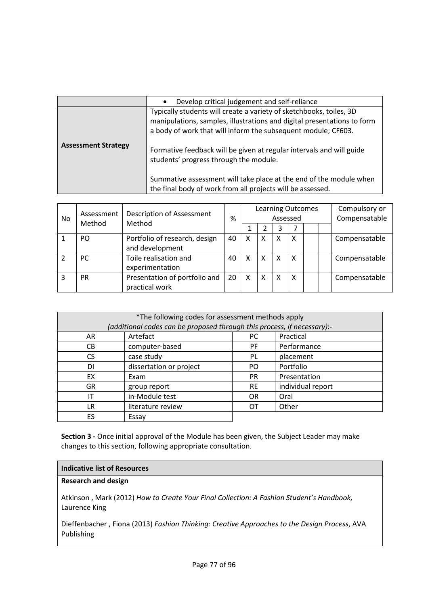|                            | Develop critical judgement and self-reliance<br>$\bullet$                                                                                                                                                                                                                                                                         |  |
|----------------------------|-----------------------------------------------------------------------------------------------------------------------------------------------------------------------------------------------------------------------------------------------------------------------------------------------------------------------------------|--|
| <b>Assessment Strategy</b> | Typically students will create a variety of sketchbooks, toiles, 3D<br>manipulations, samples, illustrations and digital presentations to form<br>a body of work that will inform the subsequent module; CF603.<br>Formative feedback will be given at regular intervals and will guide<br>students' progress through the module. |  |
|                            | Summative assessment will take place at the end of the module when<br>the final body of work from all projects will be assessed.                                                                                                                                                                                                  |  |

| No. | Assessment | <b>Description of Assessment</b><br>Method |    |   | <b>Learning Outcomes</b> | Assessed |   |  | Compulsory or<br>Compensatable |
|-----|------------|--------------------------------------------|----|---|--------------------------|----------|---|--|--------------------------------|
|     | Method     |                                            |    |   |                          |          |   |  |                                |
|     | PO.        | Portfolio of research, design              | 40 | X | X                        | X        | X |  | Compensatable                  |
|     |            | and development                            |    |   |                          |          |   |  |                                |
|     | <b>PC</b>  | Toile realisation and                      | 40 | X | X                        | X        | X |  | Compensatable                  |
|     |            | experimentation                            |    |   |                          |          |   |  |                                |
| 3   | <b>PR</b>  | Presentation of portfolio and              | 20 | X | X                        | X        | X |  | Compensatable                  |
|     |            | practical work                             |    |   |                          |          |   |  |                                |

| *The following codes for assessment methods apply                       |                         |           |                   |  |
|-------------------------------------------------------------------------|-------------------------|-----------|-------------------|--|
| (additional codes can be proposed through this process, if necessary):- |                         |           |                   |  |
| AR                                                                      | Artefact                | PC.       | Practical         |  |
| CВ                                                                      | computer-based          | <b>PF</b> | Performance       |  |
| CS.                                                                     | case study              | PL        | placement         |  |
| DI                                                                      | dissertation or project | PO.       | Portfolio         |  |
| EX                                                                      | Exam                    | <b>PR</b> | Presentation      |  |
| <b>GR</b>                                                               | group report            | <b>RE</b> | individual report |  |
| ΙT                                                                      | in-Module test          | <b>OR</b> | Oral              |  |
| LR                                                                      | literature review       | OΤ        | Other             |  |
| FS                                                                      | Essay                   |           |                   |  |

## **Indicative list of Resources**

## **Research and design**

Atkinson , Mark (2012) *How to Create Your Final Collection: A Fashion Student's Handbook,* Laurence King

Dieffenbacher , Fiona (2013) *Fashion Thinking: Creative Approaches to the Design Process*, AVA Publishing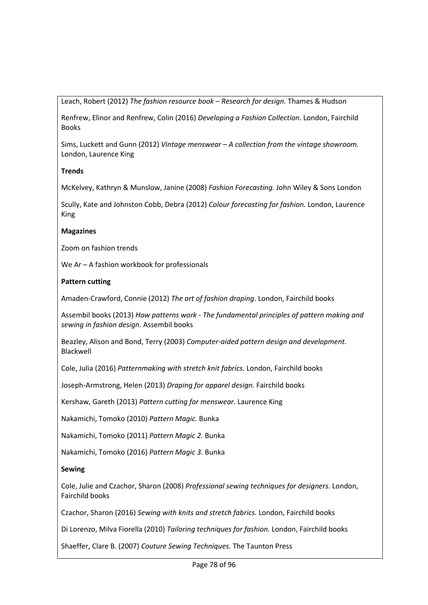Leach, Robert (2012) *The fashion resource book – Research for design.* Thames & Hudson

Renfrew, Elinor and Renfrew, Colin (2016) *Developing a Fashion Collection.* London, Fairchild Books

Sims, Luckett and Gunn (2012) *Vintage menswear – A collection from the vintage showroom.*  London, Laurence King

## **Trends**

McKelvey, Kathryn & Munslow, Janine (2008) *Fashion Forecasting.* John Wiley & Sons London

Scully, Kate and Johnston Cobb, Debra (2012) *Colour forecasting for fashion.* London, Laurence King

## **Magazines**

Zoom on fashion trends

We Ar – A fashion workbook for professionals

## **Pattern cutting**

Amaden-Crawford, Connie (2012) *The art of fashion draping*. London, Fairchild books

Assembil books (2013) *How patterns work - The fundamental principles of pattern making and sewing in fashion design*. Assembil books

Beazley, Alison and Bond, Terry (2003) *Computer-aided pattern design and development.* Blackwell

Cole, Julia (2016) *Patternmaking with stretch knit fabrics.* London, Fairchild books

Joseph-Armstrong, Helen (2013) *Draping for apparel design.* Fairchild books

Kershaw, Gareth (2013) *Pattern cutting for menswear.* Laurence King

Nakamichi, Tomoko (2010) *Pattern Magic.* Bunka

Nakamichi, Tomoko (2011) *Pattern Magic 2.* Bunka

Nakamichi, Tomoko (2016) *Pattern Magic 3.* Bunka

#### **Sewing**

Cole, Julie and Czachor, Sharon (2008) *Professional sewing techniques for designers.* London, Fairchild books

Czachor, Sharon (2016) *Sewing with knits and stretch fabrics.* London, Fairchild books

Di Lorenzo, Milva Fiorella (2010) *Tailoring techniques for fashion.* London, Fairchild books

Shaeffer, Clare B. (2007) *Couture Sewing Techniques.* The Taunton Press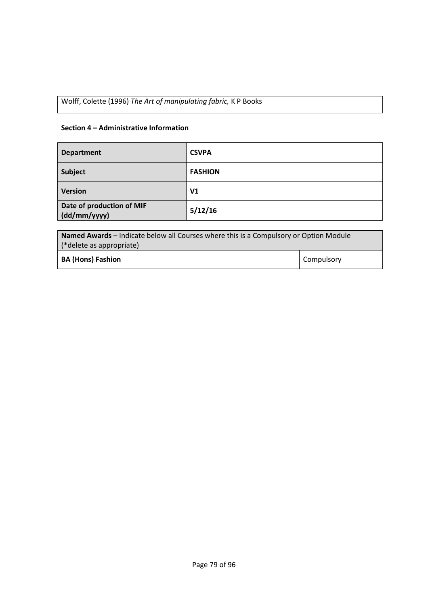Wolff, Colette (1996) *The Art of manipulating fabric,* K P Books

## **Section 4 – Administrative Information**

| <b>Department</b>                         | <b>CSVPA</b>   |
|-------------------------------------------|----------------|
| Subject                                   | <b>FASHION</b> |
| <b>Version</b>                            | V <sub>1</sub> |
| Date of production of MIF<br>(dd/mm/yyyy) | 5/12/16        |

| <b>Named Awards</b> – Indicate below all Courses where this is a Compulsory or Option Module |            |  |
|----------------------------------------------------------------------------------------------|------------|--|
| (*delete as appropriate)                                                                     |            |  |
| <b>BA (Hons) Fashion</b>                                                                     | Compulsory |  |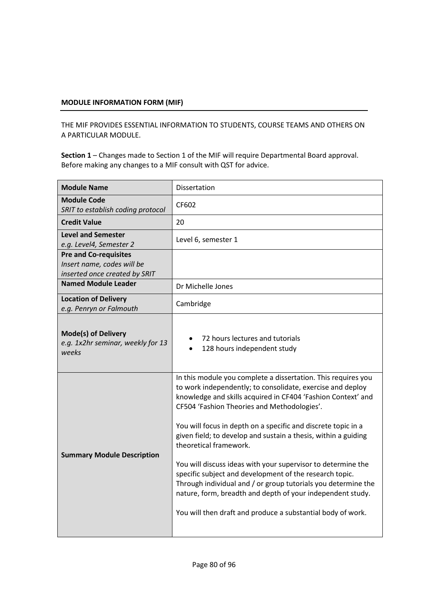THE MIF PROVIDES ESSENTIAL INFORMATION TO STUDENTS, COURSE TEAMS AND OTHERS ON A PARTICULAR MODULE.

| <b>Module Name</b>                                                                          | Dissertation                                                                                                                                                                                                                                                                                                                                                                                                                                                                                                                                                                                                                                                                                                                     |
|---------------------------------------------------------------------------------------------|----------------------------------------------------------------------------------------------------------------------------------------------------------------------------------------------------------------------------------------------------------------------------------------------------------------------------------------------------------------------------------------------------------------------------------------------------------------------------------------------------------------------------------------------------------------------------------------------------------------------------------------------------------------------------------------------------------------------------------|
| <b>Module Code</b><br>SRIT to establish coding protocol                                     | CF602                                                                                                                                                                                                                                                                                                                                                                                                                                                                                                                                                                                                                                                                                                                            |
| <b>Credit Value</b>                                                                         | 20                                                                                                                                                                                                                                                                                                                                                                                                                                                                                                                                                                                                                                                                                                                               |
| <b>Level and Semester</b><br>e.g. Level4, Semester 2                                        | Level 6, semester 1                                                                                                                                                                                                                                                                                                                                                                                                                                                                                                                                                                                                                                                                                                              |
| <b>Pre and Co-requisites</b><br>Insert name, codes will be<br>inserted once created by SRIT |                                                                                                                                                                                                                                                                                                                                                                                                                                                                                                                                                                                                                                                                                                                                  |
| <b>Named Module Leader</b>                                                                  | Dr Michelle Jones                                                                                                                                                                                                                                                                                                                                                                                                                                                                                                                                                                                                                                                                                                                |
| <b>Location of Delivery</b><br>e.g. Penryn or Falmouth                                      | Cambridge                                                                                                                                                                                                                                                                                                                                                                                                                                                                                                                                                                                                                                                                                                                        |
| <b>Mode(s) of Delivery</b><br>e.g. 1x2hr seminar, weekly for 13<br>weeks                    | 72 hours lectures and tutorials<br>128 hours independent study                                                                                                                                                                                                                                                                                                                                                                                                                                                                                                                                                                                                                                                                   |
| <b>Summary Module Description</b>                                                           | In this module you complete a dissertation. This requires you<br>to work independently; to consolidate, exercise and deploy<br>knowledge and skills acquired in CF404 'Fashion Context' and<br>CF504 'Fashion Theories and Methodologies'.<br>You will focus in depth on a specific and discrete topic in a<br>given field; to develop and sustain a thesis, within a guiding<br>theoretical framework.<br>You will discuss ideas with your supervisor to determine the<br>specific subject and development of the research topic.<br>Through individual and / or group tutorials you determine the<br>nature, form, breadth and depth of your independent study.<br>You will then draft and produce a substantial body of work. |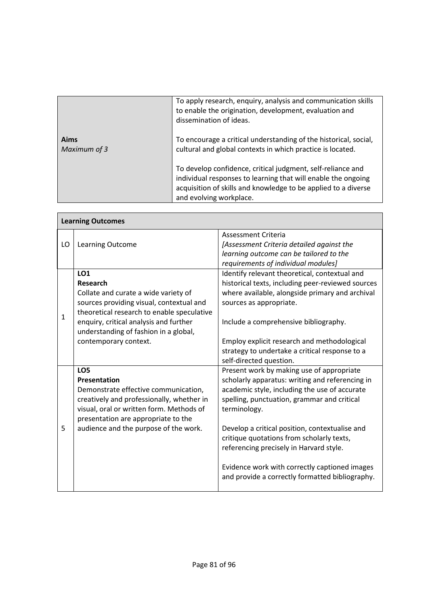|                             | To apply research, enquiry, analysis and communication skills<br>to enable the origination, development, evaluation and<br>dissemination of ideas.                                                                        |
|-----------------------------|---------------------------------------------------------------------------------------------------------------------------------------------------------------------------------------------------------------------------|
| <b>Aims</b><br>Maximum of 3 | To encourage a critical understanding of the historical, social,<br>cultural and global contexts in which practice is located.                                                                                            |
|                             | To develop confidence, critical judgment, self-reliance and<br>individual responses to learning that will enable the ongoing<br>acquisition of skills and knowledge to be applied to a diverse<br>and evolving workplace. |

| <b>Learning Outcomes</b> |                                                                                                                                                                                                                                                                      |                                                                                                                                                                                                                                                                                                                                                                                                                                                            |  |  |  |
|--------------------------|----------------------------------------------------------------------------------------------------------------------------------------------------------------------------------------------------------------------------------------------------------------------|------------------------------------------------------------------------------------------------------------------------------------------------------------------------------------------------------------------------------------------------------------------------------------------------------------------------------------------------------------------------------------------------------------------------------------------------------------|--|--|--|
| LO                       | Learning Outcome                                                                                                                                                                                                                                                     | Assessment Criteria<br>[Assessment Criteria detailed against the<br>learning outcome can be tailored to the<br>requirements of individual modules]                                                                                                                                                                                                                                                                                                         |  |  |  |
| $\mathbf{1}$             | LO1<br><b>Research</b><br>Collate and curate a wide variety of<br>sources providing visual, contextual and<br>theoretical research to enable speculative<br>enquiry, critical analysis and further<br>understanding of fashion in a global,<br>contemporary context. | Identify relevant theoretical, contextual and<br>historical texts, including peer-reviewed sources<br>where available, alongside primary and archival<br>sources as appropriate.<br>Include a comprehensive bibliography.<br>Employ explicit research and methodological<br>strategy to undertake a critical response to a<br>self-directed question.                                                                                                      |  |  |  |
| 5                        | LO <sub>5</sub><br><b>Presentation</b><br>Demonstrate effective communication,<br>creatively and professionally, whether in<br>visual, oral or written form. Methods of<br>presentation are appropriate to the<br>audience and the purpose of the work.              | Present work by making use of appropriate<br>scholarly apparatus: writing and referencing in<br>academic style, including the use of accurate<br>spelling, punctuation, grammar and critical<br>terminology.<br>Develop a critical position, contextualise and<br>critique quotations from scholarly texts,<br>referencing precisely in Harvard style.<br>Evidence work with correctly captioned images<br>and provide a correctly formatted bibliography. |  |  |  |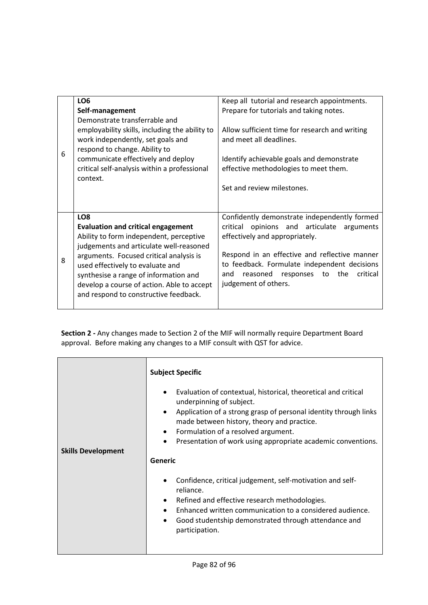| 6 | LO <sub>6</sub><br>Self-management<br>Demonstrate transferrable and<br>employability skills, including the ability to<br>work independently, set goals and<br>respond to change. Ability to<br>communicate effectively and deploy<br>critical self-analysis within a professional<br>context.                                                                     | Keep all tutorial and research appointments.<br>Prepare for tutorials and taking notes.<br>Allow sufficient time for research and writing<br>and meet all deadlines.<br>Identify achievable goals and demonstrate<br>effective methodologies to meet them.<br>Set and review milestones.                 |
|---|-------------------------------------------------------------------------------------------------------------------------------------------------------------------------------------------------------------------------------------------------------------------------------------------------------------------------------------------------------------------|----------------------------------------------------------------------------------------------------------------------------------------------------------------------------------------------------------------------------------------------------------------------------------------------------------|
| 8 | LO <sub>8</sub><br><b>Evaluation and critical engagement</b><br>Ability to form independent, perceptive<br>judgements and articulate well-reasoned<br>arguments. Focused critical analysis is<br>used effectively to evaluate and<br>synthesise a range of information and<br>develop a course of action. Able to accept<br>and respond to constructive feedback. | Confidently demonstrate independently formed<br>opinions and articulate arguments<br>critical<br>effectively and appropriately.<br>Respond in an effective and reflective manner<br>to feedback. Formulate independent decisions<br>critical<br>and reasoned responses to<br>the<br>judgement of others. |

|                           | <b>Subject Specific</b>                                                                                                                                                                                                                                                                                                                                               |  |  |
|---------------------------|-----------------------------------------------------------------------------------------------------------------------------------------------------------------------------------------------------------------------------------------------------------------------------------------------------------------------------------------------------------------------|--|--|
| <b>Skills Development</b> | Evaluation of contextual, historical, theoretical and critical<br>underpinning of subject.<br>Application of a strong grasp of personal identity through links<br>$\bullet$<br>made between history, theory and practice.<br>Formulation of a resolved argument.<br>$\bullet$<br>Presentation of work using appropriate academic conventions.<br>$\bullet$<br>Generic |  |  |
|                           | Confidence, critical judgement, self-motivation and self-<br>$\bullet$<br>reliance.<br>Refined and effective research methodologies.<br>$\bullet$<br>Enhanced written communication to a considered audience.<br>$\bullet$<br>Good studentship demonstrated through attendance and<br>participation.                                                                  |  |  |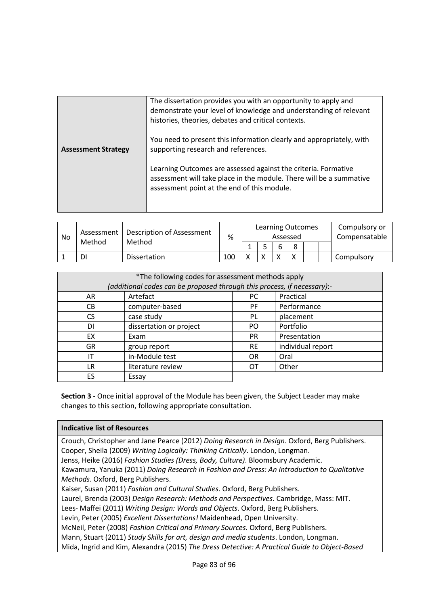|                            | The dissertation provides you with an opportunity to apply and<br>demonstrate your level of knowledge and understanding of relevant<br>histories, theories, debates and critical contexts. |
|----------------------------|--------------------------------------------------------------------------------------------------------------------------------------------------------------------------------------------|
| <b>Assessment Strategy</b> | You need to present this information clearly and appropriately, with<br>supporting research and references.                                                                                |
|                            | Learning Outcomes are assessed against the criteria. Formative<br>assessment will take place in the module. There will be a summative<br>assessment point at the end of this module.       |

| No | Assessment<br>Method | Description of Assessment<br>Method | %   |              | <b>Learning Outcomes</b><br>Assessed |   |  | Compulsory or<br>Compensatable |
|----|----------------------|-------------------------------------|-----|--------------|--------------------------------------|---|--|--------------------------------|
|    |                      |                                     |     |              |                                      | o |  |                                |
|    | DI                   | Dissertation                        | 100 | $\checkmark$ |                                      |   |  | Compulsory                     |

| *The following codes for assessment methods apply                       |                              |           |                   |  |  |
|-------------------------------------------------------------------------|------------------------------|-----------|-------------------|--|--|
| (additional codes can be proposed through this process, if necessary):- |                              |           |                   |  |  |
| AR                                                                      | Artefact<br>Practical<br>PC. |           |                   |  |  |
| CB.                                                                     | computer-based               | <b>PF</b> | Performance       |  |  |
| CS.                                                                     | case study                   | PL        | placement         |  |  |
| DI                                                                      | dissertation or project      | PO.       | Portfolio         |  |  |
| EX                                                                      | Exam                         | <b>PR</b> | Presentation      |  |  |
| <b>GR</b>                                                               | group report                 | <b>RE</b> | individual report |  |  |
| IΤ                                                                      | in-Module test               | <b>OR</b> | Oral              |  |  |
| LR                                                                      | literature review            | ОT        | Other             |  |  |
| FS                                                                      | Essay                        |           |                   |  |  |

#### **Indicative list of Resources**

Crouch, Christopher and Jane Pearce (2012) *Doing Research in Design*. Oxford, Berg Publishers. Cooper, Sheila (2009) *Writing Logically: Thinking Critically*. London, Longman. Jenss, Heike (2016) *Fashion Studies (Dress, Body, Culture)*. Bloomsbury Academic. Kawamura, Yanuka (2011) *Doing Research in Fashion and Dress: An Introduction to Qualitative Methods*. Oxford, Berg Publishers. Kaiser, Susan (2011) *Fashion and Cultural Studies*. Oxford, Berg Publishers. Laurel, Brenda (2003) *Design Research: Methods and Perspectives*. Cambridge, Mass: MIT. Lees- Maffei (2011) *Writing Design: Words and Objects*. Oxford, Berg Publishers. Levin, Peter (2005) *Excellent Dissertations!* Maidenhead, Open University. McNeil, Peter (2008) *Fashion Critical and Primary Sources*. Oxford, Berg Publishers. Mann, Stuart (2011) *Study Skills for art, design and media students*. London, Longman. Mida, Ingrid and Kim, Alexandra (2015) *The Dress Detective: A Practical Guide to Object-Based*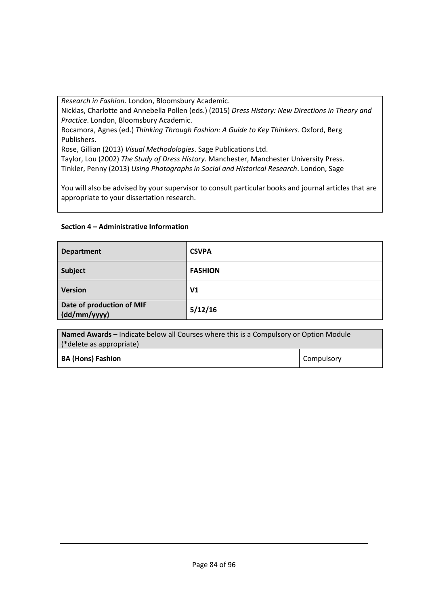*Research in Fashion*. London, Bloomsbury Academic.

Nicklas, Charlotte and Annebella Pollen (eds.) (2015) *Dress History: New Directions in Theory and Practice*. London, Bloomsbury Academic.

Rocamora, Agnes (ed.) *Thinking Through Fashion: A Guide to Key Thinkers*. Oxford, Berg Publishers.

Rose, Gillian (2013) *Visual Methodologies*. Sage Publications Ltd.

Taylor, Lou (2002) *The Study of Dress History*. Manchester, Manchester University Press. Tinkler, Penny (2013) *Using Photographs in Social and Historical Research*. London, Sage

You will also be advised by your supervisor to consult particular books and journal articles that are appropriate to your dissertation research.

## **Section 4 – Administrative Information**

| <b>Department</b>                         | <b>CSVPA</b>   |
|-------------------------------------------|----------------|
| <b>Subject</b>                            | <b>FASHION</b> |
| <b>Version</b>                            | V <sub>1</sub> |
| Date of production of MIF<br>(dd/mm/yyyy) | 5/12/16        |

| <b>Named Awards</b> – Indicate below all Courses where this is a Compulsory or Option Module |                   |  |  |
|----------------------------------------------------------------------------------------------|-------------------|--|--|
| (*delete as appropriate)                                                                     |                   |  |  |
| <b>BA (Hons) Fashion</b>                                                                     | <b>Compulsory</b> |  |  |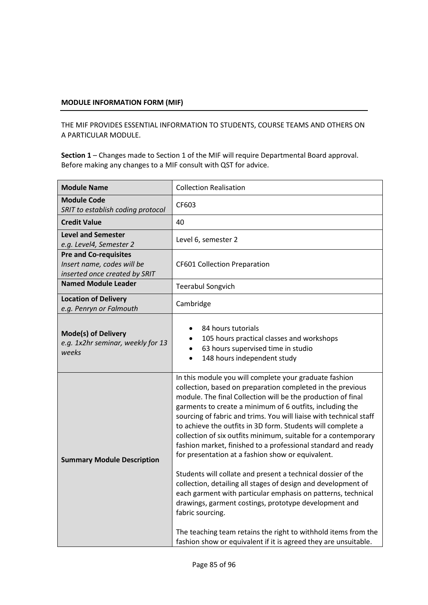THE MIF PROVIDES ESSENTIAL INFORMATION TO STUDENTS, COURSE TEAMS AND OTHERS ON A PARTICULAR MODULE.

| <b>Module Name</b>                                                                          | <b>Collection Realisation</b>                                                                                                                                                                                                                                                                                                                                                                                                                                                                                                                                                                                                                                                                                                                                                                                                                                                                                                                                                                    |  |
|---------------------------------------------------------------------------------------------|--------------------------------------------------------------------------------------------------------------------------------------------------------------------------------------------------------------------------------------------------------------------------------------------------------------------------------------------------------------------------------------------------------------------------------------------------------------------------------------------------------------------------------------------------------------------------------------------------------------------------------------------------------------------------------------------------------------------------------------------------------------------------------------------------------------------------------------------------------------------------------------------------------------------------------------------------------------------------------------------------|--|
| <b>Module Code</b><br>SRIT to establish coding protocol                                     | CF603                                                                                                                                                                                                                                                                                                                                                                                                                                                                                                                                                                                                                                                                                                                                                                                                                                                                                                                                                                                            |  |
| <b>Credit Value</b>                                                                         | 40                                                                                                                                                                                                                                                                                                                                                                                                                                                                                                                                                                                                                                                                                                                                                                                                                                                                                                                                                                                               |  |
| <b>Level and Semester</b><br>e.g. Level4, Semester 2                                        | Level 6, semester 2                                                                                                                                                                                                                                                                                                                                                                                                                                                                                                                                                                                                                                                                                                                                                                                                                                                                                                                                                                              |  |
| <b>Pre and Co-requisites</b><br>Insert name, codes will be<br>inserted once created by SRIT | <b>CF601 Collection Preparation</b>                                                                                                                                                                                                                                                                                                                                                                                                                                                                                                                                                                                                                                                                                                                                                                                                                                                                                                                                                              |  |
| <b>Named Module Leader</b>                                                                  | <b>Teerabul Songvich</b>                                                                                                                                                                                                                                                                                                                                                                                                                                                                                                                                                                                                                                                                                                                                                                                                                                                                                                                                                                         |  |
| <b>Location of Delivery</b><br>e.g. Penryn or Falmouth                                      | Cambridge                                                                                                                                                                                                                                                                                                                                                                                                                                                                                                                                                                                                                                                                                                                                                                                                                                                                                                                                                                                        |  |
| <b>Mode(s) of Delivery</b><br>e.g. 1x2hr seminar, weekly for 13<br>weeks                    | 84 hours tutorials<br>105 hours practical classes and workshops<br>63 hours supervised time in studio<br>$\bullet$<br>148 hours independent study                                                                                                                                                                                                                                                                                                                                                                                                                                                                                                                                                                                                                                                                                                                                                                                                                                                |  |
| <b>Summary Module Description</b>                                                           | In this module you will complete your graduate fashion<br>collection, based on preparation completed in the previous<br>module. The final Collection will be the production of final<br>garments to create a minimum of 6 outfits, including the<br>sourcing of fabric and trims. You will liaise with technical staff<br>to achieve the outfits in 3D form. Students will complete a<br>collection of six outfits minimum, suitable for a contemporary<br>fashion market, finished to a professional standard and ready<br>for presentation at a fashion show or equivalent.<br>Students will collate and present a technical dossier of the<br>collection, detailing all stages of design and development of<br>each garment with particular emphasis on patterns, technical<br>drawings, garment costings, prototype development and<br>fabric sourcing.<br>The teaching team retains the right to withhold items from the<br>fashion show or equivalent if it is agreed they are unsuitable. |  |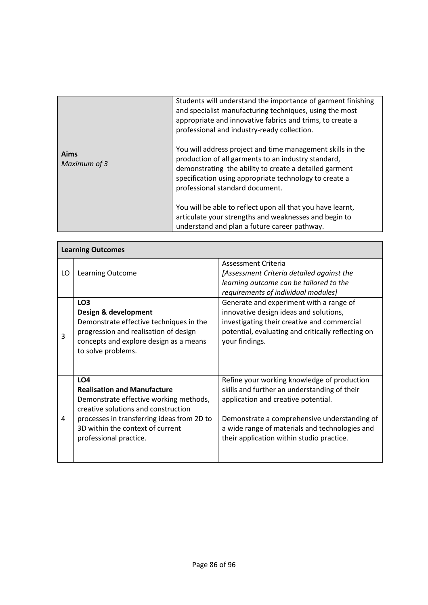|                      | Students will understand the importance of garment finishing<br>and specialist manufacturing techniques, using the most<br>appropriate and innovative fabrics and trims, to create a<br>professional and industry-ready collection.                                      |
|----------------------|--------------------------------------------------------------------------------------------------------------------------------------------------------------------------------------------------------------------------------------------------------------------------|
| Aims<br>Maximum of 3 | You will address project and time management skills in the<br>production of all garments to an industry standard,<br>demonstrating the ability to create a detailed garment<br>specification using appropriate technology to create a<br>professional standard document. |
|                      | You will be able to reflect upon all that you have learnt,<br>articulate your strengths and weaknesses and begin to<br>understand and plan a future career pathway.                                                                                                      |

 $\Gamma$ 

|    | <b>Learning Outcomes</b>                                                                                                                                                                                                                           |                                                                                                                                                                                                                                                                                   |  |  |  |  |  |
|----|----------------------------------------------------------------------------------------------------------------------------------------------------------------------------------------------------------------------------------------------------|-----------------------------------------------------------------------------------------------------------------------------------------------------------------------------------------------------------------------------------------------------------------------------------|--|--|--|--|--|
| LO | Learning Outcome                                                                                                                                                                                                                                   | Assessment Criteria<br>[Assessment Criteria detailed against the<br>learning outcome can be tailored to the<br>requirements of individual modules]                                                                                                                                |  |  |  |  |  |
| 3  | LO <sub>3</sub><br>Design & development<br>Demonstrate effective techniques in the<br>progression and realisation of design<br>concepts and explore design as a means<br>to solve problems.                                                        | Generate and experiment with a range of<br>innovative design ideas and solutions,<br>investigating their creative and commercial<br>potential, evaluating and critically reflecting on<br>your findings.                                                                          |  |  |  |  |  |
| 4  | LO <sub>4</sub><br><b>Realisation and Manufacture</b><br>Demonstrate effective working methods,<br>creative solutions and construction<br>processes in transferring ideas from 2D to<br>3D within the context of current<br>professional practice. | Refine your working knowledge of production<br>skills and further an understanding of their<br>application and creative potential.<br>Demonstrate a comprehensive understanding of<br>a wide range of materials and technologies and<br>their application within studio practice. |  |  |  |  |  |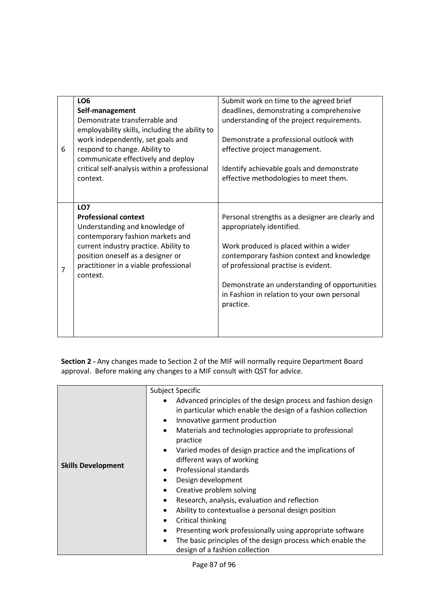| 6 | LO <sub>6</sub><br>Self-management<br>Demonstrate transferrable and<br>employability skills, including the ability to<br>work independently, set goals and<br>respond to change. Ability to<br>communicate effectively and deploy<br>critical self-analysis within a professional<br>context. | Submit work on time to the agreed brief<br>deadlines, demonstrating a comprehensive<br>understanding of the project requirements.<br>Demonstrate a professional outlook with<br>effective project management.<br>Identify achievable goals and demonstrate<br>effective methodologies to meet them.                        |
|---|-----------------------------------------------------------------------------------------------------------------------------------------------------------------------------------------------------------------------------------------------------------------------------------------------|----------------------------------------------------------------------------------------------------------------------------------------------------------------------------------------------------------------------------------------------------------------------------------------------------------------------------|
| 7 | LO7<br><b>Professional context</b><br>Understanding and knowledge of<br>contemporary fashion markets and<br>current industry practice. Ability to<br>position oneself as a designer or<br>practitioner in a viable professional<br>context.                                                   | Personal strengths as a designer are clearly and<br>appropriately identified.<br>Work produced is placed within a wider<br>contemporary fashion context and knowledge<br>of professional practise is evident.<br>Demonstrate an understanding of opportunities<br>in Fashion in relation to your own personal<br>practice. |

| Advanced principles of the design process and fashion design<br>in particular which enable the design of a fashion collection<br>Innovative garment production<br>$\bullet$<br>$\bullet$                                                                                                                                                                                                                                                                                                                                                                                           | <b>Subject Specific</b>                                |
|------------------------------------------------------------------------------------------------------------------------------------------------------------------------------------------------------------------------------------------------------------------------------------------------------------------------------------------------------------------------------------------------------------------------------------------------------------------------------------------------------------------------------------------------------------------------------------|--------------------------------------------------------|
| practice<br>Varied modes of design practice and the implications of<br>$\bullet$<br>different ways of working<br><b>Skills Development</b><br>Professional standards<br>Design development<br>$\bullet$<br>Creative problem solving<br>$\bullet$<br>Research, analysis, evaluation and reflection<br>$\bullet$<br>Ability to contextualise a personal design position<br>Critical thinking<br>Presenting work professionally using appropriate software<br>$\bullet$<br>The basic principles of the design process which enable the<br>$\bullet$<br>design of a fashion collection | Materials and technologies appropriate to professional |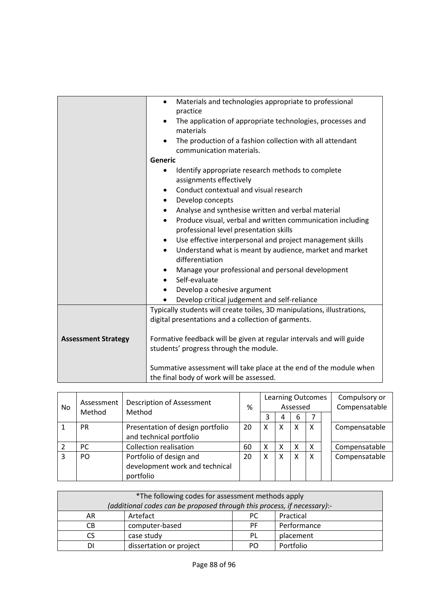|                            | Materials and technologies appropriate to professional<br>$\bullet$                  |  |  |
|----------------------------|--------------------------------------------------------------------------------------|--|--|
|                            | practice                                                                             |  |  |
|                            | The application of appropriate technologies, processes and<br>$\bullet$<br>materials |  |  |
|                            | The production of a fashion collection with all attendant<br>$\bullet$               |  |  |
|                            | communication materials.                                                             |  |  |
|                            | Generic                                                                              |  |  |
|                            | Identify appropriate research methods to complete<br>$\bullet$                       |  |  |
|                            | assignments effectively                                                              |  |  |
|                            | Conduct contextual and visual research<br>$\bullet$                                  |  |  |
|                            | Develop concepts<br>$\bullet$                                                        |  |  |
|                            | Analyse and synthesise written and verbal material<br>$\bullet$                      |  |  |
|                            | Produce visual, verbal and written communication including<br>$\bullet$              |  |  |
|                            | professional level presentation skills                                               |  |  |
|                            | Use effective interpersonal and project management skills<br>$\bullet$               |  |  |
|                            | Understand what is meant by audience, market and market<br>$\bullet$                 |  |  |
|                            | differentiation                                                                      |  |  |
|                            | Manage your professional and personal development                                    |  |  |
|                            | Self-evaluate<br>$\bullet$                                                           |  |  |
|                            | Develop a cohesive argument<br>$\bullet$                                             |  |  |
|                            | Develop critical judgement and self-reliance                                         |  |  |
|                            | Typically students will create toiles, 3D manipulations, illustrations,              |  |  |
|                            | digital presentations and a collection of garments.                                  |  |  |
|                            |                                                                                      |  |  |
| <b>Assessment Strategy</b> | Formative feedback will be given at regular intervals and will guide                 |  |  |
|                            | students' progress through the module.                                               |  |  |
|                            |                                                                                      |  |  |
|                            | Summative assessment will take place at the end of the module when                   |  |  |
|                            | the final body of work will be assessed.                                             |  |  |

| No | Assessment<br>Method | <b>Description of Assessment</b><br>Method |    | <b>Learning Outcomes</b><br>Assessed |   |   |                           | Compulsory or<br>Compensatable |
|----|----------------------|--------------------------------------------|----|--------------------------------------|---|---|---------------------------|--------------------------------|
|    |                      |                                            |    |                                      | 4 | 6 |                           |                                |
|    | <b>PR</b>            | Presentation of design portfolio           | 20 | х                                    | X | x | $\boldsymbol{\mathsf{X}}$ | Compensatable                  |
|    |                      | and technical portfolio                    |    |                                      |   |   |                           |                                |
|    | <b>PC</b>            | <b>Collection realisation</b>              | 60 | х                                    | X | χ | X                         | Compensatable                  |
| 3  | P <sub>O</sub>       | Portfolio of design and                    | 20 | X                                    | X | X | $\boldsymbol{\mathsf{X}}$ | Compensatable                  |
|    |                      | development work and technical             |    |                                      |   |   |                           |                                |
|    |                      | portfolio                                  |    |                                      |   |   |                           |                                |

| *The following codes for assessment methods apply                       |                              |     |             |  |  |
|-------------------------------------------------------------------------|------------------------------|-----|-------------|--|--|
| (additional codes can be proposed through this process, if necessary):- |                              |     |             |  |  |
| AR                                                                      | Practical<br>Artefact<br>PC. |     |             |  |  |
| CВ                                                                      | computer-based               | PF. | Performance |  |  |
|                                                                         | case study                   | PL  | placement   |  |  |
| DΙ                                                                      | dissertation or project      | PO. | Portfolio   |  |  |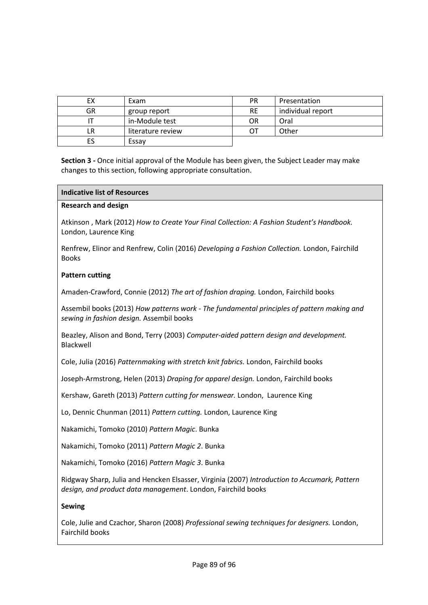| EХ | Exam              | <b>PR</b> | Presentation      |
|----|-------------------|-----------|-------------------|
| GR | group report      | <b>RE</b> | individual report |
|    | in-Module test    | OR        | Oral              |
| LR | literature review | ОТ        | Other             |
|    | Essav             |           |                   |

#### **Indicative list of Resources**

#### **Research and design**

Atkinson , Mark (2012) *How to Create Your Final Collection: A Fashion Student's Handbook.* London, Laurence King

Renfrew, Elinor and Renfrew, Colin (2016) *Developing a Fashion Collection.* London, Fairchild Books

#### **Pattern cutting**

Amaden-Crawford, Connie (2012) *The art of fashion draping.* London, Fairchild books

Assembil books (2013) *How patterns work - The fundamental principles of pattern making and sewing in fashion design.* Assembil books

Beazley, Alison and Bond, Terry (2003) *Computer-aided pattern design and development.*  Blackwell

Cole, Julia (2016) *Patternmaking with stretch knit fabrics.* London, Fairchild books

Joseph-Armstrong, Helen (2013) *Draping for apparel design.* London, Fairchild books

Kershaw, Gareth (2013) *Pattern cutting for menswear.* London, Laurence King

Lo, Dennic Chunman (2011) *Pattern cutting.* London, Laurence King

Nakamichi, Tomoko (2010) *Pattern Magic*. Bunka

Nakamichi, Tomoko (2011) *Pattern Magic 2*. Bunka

Nakamichi, Tomoko (2016) *Pattern Magic 3*. Bunka

Ridgway Sharp, Julia and Hencken Elsasser, Virginia (2007) *Introduction to Accumark, Pattern design, and product data management*. London, Fairchild books

### **Sewing**

Cole, Julie and Czachor, Sharon (2008) *Professional sewing techniques for designers.* London, Fairchild books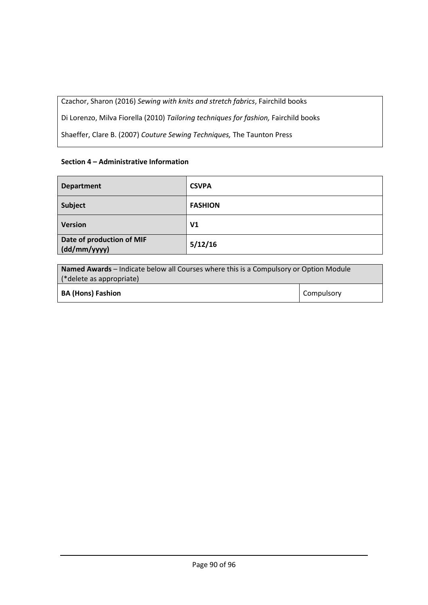Czachor, Sharon (2016) *Sewing with knits and stretch fabrics*, Fairchild books

Di Lorenzo, Milva Fiorella (2010) *Tailoring techniques for fashion,* Fairchild books

Shaeffer, Clare B. (2007) *Couture Sewing Techniques,* The Taunton Press

## **Section 4 – Administrative Information**

| <b>Department</b>                         | <b>CSVPA</b>   |
|-------------------------------------------|----------------|
| Subject                                   | <b>FASHION</b> |
| <b>Version</b>                            | V <sub>1</sub> |
| Date of production of MIF<br>(dd/mm/yyyy) | 5/12/16        |

| <b>Named Awards</b> – Indicate below all Courses where this is a Compulsory or Option Module |                   |  |
|----------------------------------------------------------------------------------------------|-------------------|--|
| (*delete as appropriate)                                                                     |                   |  |
| <b>BA (Hons) Fashion</b>                                                                     | <b>Compulsory</b> |  |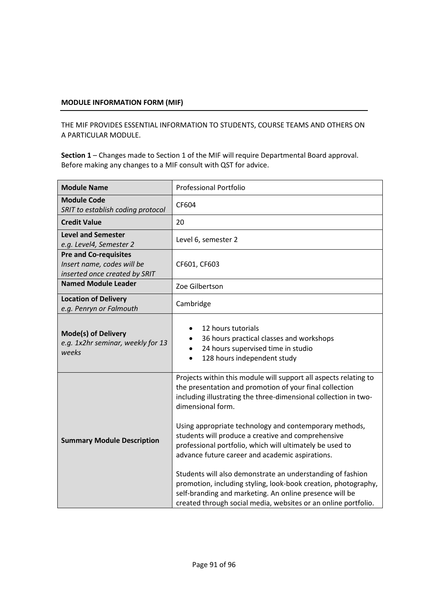THE MIF PROVIDES ESSENTIAL INFORMATION TO STUDENTS, COURSE TEAMS AND OTHERS ON A PARTICULAR MODULE.

| <b>Module Name</b>                                                                          | <b>Professional Portfolio</b>                                                                                                                                                                                                                                                                                                                                                                                                                                                                                                                                                                                                                                                                                   |  |  |
|---------------------------------------------------------------------------------------------|-----------------------------------------------------------------------------------------------------------------------------------------------------------------------------------------------------------------------------------------------------------------------------------------------------------------------------------------------------------------------------------------------------------------------------------------------------------------------------------------------------------------------------------------------------------------------------------------------------------------------------------------------------------------------------------------------------------------|--|--|
| <b>Module Code</b><br>SRIT to establish coding protocol                                     | CF604                                                                                                                                                                                                                                                                                                                                                                                                                                                                                                                                                                                                                                                                                                           |  |  |
| <b>Credit Value</b>                                                                         | 20                                                                                                                                                                                                                                                                                                                                                                                                                                                                                                                                                                                                                                                                                                              |  |  |
| <b>Level and Semester</b><br>e.g. Level4, Semester 2                                        | Level 6, semester 2                                                                                                                                                                                                                                                                                                                                                                                                                                                                                                                                                                                                                                                                                             |  |  |
| <b>Pre and Co-requisites</b><br>Insert name, codes will be<br>inserted once created by SRIT | CF601, CF603                                                                                                                                                                                                                                                                                                                                                                                                                                                                                                                                                                                                                                                                                                    |  |  |
| <b>Named Module Leader</b>                                                                  | Zoe Gilbertson                                                                                                                                                                                                                                                                                                                                                                                                                                                                                                                                                                                                                                                                                                  |  |  |
| <b>Location of Delivery</b><br>e.g. Penryn or Falmouth                                      | Cambridge                                                                                                                                                                                                                                                                                                                                                                                                                                                                                                                                                                                                                                                                                                       |  |  |
| <b>Mode(s) of Delivery</b><br>e.g. 1x2hr seminar, weekly for 13<br>weeks                    | 12 hours tutorials<br>36 hours practical classes and workshops<br>24 hours supervised time in studio<br>$\bullet$<br>128 hours independent study<br>$\bullet$                                                                                                                                                                                                                                                                                                                                                                                                                                                                                                                                                   |  |  |
| <b>Summary Module Description</b>                                                           | Projects within this module will support all aspects relating to<br>the presentation and promotion of your final collection<br>including illustrating the three-dimensional collection in two-<br>dimensional form.<br>Using appropriate technology and contemporary methods,<br>students will produce a creative and comprehensive<br>professional portfolio, which will ultimately be used to<br>advance future career and academic aspirations.<br>Students will also demonstrate an understanding of fashion<br>promotion, including styling, look-book creation, photography,<br>self-branding and marketing. An online presence will be<br>created through social media, websites or an online portfolio. |  |  |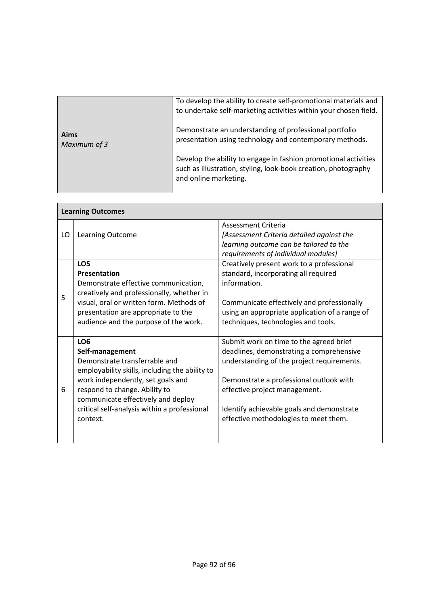|                      | To develop the ability to create self-promotional materials and<br>to undertake self-marketing activities within your chosen field.                        |
|----------------------|------------------------------------------------------------------------------------------------------------------------------------------------------------|
| Aims<br>Maximum of 3 | Demonstrate an understanding of professional portfolio<br>presentation using technology and contemporary methods.                                          |
|                      | Develop the ability to engage in fashion promotional activities<br>such as illustration, styling, look-book creation, photography<br>and online marketing. |

Г

|    | <b>Learning Outcomes</b>                                                                                                                                                                                                                                                                      |                                                                                                                                                                                                                                                                                                     |  |  |  |
|----|-----------------------------------------------------------------------------------------------------------------------------------------------------------------------------------------------------------------------------------------------------------------------------------------------|-----------------------------------------------------------------------------------------------------------------------------------------------------------------------------------------------------------------------------------------------------------------------------------------------------|--|--|--|
| LO | Learning Outcome                                                                                                                                                                                                                                                                              | Assessment Criteria<br>[Assessment Criteria detailed against the<br>learning outcome can be tailored to the<br>requirements of individual modules]                                                                                                                                                  |  |  |  |
| 5  | LO <sub>5</sub><br><b>Presentation</b><br>Demonstrate effective communication,<br>creatively and professionally, whether in<br>visual, oral or written form. Methods of<br>presentation are appropriate to the<br>audience and the purpose of the work.                                       | Creatively present work to a professional<br>standard, incorporating all required<br>information.<br>Communicate effectively and professionally<br>using an appropriate application of a range of<br>techniques, technologies and tools.                                                            |  |  |  |
| 6  | LO <sub>6</sub><br>Self-management<br>Demonstrate transferrable and<br>employability skills, including the ability to<br>work independently, set goals and<br>respond to change. Ability to<br>communicate effectively and deploy<br>critical self-analysis within a professional<br>context. | Submit work on time to the agreed brief<br>deadlines, demonstrating a comprehensive<br>understanding of the project requirements.<br>Demonstrate a professional outlook with<br>effective project management.<br>Identify achievable goals and demonstrate<br>effective methodologies to meet them. |  |  |  |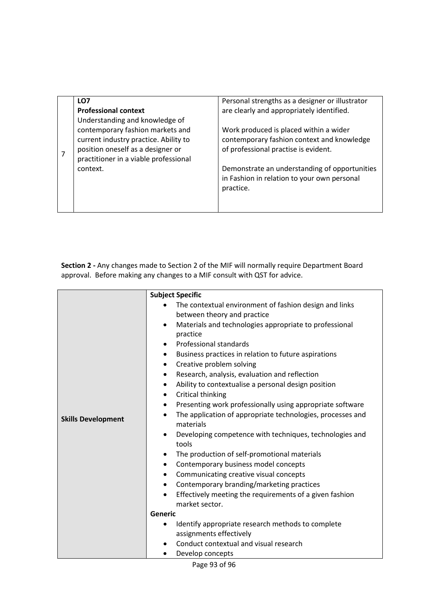| LO <sub>7</sub>                       | Personal strengths as a designer or illustrator |
|---------------------------------------|-------------------------------------------------|
| <b>Professional context</b>           | are clearly and appropriately identified.       |
| Understanding and knowledge of        |                                                 |
| contemporary fashion markets and      | Work produced is placed within a wider          |
| current industry practice. Ability to | contemporary fashion context and knowledge      |
| position oneself as a designer or     | of professional practise is evident.            |
| practitioner in a viable professional |                                                 |
| context.                              | Demonstrate an understanding of opportunities   |
|                                       | in Fashion in relation to your own personal     |
|                                       | practice.                                       |
|                                       |                                                 |
|                                       |                                                 |

| <b>Skills Development</b> | <b>Subject Specific</b><br>The contextual environment of fashion design and links<br>between theory and practice<br>Materials and technologies appropriate to professional<br>$\bullet$<br>practice<br>Professional standards<br>$\bullet$<br>Business practices in relation to future aspirations<br>$\bullet$<br>Creative problem solving<br>٠<br>Research, analysis, evaluation and reflection<br>$\bullet$<br>Ability to contextualise a personal design position<br>٠<br>Critical thinking<br>$\bullet$<br>Presenting work professionally using appropriate software<br>$\bullet$<br>The application of appropriate technologies, processes and<br>$\bullet$<br>materials<br>Developing competence with techniques, technologies and<br>tools<br>The production of self-promotional materials<br>٠<br>Contemporary business model concepts<br>$\bullet$<br>Communicating creative visual concepts<br>٠<br>Contemporary branding/marketing practices<br>$\bullet$<br>Effectively meeting the requirements of a given fashion<br>$\bullet$<br>market sector.<br>Generic<br>Identify appropriate research methods to complete<br>assignments effectively<br>Conduct contextual and visual research<br>Develop concepts |
|---------------------------|--------------------------------------------------------------------------------------------------------------------------------------------------------------------------------------------------------------------------------------------------------------------------------------------------------------------------------------------------------------------------------------------------------------------------------------------------------------------------------------------------------------------------------------------------------------------------------------------------------------------------------------------------------------------------------------------------------------------------------------------------------------------------------------------------------------------------------------------------------------------------------------------------------------------------------------------------------------------------------------------------------------------------------------------------------------------------------------------------------------------------------------------------------------------------------------------------------------------------|

Page 93 of 96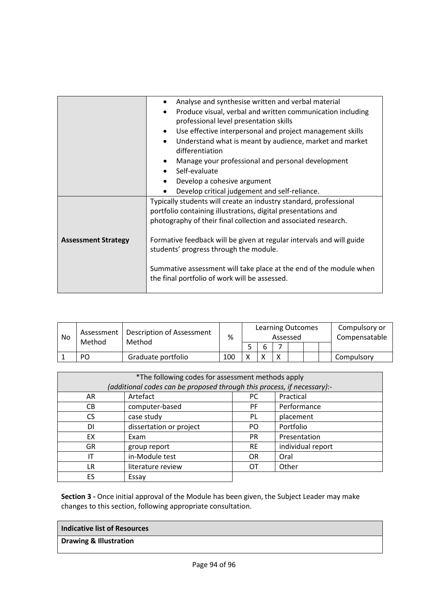|                                        | Analyse and synthesise written and verbal material                      |  |  |  |  |  |
|----------------------------------------|-------------------------------------------------------------------------|--|--|--|--|--|
|                                        | Produce visual, verbal and written communication including<br>$\bullet$ |  |  |  |  |  |
|                                        | professional level presentation skills                                  |  |  |  |  |  |
|                                        | Use effective interpersonal and project management skills<br>$\bullet$  |  |  |  |  |  |
|                                        | Understand what is meant by audience, market and market<br>$\bullet$    |  |  |  |  |  |
|                                        | differentiation                                                         |  |  |  |  |  |
|                                        | Manage your professional and personal development<br>$\bullet$          |  |  |  |  |  |
| • Self-evaluate                        |                                                                         |  |  |  |  |  |
|                                        | Develop a cohesive argument<br>$\bullet$                                |  |  |  |  |  |
|                                        | Develop critical judgement and self-reliance.                           |  |  |  |  |  |
|                                        | Typically students will create an industry standard, professional       |  |  |  |  |  |
|                                        | portfolio containing illustrations, digital presentations and           |  |  |  |  |  |
|                                        | photography of their final collection and associated research.          |  |  |  |  |  |
|                                        |                                                                         |  |  |  |  |  |
| <b>Assessment Strategy</b>             | Formative feedback will be given at regular intervals and will guide    |  |  |  |  |  |
| students' progress through the module. |                                                                         |  |  |  |  |  |
|                                        |                                                                         |  |  |  |  |  |
|                                        | Summative assessment will take place at the end of the module when      |  |  |  |  |  |
|                                        | the final portfolio of work will be assessed.                           |  |  |  |  |  |
|                                        |                                                                         |  |  |  |  |  |

| No | Assessment<br>Method | <b>Description of Assessment</b><br>Method | %   | <b>Learning Outcomes</b><br>Assessed |   |  |  | Compulsory or<br>Compensatable |            |
|----|----------------------|--------------------------------------------|-----|--------------------------------------|---|--|--|--------------------------------|------------|
|    |                      |                                            |     |                                      | b |  |  |                                |            |
|    | PO                   | Graduate portfolio                         | 100 | v                                    |   |  |  |                                | Compulsory |

| *The following codes for assessment methods apply                       |                         |           |                   |  |  |
|-------------------------------------------------------------------------|-------------------------|-----------|-------------------|--|--|
| (additional codes can be proposed through this process, if necessary):- |                         |           |                   |  |  |
| AR                                                                      | Artefact                | PC.       | Practical         |  |  |
| CВ                                                                      | computer-based          | PF.       | Performance       |  |  |
| CS.                                                                     | case study              | PL        | placement         |  |  |
| DI                                                                      | dissertation or project | PO.       | Portfolio         |  |  |
| EX                                                                      | Exam                    | <b>PR</b> | Presentation      |  |  |
| <b>GR</b>                                                               | group report            | <b>RE</b> | individual report |  |  |
| ΙT                                                                      | in-Module test          | <b>OR</b> | Oral              |  |  |
| LR                                                                      | literature review       | ОT        | Other             |  |  |
| ES                                                                      | Essay                   |           |                   |  |  |

| Indicative list of Resources |  |
|------------------------------|--|
| Drawing & Illustration       |  |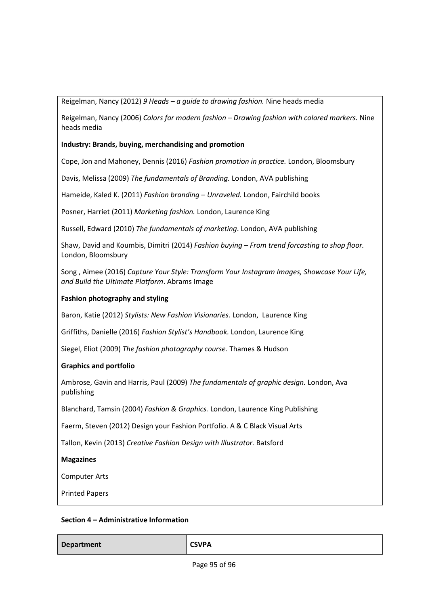Reigelman, Nancy (2012) *9 Heads – a guide to drawing fashion.* Nine heads media

Reigelman, Nancy (2006) *Colors for modern fashion – Drawing fashion with colored markers.* Nine heads media

## **Industry: Brands, buying, merchandising and promotion**

Cope, Jon and Mahoney, Dennis (2016) *Fashion promotion in practice.* London, Bloomsbury

Davis, Melissa (2009) *The fundamentals of Branding.* London, AVA publishing

Hameide, Kaled K. (2011) *Fashion branding – Unraveled.* London, Fairchild books

Posner, Harriet (2011) *Marketing fashion.* London, Laurence King

Russell, Edward (2010) *The fundamentals of marketing*. London, AVA publishing

Shaw, David and Koumbis, Dimitri (2014) *Fashion buying – From trend forcasting to shop floor.*  London, Bloomsbury

Song , Aimee (2016) *Capture Your Style: Transform Your Instagram Images, Showcase Your Life, and Build the Ultimate Platform*. Abrams Image

### **Fashion photography and styling**

Baron, Katie (2012) *Stylists: New Fashion Visionaries.* London, Laurence King

Griffiths, Danielle (2016) *Fashion Stylist's Handbook.* London, Laurence King

Siegel, Eliot (2009) *The fashion photography course.* Thames & Hudson

#### **Graphics and portfolio**

Ambrose, Gavin and Harris, Paul (2009) *The fundamentals of graphic design.* London, Ava publishing

Blanchard, Tamsin (2004) *Fashion & Graphics.* London, Laurence King Publishing

Faerm, Steven (2012) Design your Fashion Portfolio. A & C Black Visual Arts

Tallon, Kevin (2013) *Creative Fashion Design with Illustrator.* Batsford

#### **Magazines**

Computer Arts

Printed Papers

#### **Section 4 – Administrative Information**

**Department CSVPA**